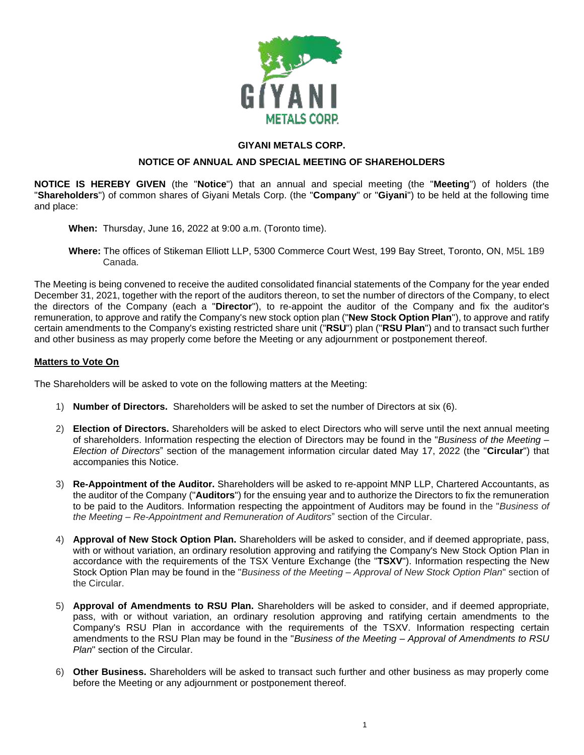

## **GIYANI METALS CORP.**

## **NOTICE OF ANNUAL AND SPECIAL MEETING OF SHAREHOLDERS**

**NOTICE IS HEREBY GIVEN** (the "**Notice**") that an annual and special meeting (the "**Meeting**") of holders (the "**Shareholders**") of common shares of Giyani Metals Corp. (the "**Company**" or "**Giyani**") to be held at the following time and place:

- **When:** Thursday, June 16, 2022 at 9:00 a.m. (Toronto time).
- **Where:** The offices of Stikeman Elliott LLP, 5300 Commerce Court West, 199 Bay Street, Toronto, ON, M5L 1B9 Canada.

The Meeting is being convened to receive the audited consolidated financial statements of the Company for the year ended December 31, 2021, together with the report of the auditors thereon, to set the number of directors of the Company, to elect the directors of the Company (each a "**Director**"), to re-appoint the auditor of the Company and fix the auditor's remuneration, to approve and ratify the Company's new stock option plan ("**New Stock Option Plan**"), to approve and ratify certain amendments to the Company's existing restricted share unit ("**RSU**") plan ("**RSU Plan**") and to transact such further and other business as may properly come before the Meeting or any adjournment or postponement thereof.

## **Matters to Vote On**

The Shareholders will be asked to vote on the following matters at the Meeting:

- 1) **Number of Directors.** Shareholders will be asked to set the number of Directors at six (6).
- 2) **Election of Directors.** Shareholders will be asked to elect Directors who will serve until the next annual meeting of shareholders. Information respecting the election of Directors may be found in the "*Business of the Meeting – Election of Directors*" section of the management information circular dated May 17, 2022 (the "**Circular**") that accompanies this Notice.
- 3) **Re-Appointment of the Auditor.** Shareholders will be asked to re-appoint MNP LLP, Chartered Accountants, as the auditor of the Company ("**Auditors**") for the ensuing year and to authorize the Directors to fix the remuneration to be paid to the Auditors. Information respecting the appointment of Auditors may be found in the "*Business of the Meeting – Re-Appointment and Remuneration of Auditors*" section of the Circular.
- 4) **Approval of New Stock Option Plan.** Shareholders will be asked to consider, and if deemed appropriate, pass, with or without variation, an ordinary resolution approving and ratifying the Company's New Stock Option Plan in accordance with the requirements of the TSX Venture Exchange (the "**TSXV**"). Information respecting the New Stock Option Plan may be found in the "*Business of the Meeting – Approval of New Stock Option Plan*" section of the Circular.
- 5) **Approval of Amendments to RSU Plan.** Shareholders will be asked to consider, and if deemed appropriate, pass, with or without variation, an ordinary resolution approving and ratifying certain amendments to the Company's RSU Plan in accordance with the requirements of the TSXV. Information respecting certain amendments to the RSU Plan may be found in the "*Business of the Meeting – Approval of Amendments to RSU Plan*" section of the Circular.
- 6) **Other Business.** Shareholders will be asked to transact such further and other business as may properly come before the Meeting or any adjournment or postponement thereof.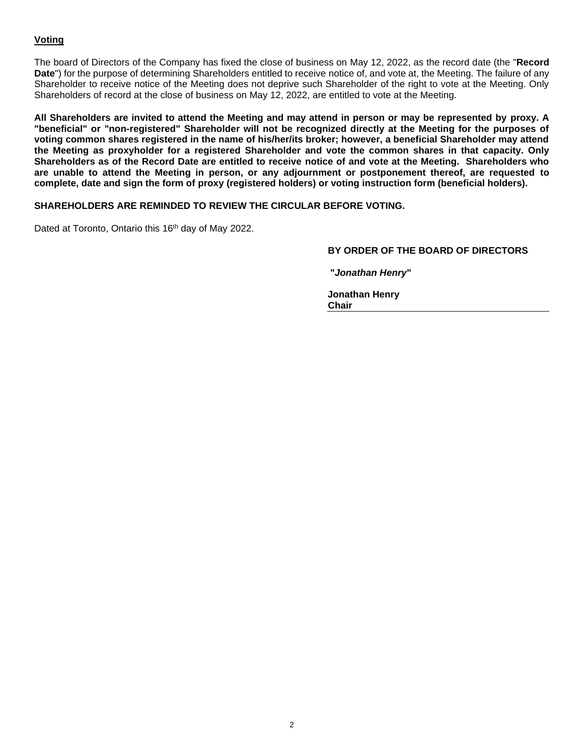## **Voting**

The board of Directors of the Company has fixed the close of business on May 12, 2022, as the record date (the "**Record Date**") for the purpose of determining Shareholders entitled to receive notice of, and vote at, the Meeting. The failure of any Shareholder to receive notice of the Meeting does not deprive such Shareholder of the right to vote at the Meeting. Only Shareholders of record at the close of business on May 12, 2022, are entitled to vote at the Meeting.

**All Shareholders are invited to attend the Meeting and may attend in person or may be represented by proxy. A "beneficial" or "non-registered" Shareholder will not be recognized directly at the Meeting for the purposes of voting common shares registered in the name of his/her/its broker; however, a beneficial Shareholder may attend the Meeting as proxyholder for a registered Shareholder and vote the common shares in that capacity. Only Shareholders as of the Record Date are entitled to receive notice of and vote at the Meeting. Shareholders who are unable to attend the Meeting in person, or any adjournment or postponement thereof, are requested to complete, date and sign the form of proxy (registered holders) or voting instruction form (beneficial holders).**

## **SHAREHOLDERS ARE REMINDED TO REVIEW THE CIRCULAR BEFORE VOTING.**

Dated at Toronto, Ontario this 16<sup>th</sup> day of May 2022.

## **BY ORDER OF THE BOARD OF DIRECTORS**

**"***Jonathan Henry***"**

**Jonathan Henry Chair**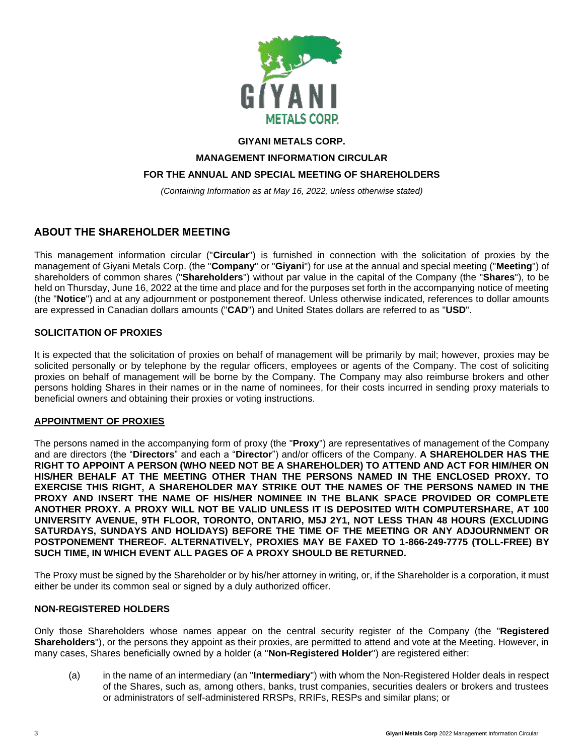

## **GIYANI METALS CORP.**

**MANAGEMENT INFORMATION CIRCULAR**

## **FOR THE ANNUAL AND SPECIAL MEETING OF SHAREHOLDERS**

*(Containing Information as at May 16, 2022, unless otherwise stated)*

## **ABOUT THE SHAREHOLDER MEETING**

This management information circular ("**Circular**") is furnished in connection with the solicitation of proxies by the management of Giyani Metals Corp. (the "**Company**" or "**Giyani**") for use at the annual and special meeting ("**Meeting**") of shareholders of common shares ("**Shareholders**") without par value in the capital of the Company (the "**Shares**"), to be held on Thursday, June 16, 2022 at the time and place and for the purposes set forth in the accompanying notice of meeting (the "**Notice**") and at any adjournment or postponement thereof. Unless otherwise indicated, references to dollar amounts are expressed in Canadian dollars amounts ("**CAD**") and United States dollars are referred to as "**USD**".

## **SOLICITATION OF PROXIES**

It is expected that the solicitation of proxies on behalf of management will be primarily by mail; however, proxies may be solicited personally or by telephone by the regular officers, employees or agents of the Company. The cost of soliciting proxies on behalf of management will be borne by the Company. The Company may also reimburse brokers and other persons holding Shares in their names or in the name of nominees, for their costs incurred in sending proxy materials to beneficial owners and obtaining their proxies or voting instructions.

#### **APPOINTMENT OF PROXIES**

The persons named in the accompanying form of proxy (the "**Proxy**") are representatives of management of the Company and are directors (the "**Directors**" and each a "**Director**") and/or officers of the Company. **A SHAREHOLDER HAS THE RIGHT TO APPOINT A PERSON (WHO NEED NOT BE A SHAREHOLDER) TO ATTEND AND ACT FOR HIM/HER ON HIS/HER BEHALF AT THE MEETING OTHER THAN THE PERSONS NAMED IN THE ENCLOSED PROXY. TO EXERCISE THIS RIGHT, A SHAREHOLDER MAY STRIKE OUT THE NAMES OF THE PERSONS NAMED IN THE PROXY AND INSERT THE NAME OF HIS/HER NOMINEE IN THE BLANK SPACE PROVIDED OR COMPLETE ANOTHER PROXY. A PROXY WILL NOT BE VALID UNLESS IT IS DEPOSITED WITH COMPUTERSHARE, AT 100 UNIVERSITY AVENUE, 9TH FLOOR, TORONTO, ONTARIO, M5J 2Y1, NOT LESS THAN 48 HOURS (EXCLUDING SATURDAYS, SUNDAYS AND HOLIDAYS) BEFORE THE TIME OF THE MEETING OR ANY ADJOURNMENT OR POSTPONEMENT THEREOF. ALTERNATIVELY, PROXIES MAY BE FAXED TO 1-866-249-7775 (TOLL-FREE) BY SUCH TIME, IN WHICH EVENT ALL PAGES OF A PROXY SHOULD BE RETURNED.**

The Proxy must be signed by the Shareholder or by his/her attorney in writing, or, if the Shareholder is a corporation, it must either be under its common seal or signed by a duly authorized officer.

#### **NON-REGISTERED HOLDERS**

Only those Shareholders whose names appear on the central security register of the Company (the "**Registered Shareholders**"), or the persons they appoint as their proxies, are permitted to attend and vote at the Meeting. However, in many cases, Shares beneficially owned by a holder (a "**Non-Registered Holder**") are registered either:

(a) in the name of an intermediary (an "**Intermediary**") with whom the Non-Registered Holder deals in respect of the Shares, such as, among others, banks, trust companies, securities dealers or brokers and trustees or administrators of self-administered RRSPs, RRIFs, RESPs and similar plans; or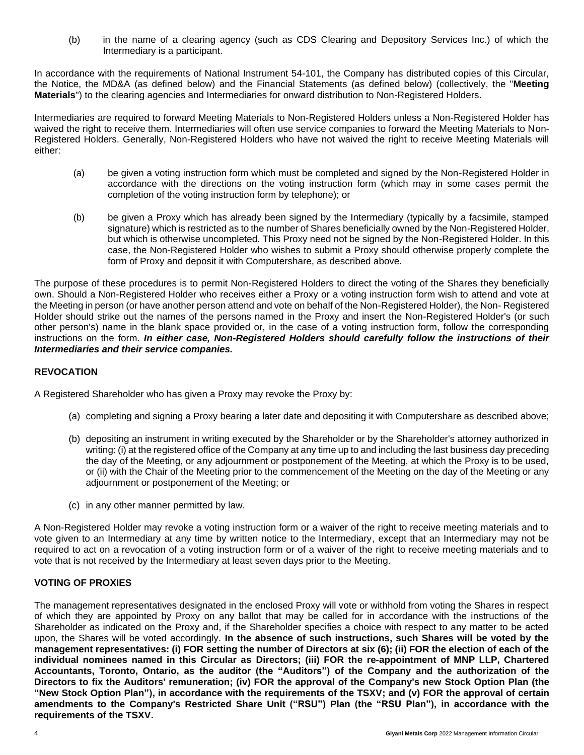(b) in the name of a clearing agency (such as CDS Clearing and Depository Services Inc.) of which the Intermediary is a participant.

In accordance with the requirements of National Instrument 54-101, the Company has distributed copies of this Circular, the Notice, the MD&A (as defined below) and the Financial Statements (as defined below) (collectively, the "**Meeting Materials**") to the clearing agencies and Intermediaries for onward distribution to Non-Registered Holders.

Intermediaries are required to forward Meeting Materials to Non-Registered Holders unless a Non-Registered Holder has waived the right to receive them. Intermediaries will often use service companies to forward the Meeting Materials to Non-Registered Holders. Generally, Non-Registered Holders who have not waived the right to receive Meeting Materials will either:

- (a) be given a voting instruction form which must be completed and signed by the Non-Registered Holder in accordance with the directions on the voting instruction form (which may in some cases permit the completion of the voting instruction form by telephone); or
- (b) be given a Proxy which has already been signed by the Intermediary (typically by a facsimile, stamped signature) which is restricted as to the number of Shares beneficially owned by the Non-Registered Holder, but which is otherwise uncompleted. This Proxy need not be signed by the Non-Registered Holder. In this case, the Non-Registered Holder who wishes to submit a Proxy should otherwise properly complete the form of Proxy and deposit it with Computershare, as described above.

The purpose of these procedures is to permit Non-Registered Holders to direct the voting of the Shares they beneficially own. Should a Non-Registered Holder who receives either a Proxy or a voting instruction form wish to attend and vote at the Meeting in person (or have another person attend and vote on behalf of the Non-Registered Holder), the Non- Registered Holder should strike out the names of the persons named in the Proxy and insert the Non-Registered Holder's (or such other person's) name in the blank space provided or, in the case of a voting instruction form, follow the corresponding instructions on the form. *In either case, Non-Registered Holders should carefully follow the instructions of their Intermediaries and their service companies.*

## **REVOCATION**

A Registered Shareholder who has given a Proxy may revoke the Proxy by:

- (a) completing and signing a Proxy bearing a later date and depositing it with Computershare as described above;
- (b) depositing an instrument in writing executed by the Shareholder or by the Shareholder's attorney authorized in writing: (i) at the registered office of the Company at any time up to and including the last business day preceding the day of the Meeting, or any adjournment or postponement of the Meeting, at which the Proxy is to be used, or (ii) with the Chair of the Meeting prior to the commencement of the Meeting on the day of the Meeting or any adjournment or postponement of the Meeting; or
- (c) in any other manner permitted by law.

A Non-Registered Holder may revoke a voting instruction form or a waiver of the right to receive meeting materials and to vote given to an Intermediary at any time by written notice to the Intermediary, except that an Intermediary may not be required to act on a revocation of a voting instruction form or of a waiver of the right to receive meeting materials and to vote that is not received by the Intermediary at least seven days prior to the Meeting.

## **VOTING OF PROXIES**

The management representatives designated in the enclosed Proxy will vote or withhold from voting the Shares in respect of which they are appointed by Proxy on any ballot that may be called for in accordance with the instructions of the Shareholder as indicated on the Proxy and, if the Shareholder specifies a choice with respect to any matter to be acted upon, the Shares will be voted accordingly. **In the absence of such instructions, such Shares will be voted by the management representatives: (i) FOR setting the number of Directors at six (6); (ii) FOR the election of each of the individual nominees named in this Circular as Directors; (iii) FOR the re-appointment of MNP LLP, Chartered Accountants, Toronto, Ontario, as the auditor (the "Auditors") of the Company and the authorization of the Directors to fix the Auditors' remuneration; (iv) FOR the approval of the Company's new Stock Option Plan (the "New Stock Option Plan"), in accordance with the requirements of the TSXV; and (v) FOR the approval of certain amendments to the Company's Restricted Share Unit ("RSU") Plan (the "RSU Plan"), in accordance with the requirements of the TSXV.**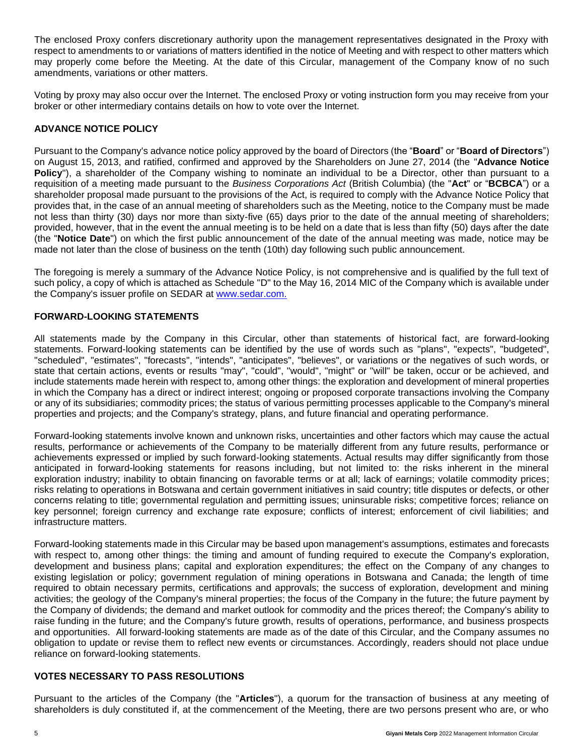The enclosed Proxy confers discretionary authority upon the management representatives designated in the Proxy with respect to amendments to or variations of matters identified in the notice of Meeting and with respect to other matters which may properly come before the Meeting. At the date of this Circular, management of the Company know of no such amendments, variations or other matters.

Voting by proxy may also occur over the Internet. The enclosed Proxy or voting instruction form you may receive from your broker or other intermediary contains details on how to vote over the Internet.

## **ADVANCE NOTICE POLICY**

Pursuant to the Company's advance notice policy approved by the board of Directors (the "**Board**" or "**Board of Directors**") on August 15, 2013, and ratified, confirmed and approved by the Shareholders on June 27, 2014 (the "**Advance Notice Policy**"), a shareholder of the Company wishing to nominate an individual to be a Director, other than pursuant to a requisition of a meeting made pursuant to the *Business Corporations Act* (British Columbia) (the "**Act**" or "**BCBCA**") or a shareholder proposal made pursuant to the provisions of the Act, is required to comply with the Advance Notice Policy that provides that, in the case of an annual meeting of shareholders such as the Meeting, notice to the Company must be made not less than thirty (30) days nor more than sixty-five (65) days prior to the date of the annual meeting of shareholders; provided, however, that in the event the annual meeting is to be held on a date that is less than fifty (50) days after the date (the "**Notice Date**") on which the first public announcement of the date of the annual meeting was made, notice may be made not later than the close of business on the tenth (10th) day following such public announcement.

The foregoing is merely a summary of the Advance Notice Policy, is not comprehensive and is qualified by the full text of such policy, a copy of which is attached as Schedule "D" to the May 16, 2014 MIC of the Company which is available under the Company's issuer profile on SEDAR at [www.sedar.com.](http://www.sedar.com./)

## **FORWARD-LOOKING STATEMENTS**

All statements made by the Company in this Circular, other than statements of historical fact, are forward-looking statements. Forward-looking statements can be identified by the use of words such as "plans", "expects", "budgeted", "scheduled", "estimates", "forecasts", "intends", "anticipates", "believes", or variations or the negatives of such words, or state that certain actions, events or results "may", "could", "would", "might" or "will" be taken, occur or be achieved, and include statements made herein with respect to, among other things: the exploration and development of mineral properties in which the Company has a direct or indirect interest; ongoing or proposed corporate transactions involving the Company or any of its subsidiaries; commodity prices; the status of various permitting processes applicable to the Company's mineral properties and projects; and the Company's strategy, plans, and future financial and operating performance.

Forward-looking statements involve known and unknown risks, uncertainties and other factors which may cause the actual results, performance or achievements of the Company to be materially different from any future results, performance or achievements expressed or implied by such forward-looking statements. Actual results may differ significantly from those anticipated in forward-looking statements for reasons including, but not limited to: the risks inherent in the mineral exploration industry; inability to obtain financing on favorable terms or at all; lack of earnings; volatile commodity prices; risks relating to operations in Botswana and certain government initiatives in said country; title disputes or defects, or other concerns relating to title; governmental regulation and permitting issues; uninsurable risks; competitive forces; reliance on key personnel; foreign currency and exchange rate exposure; conflicts of interest; enforcement of civil liabilities; and infrastructure matters.

Forward-looking statements made in this Circular may be based upon management's assumptions, estimates and forecasts with respect to, among other things: the timing and amount of funding required to execute the Company's exploration, development and business plans; capital and exploration expenditures; the effect on the Company of any changes to existing legislation or policy; government regulation of mining operations in Botswana and Canada; the length of time required to obtain necessary permits, certifications and approvals; the success of exploration, development and mining activities; the geology of the Company's mineral properties; the focus of the Company in the future; the future payment by the Company of dividends; the demand and market outlook for commodity and the prices thereof; the Company's ability to raise funding in the future; and the Company's future growth, results of operations, performance, and business prospects and opportunities. All forward-looking statements are made as of the date of this Circular, and the Company assumes no obligation to update or revise them to reflect new events or circumstances. Accordingly, readers should not place undue reliance on forward-looking statements.

## **VOTES NECESSARY TO PASS RESOLUTIONS**

Pursuant to the articles of the Company (the "**Articles**"), a quorum for the transaction of business at any meeting of shareholders is duly constituted if, at the commencement of the Meeting, there are two persons present who are, or who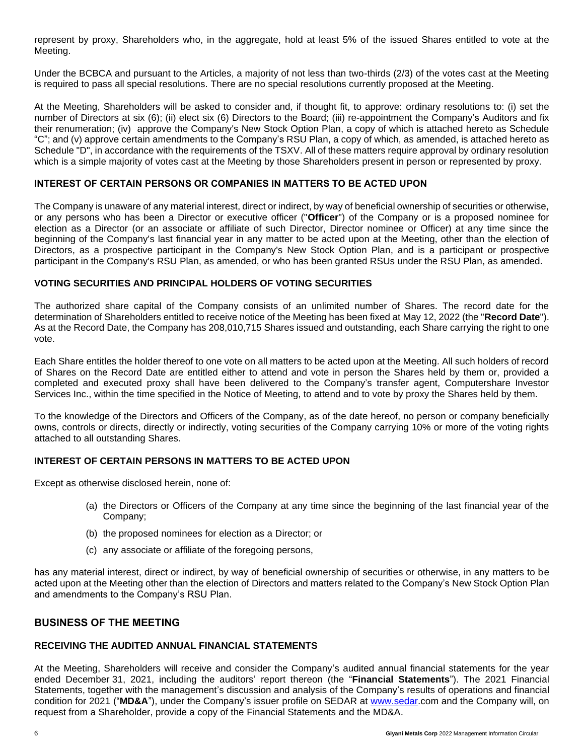represent by proxy, Shareholders who, in the aggregate, hold at least 5% of the issued Shares entitled to vote at the Meeting.

Under the BCBCA and pursuant to the Articles, a majority of not less than two-thirds (2/3) of the votes cast at the Meeting is required to pass all special resolutions. There are no special resolutions currently proposed at the Meeting.

At the Meeting, Shareholders will be asked to consider and, if thought fit, to approve: ordinary resolutions to: (i) set the number of Directors at six (6); (ii) elect six (6) Directors to the Board; (iii) re-appointment the Company's Auditors and fix their renumeration; (iv) approve the Company's New Stock Option Plan, a copy of which is attached hereto as Schedule "C"; and (v) approve certain amendments to the Company's RSU Plan, a copy of which, as amended, is attached hereto as Schedule "D", in accordance with the requirements of the TSXV. All of these matters require approval by ordinary resolution which is a simple majority of votes cast at the Meeting by those Shareholders present in person or represented by proxy.

## **INTEREST OF CERTAIN PERSONS OR COMPANIES IN MATTERS TO BE ACTED UPON**

The Company is unaware of any material interest, direct or indirect, by way of beneficial ownership of securities or otherwise, or any persons who has been a Director or executive officer ("**Officer**") of the Company or is a proposed nominee for election as a Director (or an associate or affiliate of such Director, Director nominee or Officer) at any time since the beginning of the Company's last financial year in any matter to be acted upon at the Meeting, other than the election of Directors, as a prospective participant in the Company's New Stock Option Plan, and is a participant or prospective participant in the Company's RSU Plan, as amended, or who has been granted RSUs under the RSU Plan, as amended.

## **VOTING SECURITIES AND PRINCIPAL HOLDERS OF VOTING SECURITIES**

The authorized share capital of the Company consists of an unlimited number of Shares. The record date for the determination of Shareholders entitled to receive notice of the Meeting has been fixed at May 12, 2022 (the "**Record Date**"). As at the Record Date, the Company has 208,010,715 Shares issued and outstanding, each Share carrying the right to one vote.

Each Share entitles the holder thereof to one vote on all matters to be acted upon at the Meeting. All such holders of record of Shares on the Record Date are entitled either to attend and vote in person the Shares held by them or, provided a completed and executed proxy shall have been delivered to the Company's transfer agent, Computershare Investor Services Inc., within the time specified in the Notice of Meeting, to attend and to vote by proxy the Shares held by them.

To the knowledge of the Directors and Officers of the Company, as of the date hereof, no person or company beneficially owns, controls or directs, directly or indirectly, voting securities of the Company carrying 10% or more of the voting rights attached to all outstanding Shares.

## **INTEREST OF CERTAIN PERSONS IN MATTERS TO BE ACTED UPON**

Except as otherwise disclosed herein, none of:

- (a) the Directors or Officers of the Company at any time since the beginning of the last financial year of the Company;
- (b) the proposed nominees for election as a Director; or
- (c) any associate or affiliate of the foregoing persons,

has any material interest, direct or indirect, by way of beneficial ownership of securities or otherwise, in any matters to be acted upon at the Meeting other than the election of Directors and matters related to the Company's New Stock Option Plan and amendments to the Company's RSU Plan.

## **BUSINESS OF THE MEETING**

## **RECEIVING THE AUDITED ANNUAL FINANCIAL STATEMENTS**

At the Meeting, Shareholders will receive and consider the Company's audited annual financial statements for the year ended December 31, 2021, including the auditors' report thereon (the "**Financial Statements**"). The 2021 Financial Statements, together with the management's discussion and analysis of the Company's results of operations and financial condition for 2021 ("**MD&A**"), under the Company's issuer profile on SEDAR at [www.sedar.](http://www.sedar/)com and the Company will, on request from a Shareholder, provide a copy of the Financial Statements and the MD&A.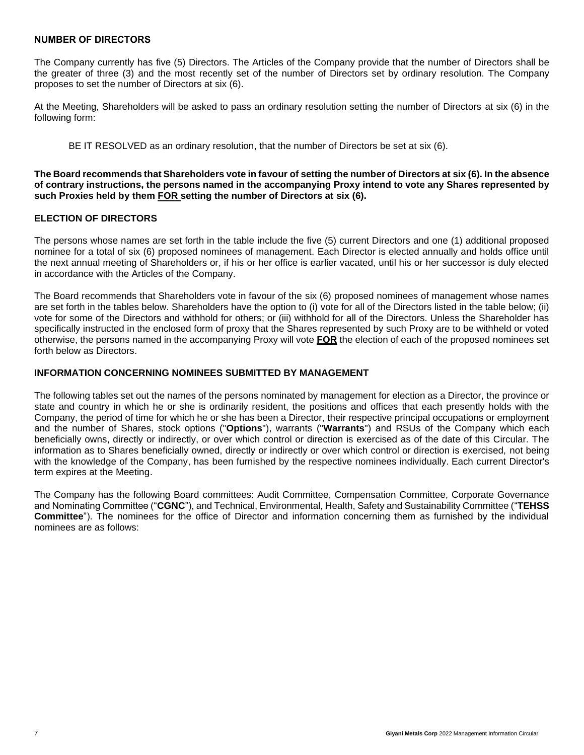#### **NUMBER OF DIRECTORS**

The Company currently has five (5) Directors. The Articles of the Company provide that the number of Directors shall be the greater of three (3) and the most recently set of the number of Directors set by ordinary resolution. The Company proposes to set the number of Directors at six (6).

At the Meeting, Shareholders will be asked to pass an ordinary resolution setting the number of Directors at six (6) in the following form:

BE IT RESOLVED as an ordinary resolution, that the number of Directors be set at six (6).

**The Board recommends that Shareholders vote in favour of setting the number of Directors at six (6). In the absence of contrary instructions, the persons named in the accompanying Proxy intend to vote any Shares represented by such Proxies held by them FOR setting the number of Directors at six (6).**

#### **ELECTION OF DIRECTORS**

The persons whose names are set forth in the table include the five (5) current Directors and one (1) additional proposed nominee for a total of six (6) proposed nominees of management. Each Director is elected annually and holds office until the next annual meeting of Shareholders or, if his or her office is earlier vacated, until his or her successor is duly elected in accordance with the Articles of the Company.

The Board recommends that Shareholders vote in favour of the six (6) proposed nominees of management whose names are set forth in the tables below. Shareholders have the option to (i) vote for all of the Directors listed in the table below; (ii) vote for some of the Directors and withhold for others; or (iii) withhold for all of the Directors. Unless the Shareholder has specifically instructed in the enclosed form of proxy that the Shares represented by such Proxy are to be withheld or voted otherwise, the persons named in the accompanying Proxy will vote **FOR** the election of each of the proposed nominees set forth below as Directors.

## **INFORMATION CONCERNING NOMINEES SUBMITTED BY MANAGEMENT**

The following tables set out the names of the persons nominated by management for election as a Director, the province or state and country in which he or she is ordinarily resident, the positions and offices that each presently holds with the Company, the period of time for which he or she has been a Director, their respective principal occupations or employment and the number of Shares, stock options ("**Options**"), warrants ("**Warrants**") and RSUs of the Company which each beneficially owns, directly or indirectly, or over which control or direction is exercised as of the date of this Circular. The information as to Shares beneficially owned, directly or indirectly or over which control or direction is exercised, not being with the knowledge of the Company, has been furnished by the respective nominees individually. Each current Director's term expires at the Meeting.

The Company has the following Board committees: Audit Committee, Compensation Committee, Corporate Governance and Nominating Committee ("**CGNC**"), and Technical, Environmental, Health, Safety and Sustainability Committee ("**TEHSS Committee**"). The nominees for the office of Director and information concerning them as furnished by the individual nominees are as follows: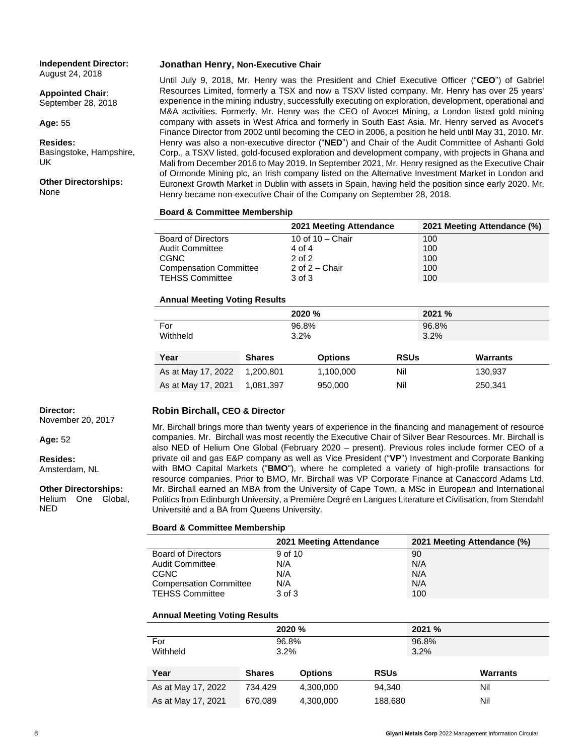**Independent Director:** August 24, 2018

**Appointed Chair**: September 28, 2018

**Age:** 55

**Resides:** Basingstoke, Hampshire, UK

**Other Directorships:** None

#### **Jonathan Henry, Non-Executive Chair**

Until July 9, 2018, Mr. Henry was the President and Chief Executive Officer ("**CEO**") of Gabriel Resources Limited, formerly a TSX and now a TSXV listed company. Mr. Henry has over 25 years' experience in the mining industry, successfully executing on exploration, development, operational and M&A activities. Formerly, Mr. Henry was the CEO of Avocet Mining, a London listed gold mining company with assets in West Africa and formerly in South East Asia. Mr. Henry served as Avocet's Finance Director from 2002 until becoming the CEO in 2006, a position he held until May 31, 2010. Mr. Henry was also a non-executive director ("**NED**") and Chair of the Audit Committee of Ashanti Gold Corp., a TSXV listed, gold-focused exploration and development company, with projects in Ghana and Mali from December 2016 to May 2019. In September 2021, Mr. Henry resigned as the Executive Chair of Ormonde Mining plc, an Irish company listed on the Alternative Investment Market in London and Euronext Growth Market in Dublin with assets in Spain, having held the position since early 2020. Mr. Henry became non-executive Chair of the Company on September 28, 2018.

#### **Board & Committee Membership**

|                               | 2021 Meeting Attendance | 2021 Meeting Attendance (%) |
|-------------------------------|-------------------------|-----------------------------|
| <b>Board of Directors</b>     | 10 of $10 -$ Chair      | 100                         |
| <b>Audit Committee</b>        | 4 of 4                  | 100                         |
| CGNC                          | $2$ of $2$              | 100                         |
| <b>Compensation Committee</b> | 2 of $2 -$ Chair        | 100                         |
| <b>TEHSS Committee</b>        | 3 of 3                  | 100                         |

#### **Annual Meeting Voting Results**

|                    |               | 2020 %         | 2021 %      |                 |  |
|--------------------|---------------|----------------|-------------|-----------------|--|
| For                |               | 96.8%          | 96.8%       |                 |  |
| Withheld           |               | $3.2\%$        | 3.2%        |                 |  |
|                    |               |                |             |                 |  |
| Year               | <b>Shares</b> | <b>Options</b> | <b>RSUs</b> | <b>Warrants</b> |  |
| As at May 17, 2022 | 1,200,801     | 1,100,000      | Nil         | 130,937         |  |
| As at May 17, 2021 | 1,081,397     | 950,000        | Nil         | 250,341         |  |

#### **Robin Birchall, CEO & Director**

Mr. Birchall brings more than twenty years of experience in the financing and management of resource companies. Mr. Birchall was most recently the Executive Chair of Silver Bear Resources. Mr. Birchall is also NED of Helium One Global (February 2020 – present). Previous roles include former CEO of a private oil and gas E&P company as well as Vice President ("**VP**") Investment and Corporate Banking with BMO Capital Markets ("**BMO**"), where he completed a variety of high-profile transactions for resource companies. Prior to BMO, Mr. Birchall was VP Corporate Finance at Canaccord Adams Ltd. Mr. Birchall earned an MBA from the University of Cape Town, a MSc in European and International Politics from Edinburgh University, a Première Degré en Langues Literature et Civilisation, from Stendahl Université and a BA from Queens University.

#### **Board & Committee Membership**

|                               | 2021 Meeting Attendance | 2021 Meeting Attendance (%) |
|-------------------------------|-------------------------|-----------------------------|
| <b>Board of Directors</b>     | 9 of 10                 | 90                          |
| <b>Audit Committee</b>        | N/A                     | N/A                         |
| CGNC                          | N/A                     | N/A                         |
| <b>Compensation Committee</b> | N/A                     | N/A                         |
| <b>TEHSS Committee</b>        | 3 of 3                  | 100                         |

#### **Annual Meeting Voting Results**

|                    | 2020 %           |                |               | 2021 % |                 |
|--------------------|------------------|----------------|---------------|--------|-----------------|
| For<br>Withheld    | 96.8%<br>$3.2\%$ |                | 96.8%<br>3.2% |        |                 |
| Year               | <b>Shares</b>    | <b>Options</b> | <b>RSUs</b>   |        | <b>Warrants</b> |
| As at May 17, 2022 | 734.429          | 4,300,000      | 94,340        |        | Nil             |
| As at May 17, 2021 | 670,089          | 4,300,000      | 188,680       |        | Nil             |

**Director:** November 20, 2017

**Age:** 52

**Resides:** Amsterdam, NL

**Other Directorships:** Helium One Global, NED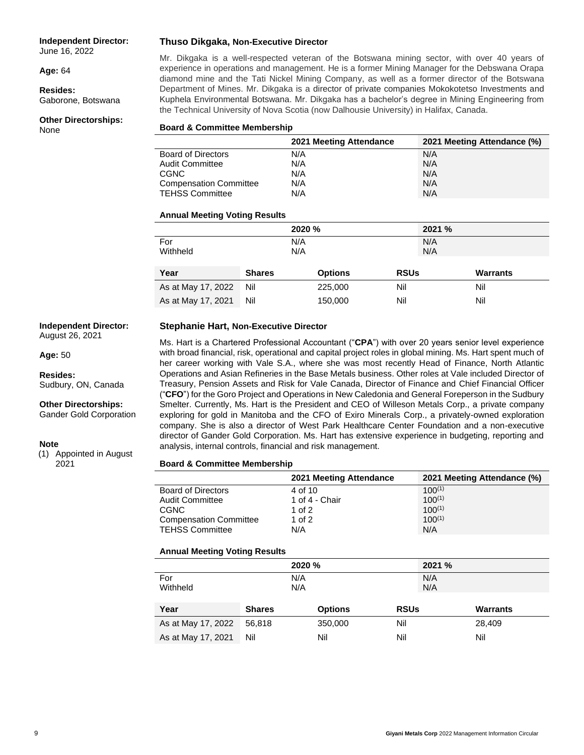#### **Independent Director:**

June 16, 2022

**Age:** 64

**Resides:** Gaborone, Botswana

#### **Other Directorships:** None

#### **Thuso Dikgaka, Non-Executive Director**

Mr. Dikgaka is a well-respected veteran of the Botswana mining sector, with over 40 years of experience in operations and management. He is a former Mining Manager for the Debswana Orapa diamond mine and the Tati Nickel Mining Company, as well as a former director of the Botswana Department of Mines. Mr. Dikgaka is a director of private companies Mokokotetso Investments and Kuphela Environmental Botswana. Mr. Dikgaka has a bachelor's degree in Mining Engineering from the Technical University of Nova Scotia (now Dalhousie University) in Halifax, Canada.

#### **Board & Committee Membership**

|                               | 2021 Meeting Attendance | 2021 Meeting Attendance (%) |
|-------------------------------|-------------------------|-----------------------------|
| <b>Board of Directors</b>     | N/A                     | N/A                         |
| <b>Audit Committee</b>        | N/A                     | N/A                         |
| <b>CGNC</b>                   | N/A                     | N/A                         |
| <b>Compensation Committee</b> | N/A                     | N/A                         |
| <b>TEHSS Committee</b>        | N/A                     | N/A                         |

#### **Annual Meeting Voting Results**

|                    |               | 2020 %         | 2021 %      |                 |
|--------------------|---------------|----------------|-------------|-----------------|
| For                |               | N/A            | N/A         |                 |
| Withheld           |               | N/A            | N/A         |                 |
|                    |               |                |             |                 |
| Year               | <b>Shares</b> | <b>Options</b> | <b>RSUs</b> | <b>Warrants</b> |
| As at May 17, 2022 | Nil           | 225,000        | Nil         | Nil             |
| As at May 17, 2021 | Nil           | 150,000        | Nil         | Nil             |

#### **Stephanie Hart, Non-Executive Director**

**Independent Director:** August 26, 2021

**Age:** 50

**Resides:** Sudbury, ON, Canada

**Other Directorships:**

Gander Gold Corporation

#### **Note**

(1) Appointed in August 2021

Ms. Hart is a Chartered Professional Accountant ("**CPA**") with over 20 years senior level experience with broad financial, risk, operational and capital project roles in global mining. Ms. Hart spent much of her career working with Vale S.A., where she was most recently Head of Finance, North Atlantic Operations and Asian Refineries in the Base Metals business. Other roles at Vale included Director of Treasury, Pension Assets and Risk for Vale Canada, Director of Finance and Chief Financial Officer ("**CFO**") for the Goro Project and Operations in New Caledonia and General Foreperson in the Sudbury Smelter. Currently, Ms. Hart is the President and CEO of Willeson Metals Corp., a private company exploring for gold in Manitoba and the CFO of Exiro Minerals Corp., a privately-owned exploration company. She is also a director of West Park Healthcare Center Foundation and a non-executive director of Gander Gold Corporation. Ms. Hart has extensive experience in budgeting, reporting and analysis, internal controls, financial and risk management.

#### **Board & Committee Membership**

|                               | 2021 Meeting Attendance | 2021 Meeting Attendance (%) |
|-------------------------------|-------------------------|-----------------------------|
| <b>Board of Directors</b>     | 4 of 10                 | $100^{(1)}$                 |
| <b>Audit Committee</b>        | 1 of 4 - Chair          | $100^{(1)}$                 |
| CGNC                          | 1 of $2$                | $100^{(1)}$                 |
| <b>Compensation Committee</b> | 1 of 2                  | $100^{(1)}$                 |
| <b>TEHSS Committee</b>        | N/A                     | N/A                         |

#### **Annual Meeting Voting Results**

|                    |               | 2020 %         | 2021 %      |                 |  |
|--------------------|---------------|----------------|-------------|-----------------|--|
| For                |               | N/A            | N/A         |                 |  |
| Withheld           |               | N/A            | N/A         |                 |  |
|                    |               |                |             |                 |  |
| Year               | <b>Shares</b> | <b>Options</b> | <b>RSUs</b> | <b>Warrants</b> |  |
| As at May 17, 2022 | 56,818        | 350,000        | Nil         | 28,409          |  |
| As at May 17, 2021 | Nil           | Nil            | Nil         | Nil             |  |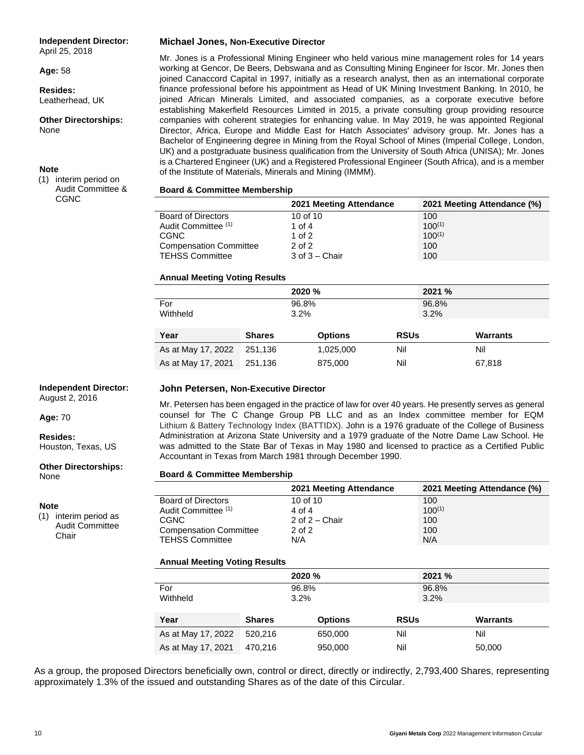#### **Independent Director:**

April 25, 2018

**Age:** 58

**Resides:** Leatherhead, UK

**Other Directorships:** None

#### **Note**

(1) interim period on Audit Committee & CGNC

#### **Michael Jones, Non-Executive Director**

Mr. Jones is a Professional Mining Engineer who held various mine management roles for 14 years working at Gencor, De Beers, Debswana and as Consulting Mining Engineer for Iscor. Mr. Jones then joined Canaccord Capital in 1997, initially as a research analyst, then as an international corporate finance professional before his appointment as Head of UK Mining Investment Banking. In 2010, he joined African Minerals Limited, and associated companies, as a corporate executive before establishing Makerfield Resources Limited in 2015, a private consulting group providing resource companies with coherent strategies for enhancing value. In May 2019, he was appointed Regional Director, Africa, Europe and Middle East for Hatch Associates' advisory group. Mr. Jones has a Bachelor of Engineering degree in Mining from the Royal School of Mines (Imperial College, London, UK) and a postgraduate business qualification from the University of South Africa (UNISA); Mr. Jones is a Chartered Engineer (UK) and a Registered Professional Engineer (South Africa), and is a member of the Institute of Materials, Minerals and Mining (IMMM).

#### **Board & Committee Membership**

|                               | 2021 Meeting Attendance | 2021 Meeting Attendance (%) |
|-------------------------------|-------------------------|-----------------------------|
| <b>Board of Directors</b>     | 10 of 10                | 100                         |
| Audit Committee (1)           | 1 of 4                  | $100^{(1)}$                 |
| CGNC                          | 1 of $2$                | $100^{(1)}$                 |
| <b>Compensation Committee</b> | $2$ of $2$              | 100                         |
| <b>TEHSS Committee</b>        | $3$ of $3 -$ Chair      | 100                         |

#### **Annual Meeting Voting Results**

|                    |               | 2020 %         | 2021 %      |                 |
|--------------------|---------------|----------------|-------------|-----------------|
| For                |               | 96.8%          | 96.8%       |                 |
| Withheld           | $3.2\%$       |                | 3.2%        |                 |
|                    |               |                |             |                 |
| Year               | <b>Shares</b> | <b>Options</b> | <b>RSUs</b> | <b>Warrants</b> |
| As at May 17, 2022 | 251.136       | 1,025,000      | Nil         | Nil             |
| As at May 17, 2021 | 251.136       | 875,000        | Nil         | 67,818          |

#### **Independent Director:**

August 2, 2016

**Age:** 70

**Resides:** Houston, Texas, US

# **Other Directorships:**

None

#### **Note**

(1) interim period as Audit Committee Chair

#### **John Petersen, Non-Executive Director**

Mr. Petersen has been engaged in the practice of law for over 40 years. He presently serves as general counsel for The C Change Group PB LLC and as an Index committee member for EQM Lithium & Battery Technology Index (BATTIDX). John is a 1976 graduate of the College of Business Administration at Arizona State University and a 1979 graduate of the Notre Dame Law School. He was admitted to the State Bar of Texas in May 1980 and licensed to practice as a Certified Public Accountant in Texas from March 1981 through December 1990.

#### **Board & Committee Membership**

|                               | 2021 Meeting Attendance | 2021 Meeting Attendance (%) |
|-------------------------------|-------------------------|-----------------------------|
| <b>Board of Directors</b>     | 10 of 10                | 100                         |
| Audit Committee (1)           | $4 \text{ of } 4$       | $100^{(1)}$                 |
| CGNC                          | 2 of $2 -$ Chair        | 100                         |
| <b>Compensation Committee</b> | $2$ of $2$              | 100                         |
| <b>TEHSS Committee</b>        | N/A                     | N/A                         |

#### **Annual Meeting Voting Results**

|                    |               | 2020 %         | 2021 %      |                 |  |
|--------------------|---------------|----------------|-------------|-----------------|--|
| For                |               | 96.8%          | 96.8%       |                 |  |
| Withheld           |               | $3.2\%$        | 3.2%        |                 |  |
|                    |               |                |             |                 |  |
| Year               | <b>Shares</b> | <b>Options</b> | <b>RSUs</b> | <b>Warrants</b> |  |
| As at May 17, 2022 | 520.216       | 650,000        | Nil         | Nil             |  |
| As at May 17, 2021 | 470.216       | 950,000        | Nil         | 50,000          |  |

As a group, the proposed Directors beneficially own, control or direct, directly or indirectly, 2,793,400 Shares, representing approximately 1.3% of the issued and outstanding Shares as of the date of this Circular.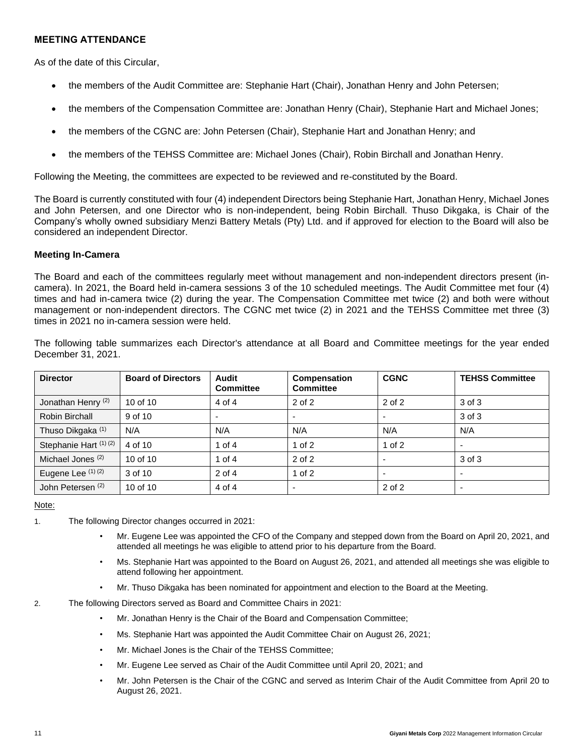## **MEETING ATTENDANCE**

As of the date of this Circular,

- the members of the Audit Committee are: Stephanie Hart (Chair), Jonathan Henry and John Petersen;
- the members of the Compensation Committee are: Jonathan Henry (Chair), Stephanie Hart and Michael Jones;
- the members of the CGNC are: John Petersen (Chair), Stephanie Hart and Jonathan Henry; and
- the members of the TEHSS Committee are: Michael Jones (Chair), Robin Birchall and Jonathan Henry.

Following the Meeting, the committees are expected to be reviewed and re-constituted by the Board.

The Board is currently constituted with four (4) independent Directors being Stephanie Hart, Jonathan Henry, Michael Jones and John Petersen, and one Director who is non-independent, being Robin Birchall. Thuso Dikgaka, is Chair of the Company's wholly owned subsidiary Menzi Battery Metals (Pty) Ltd. and if approved for election to the Board will also be considered an independent Director.

#### **Meeting In-Camera**

The Board and each of the committees regularly meet without management and non-independent directors present (incamera). In 2021, the Board held in-camera sessions 3 of the 10 scheduled meetings. The Audit Committee met four (4) times and had in-camera twice (2) during the year. The Compensation Committee met twice (2) and both were without management or non-independent directors. The CGNC met twice (2) in 2021 and the TEHSS Committee met three (3) times in 2021 no in-camera session were held.

| <b>Director</b>               | <b>Board of Directors</b> | Audit<br><b>Committee</b> | <b>Compensation</b><br><b>Committee</b> | <b>CGNC</b>              | <b>TEHSS Committee</b> |
|-------------------------------|---------------------------|---------------------------|-----------------------------------------|--------------------------|------------------------|
| Jonathan Henry <sup>(2)</sup> | 10 of 10                  | 4 of 4                    | $2$ of $2$                              | 2 of 2                   | 3 of 3                 |
| Robin Birchall                | 9 of 10                   | $\overline{\phantom{0}}$  |                                         |                          | 3 of 3                 |
| Thuso Dikgaka <sup>(1)</sup>  | N/A                       | N/A                       | N/A                                     | N/A                      | N/A                    |
| Stephanie Hart (1) (2)        | 4 of 10                   | 1 of $4$                  | $1$ of $2$                              | $1$ of $2$               |                        |
| Michael Jones <sup>(2)</sup>  | 10 of 10                  | 1 of $4$                  | $2$ of $2$                              |                          | 3 of 3                 |
| Eugene Lee (1) (2)            | 3 of 10                   | $2$ of $4$                | $1$ of $2$                              | $\overline{\phantom{0}}$ |                        |
| John Petersen <sup>(2)</sup>  | 10 of 10                  | 4 of 4                    | $\overline{\phantom{0}}$                | 2 of 2                   |                        |

The following table summarizes each Director's attendance at all Board and Committee meetings for the year ended December 31, 2021.

Note:

- 1. The following Director changes occurred in 2021:
	- Mr. Eugene Lee was appointed the CFO of the Company and stepped down from the Board on April 20, 2021, and attended all meetings he was eligible to attend prior to his departure from the Board.
	- Ms. Stephanie Hart was appointed to the Board on August 26, 2021, and attended all meetings she was eligible to attend following her appointment.
	- Mr. Thuso Dikgaka has been nominated for appointment and election to the Board at the Meeting.

2. The following Directors served as Board and Committee Chairs in 2021:

- Mr. Jonathan Henry is the Chair of the Board and Compensation Committee;
- Ms. Stephanie Hart was appointed the Audit Committee Chair on August 26, 2021;
- Mr. Michael Jones is the Chair of the TEHSS Committee;
- Mr. Eugene Lee served as Chair of the Audit Committee until April 20, 2021; and
- Mr. John Petersen is the Chair of the CGNC and served as Interim Chair of the Audit Committee from April 20 to August 26, 2021.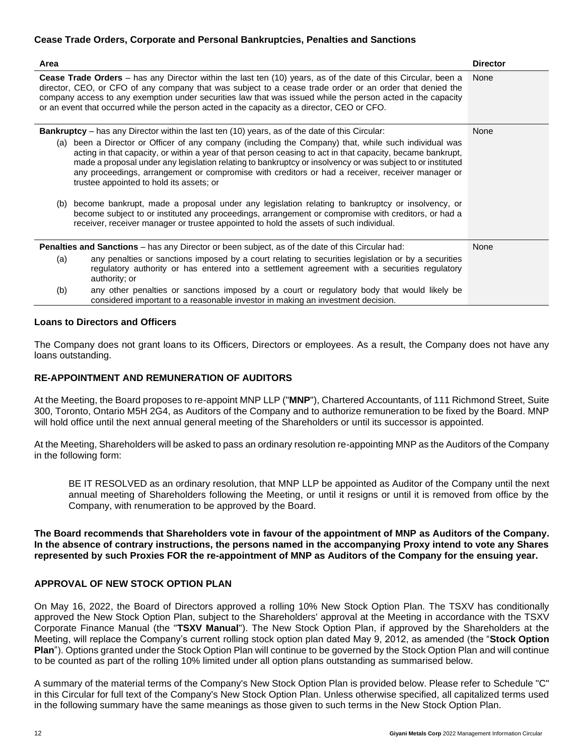## **Cease Trade Orders, Corporate and Personal Bankruptcies, Penalties and Sanctions**

| Area                                                                                                                                                                                                                                                                                                                                                                                                                                                                              | <b>Director</b> |
|-----------------------------------------------------------------------------------------------------------------------------------------------------------------------------------------------------------------------------------------------------------------------------------------------------------------------------------------------------------------------------------------------------------------------------------------------------------------------------------|-----------------|
| Cease Trade Orders - has any Director within the last ten (10) years, as of the date of this Circular, been a<br>director, CEO, or CFO of any company that was subject to a cease trade order or an order that denied the<br>company access to any exemption under securities law that was issued while the person acted in the capacity<br>or an event that occurred while the person acted in the capacity as a director, CEO or CFO.                                           | None            |
| <b>Bankruptcy</b> – has any Director within the last ten (10) years, as of the date of this Circular:                                                                                                                                                                                                                                                                                                                                                                             | None            |
| (a) been a Director or Officer of any company (including the Company) that, while such individual was<br>acting in that capacity, or within a year of that person ceasing to act in that capacity, became bankrupt,<br>made a proposal under any legislation relating to bankruptcy or insolvency or was subject to or instituted<br>any proceedings, arrangement or compromise with creditors or had a receiver, receiver manager or<br>trustee appointed to hold its assets; or |                 |
| become bankrupt, made a proposal under any legislation relating to bankruptcy or insolvency, or<br>(b)<br>become subject to or instituted any proceedings, arrangement or compromise with creditors, or had a<br>receiver, receiver manager or trustee appointed to hold the assets of such individual.                                                                                                                                                                           |                 |
| <b>Penalties and Sanctions</b> – has any Director or been subject, as of the date of this Circular had:                                                                                                                                                                                                                                                                                                                                                                           | None            |
| any penalties or sanctions imposed by a court relating to securities legislation or by a securities<br>(a)<br>regulatory authority or has entered into a settlement agreement with a securities regulatory<br>authority; or                                                                                                                                                                                                                                                       |                 |
| any other penalties or sanctions imposed by a court or regulatory body that would likely be<br>(b)<br>considered important to a reasonable investor in making an investment decision.                                                                                                                                                                                                                                                                                             |                 |

#### **Loans to Directors and Officers**

The Company does not grant loans to its Officers, Directors or employees. As a result, the Company does not have any loans outstanding.

## **RE-APPOINTMENT AND REMUNERATION OF AUDITORS**

At the Meeting, the Board proposes to re-appoint MNP LLP ("**MNP**"), Chartered Accountants, of 111 Richmond Street, Suite 300, Toronto, Ontario M5H 2G4, as Auditors of the Company and to authorize remuneration to be fixed by the Board. MNP will hold office until the next annual general meeting of the Shareholders or until its successor is appointed.

At the Meeting, Shareholders will be asked to pass an ordinary resolution re-appointing MNP as the Auditors of the Company in the following form:

BE IT RESOLVED as an ordinary resolution, that MNP LLP be appointed as Auditor of the Company until the next annual meeting of Shareholders following the Meeting, or until it resigns or until it is removed from office by the Company, with renumeration to be approved by the Board.

**The Board recommends that Shareholders vote in favour of the appointment of MNP as Auditors of the Company. In the absence of contrary instructions, the persons named in the accompanying Proxy intend to vote any Shares represented by such Proxies FOR the re-appointment of MNP as Auditors of the Company for the ensuing year.**

#### **APPROVAL OF NEW STOCK OPTION PLAN**

On May 16, 2022, the Board of Directors approved a rolling 10% New Stock Option Plan. The TSXV has conditionally approved the New Stock Option Plan, subject to the Shareholders' approval at the Meeting in accordance with the TSXV Corporate Finance Manual (the "**TSXV Manual**"). The New Stock Option Plan, if approved by the Shareholders at the Meeting, will replace the Company's current rolling stock option plan dated May 9, 2012, as amended (the "**Stock Option Plan**"). Options granted under the Stock Option Plan will continue to be governed by the Stock Option Plan and will continue to be counted as part of the rolling 10% limited under all option plans outstanding as summarised below.

A summary of the material terms of the Company's New Stock Option Plan is provided below. Please refer to Schedule "C" in this Circular for full text of the Company's New Stock Option Plan. Unless otherwise specified, all capitalized terms used in the following summary have the same meanings as those given to such terms in the New Stock Option Plan.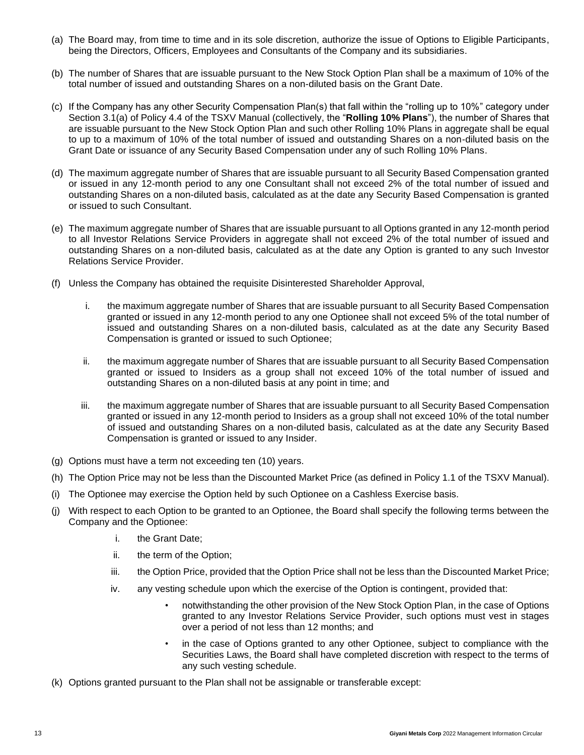- (a) The Board may, from time to time and in its sole discretion, authorize the issue of Options to Eligible Participants, being the Directors, Officers, Employees and Consultants of the Company and its subsidiaries.
- (b) The number of Shares that are issuable pursuant to the New Stock Option Plan shall be a maximum of 10% of the total number of issued and outstanding Shares on a non-diluted basis on the Grant Date.
- (c) If the Company has any other Security Compensation Plan(s) that fall within the "rolling up to 10%" category under Section 3.1(a) of Policy 4.4 of the TSXV Manual (collectively, the "**Rolling 10% Plans**"), the number of Shares that are issuable pursuant to the New Stock Option Plan and such other Rolling 10% Plans in aggregate shall be equal to up to a maximum of 10% of the total number of issued and outstanding Shares on a non-diluted basis on the Grant Date or issuance of any Security Based Compensation under any of such Rolling 10% Plans.
- (d) The maximum aggregate number of Shares that are issuable pursuant to all Security Based Compensation granted or issued in any 12-month period to any one Consultant shall not exceed 2% of the total number of issued and outstanding Shares on a non-diluted basis, calculated as at the date any Security Based Compensation is granted or issued to such Consultant.
- (e) The maximum aggregate number of Shares that are issuable pursuant to all Options granted in any 12-month period to all Investor Relations Service Providers in aggregate shall not exceed 2% of the total number of issued and outstanding Shares on a non-diluted basis, calculated as at the date any Option is granted to any such Investor Relations Service Provider.
- (f) Unless the Company has obtained the requisite Disinterested Shareholder Approval,
	- i. the maximum aggregate number of Shares that are issuable pursuant to all Security Based Compensation granted or issued in any 12-month period to any one Optionee shall not exceed 5% of the total number of issued and outstanding Shares on a non-diluted basis, calculated as at the date any Security Based Compensation is granted or issued to such Optionee;
	- ii. the maximum aggregate number of Shares that are issuable pursuant to all Security Based Compensation granted or issued to Insiders as a group shall not exceed 10% of the total number of issued and outstanding Shares on a non-diluted basis at any point in time; and
	- iii. the maximum aggregate number of Shares that are issuable pursuant to all Security Based Compensation granted or issued in any 12-month period to Insiders as a group shall not exceed 10% of the total number of issued and outstanding Shares on a non-diluted basis, calculated as at the date any Security Based Compensation is granted or issued to any Insider.
- (g) Options must have a term not exceeding ten (10) years.
- (h) The Option Price may not be less than the Discounted Market Price (as defined in Policy 1.1 of the TSXV Manual).
- (i) The Optionee may exercise the Option held by such Optionee on a Cashless Exercise basis.
- (j) With respect to each Option to be granted to an Optionee, the Board shall specify the following terms between the Company and the Optionee:
	- i. the Grant Date;
	- ii. the term of the Option;
	- iii. the Option Price, provided that the Option Price shall not be less than the Discounted Market Price;
	- iv. any vesting schedule upon which the exercise of the Option is contingent, provided that:
		- notwithstanding the other provision of the New Stock Option Plan, in the case of Options granted to any Investor Relations Service Provider, such options must vest in stages over a period of not less than 12 months; and
		- in the case of Options granted to any other Optionee, subject to compliance with the Securities Laws, the Board shall have completed discretion with respect to the terms of any such vesting schedule.
- (k) Options granted pursuant to the Plan shall not be assignable or transferable except: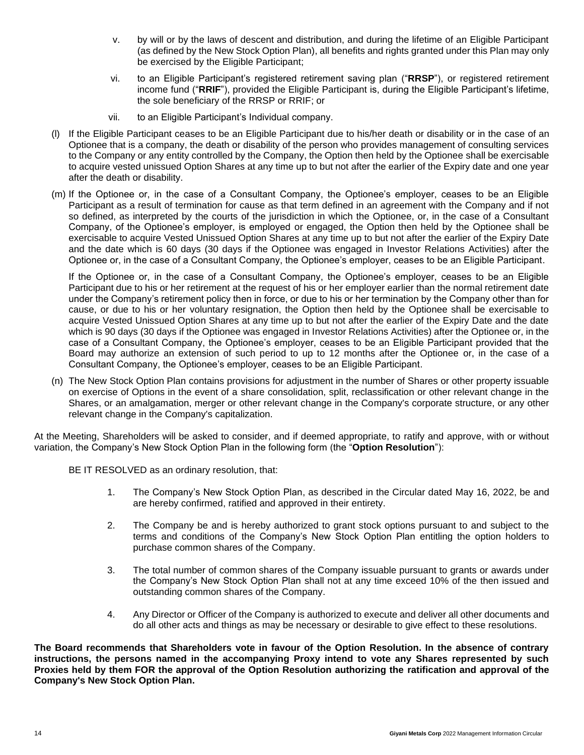- v. by will or by the laws of descent and distribution, and during the lifetime of an Eligible Participant (as defined by the New Stock Option Plan), all benefits and rights granted under this Plan may only be exercised by the Eligible Participant;
- vi. to an Eligible Participant's registered retirement saving plan ("**RRSP**"), or registered retirement income fund ("**RRIF**"), provided the Eligible Participant is, during the Eligible Participant's lifetime, the sole beneficiary of the RRSP or RRIF; or
- vii. to an Eligible Participant's Individual company.
- (l) If the Eligible Participant ceases to be an Eligible Participant due to his/her death or disability or in the case of an Optionee that is a company, the death or disability of the person who provides management of consulting services to the Company or any entity controlled by the Company, the Option then held by the Optionee shall be exercisable to acquire vested unissued Option Shares at any time up to but not after the earlier of the Expiry date and one year after the death or disability.
- (m) If the Optionee or, in the case of a Consultant Company, the Optionee's employer, ceases to be an Eligible Participant as a result of termination for cause as that term defined in an agreement with the Company and if not so defined, as interpreted by the courts of the jurisdiction in which the Optionee, or, in the case of a Consultant Company, of the Optionee's employer, is employed or engaged, the Option then held by the Optionee shall be exercisable to acquire Vested Unissued Option Shares at any time up to but not after the earlier of the Expiry Date and the date which is 60 days (30 days if the Optionee was engaged in Investor Relations Activities) after the Optionee or, in the case of a Consultant Company, the Optionee's employer, ceases to be an Eligible Participant.

If the Optionee or, in the case of a Consultant Company, the Optionee's employer, ceases to be an Eligible Participant due to his or her retirement at the request of his or her employer earlier than the normal retirement date under the Company's retirement policy then in force, or due to his or her termination by the Company other than for cause, or due to his or her voluntary resignation, the Option then held by the Optionee shall be exercisable to acquire Vested Unissued Option Shares at any time up to but not after the earlier of the Expiry Date and the date which is 90 days (30 days if the Optionee was engaged in Investor Relations Activities) after the Optionee or, in the case of a Consultant Company, the Optionee's employer, ceases to be an Eligible Participant provided that the Board may authorize an extension of such period to up to 12 months after the Optionee or, in the case of a Consultant Company, the Optionee's employer, ceases to be an Eligible Participant.

(n) The New Stock Option Plan contains provisions for adjustment in the number of Shares or other property issuable on exercise of Options in the event of a share consolidation, split, reclassification or other relevant change in the Shares, or an amalgamation, merger or other relevant change in the Company's corporate structure, or any other relevant change in the Company's capitalization.

At the Meeting, Shareholders will be asked to consider, and if deemed appropriate, to ratify and approve, with or without variation, the Company's New Stock Option Plan in the following form (the "**Option Resolution**"):

BE IT RESOLVED as an ordinary resolution, that:

- 1. The Company's New Stock Option Plan, as described in the Circular dated May 16, 2022, be and are hereby confirmed, ratified and approved in their entirety.
- 2. The Company be and is hereby authorized to grant stock options pursuant to and subject to the terms and conditions of the Company's New Stock Option Plan entitling the option holders to purchase common shares of the Company.
- 3. The total number of common shares of the Company issuable pursuant to grants or awards under the Company's New Stock Option Plan shall not at any time exceed 10% of the then issued and outstanding common shares of the Company.
- 4. Any Director or Officer of the Company is authorized to execute and deliver all other documents and do all other acts and things as may be necessary or desirable to give effect to these resolutions.

**The Board recommends that Shareholders vote in favour of the Option Resolution. In the absence of contrary instructions, the persons named in the accompanying Proxy intend to vote any Shares represented by such Proxies held by them FOR the approval of the Option Resolution authorizing the ratification and approval of the Company's New Stock Option Plan.**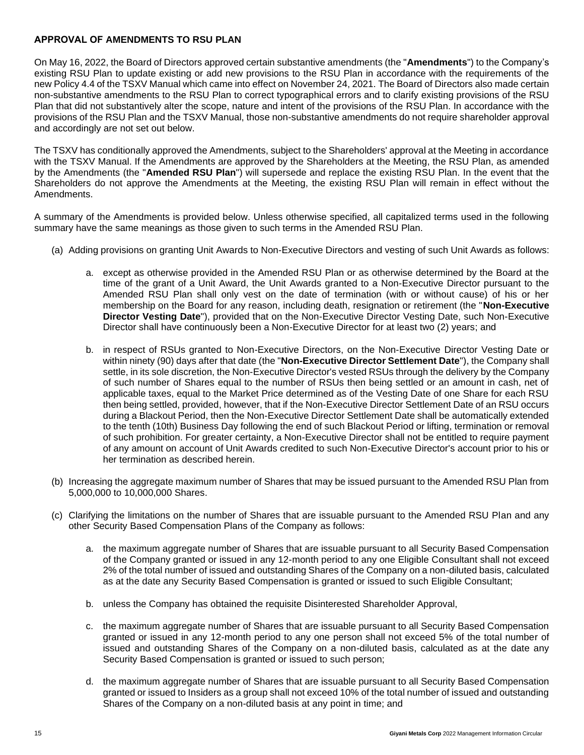## **APPROVAL OF AMENDMENTS TO RSU PLAN**

On May 16, 2022, the Board of Directors approved certain substantive amendments (the "**Amendments**") to the Company's existing RSU Plan to update existing or add new provisions to the RSU Plan in accordance with the requirements of the new Policy 4.4 of the TSXV Manual which came into effect on November 24, 2021. The Board of Directors also made certain non-substantive amendments to the RSU Plan to correct typographical errors and to clarify existing provisions of the RSU Plan that did not substantively alter the scope, nature and intent of the provisions of the RSU Plan. In accordance with the provisions of the RSU Plan and the TSXV Manual, those non-substantive amendments do not require shareholder approval and accordingly are not set out below.

The TSXV has conditionally approved the Amendments, subject to the Shareholders' approval at the Meeting in accordance with the TSXV Manual. If the Amendments are approved by the Shareholders at the Meeting, the RSU Plan, as amended by the Amendments (the "**Amended RSU Plan**") will supersede and replace the existing RSU Plan. In the event that the Shareholders do not approve the Amendments at the Meeting, the existing RSU Plan will remain in effect without the Amendments.

A summary of the Amendments is provided below. Unless otherwise specified, all capitalized terms used in the following summary have the same meanings as those given to such terms in the Amended RSU Plan.

- (a) Adding provisions on granting Unit Awards to Non-Executive Directors and vesting of such Unit Awards as follows:
	- a. except as otherwise provided in the Amended RSU Plan or as otherwise determined by the Board at the time of the grant of a Unit Award, the Unit Awards granted to a Non-Executive Director pursuant to the Amended RSU Plan shall only vest on the date of termination (with or without cause) of his or her membership on the Board for any reason, including death, resignation or retirement (the "**Non-Executive Director Vesting Date**"), provided that on the Non-Executive Director Vesting Date, such Non-Executive Director shall have continuously been a Non-Executive Director for at least two (2) years; and
	- b. in respect of RSUs granted to Non-Executive Directors, on the Non-Executive Director Vesting Date or within ninety (90) days after that date (the "**Non-Executive Director Settlement Date**"), the Company shall settle, in its sole discretion, the Non-Executive Director's vested RSUs through the delivery by the Company of such number of Shares equal to the number of RSUs then being settled or an amount in cash, net of applicable taxes, equal to the Market Price determined as of the Vesting Date of one Share for each RSU then being settled, provided, however, that if the Non-Executive Director Settlement Date of an RSU occurs during a Blackout Period, then the Non-Executive Director Settlement Date shall be automatically extended to the tenth (10th) Business Day following the end of such Blackout Period or lifting, termination or removal of such prohibition. For greater certainty, a Non-Executive Director shall not be entitled to require payment of any amount on account of Unit Awards credited to such Non-Executive Director's account prior to his or her termination as described herein.
- (b) Increasing the aggregate maximum number of Shares that may be issued pursuant to the Amended RSU Plan from 5,000,000 to 10,000,000 Shares.
- (c) Clarifying the limitations on the number of Shares that are issuable pursuant to the Amended RSU Plan and any other Security Based Compensation Plans of the Company as follows:
	- a. the maximum aggregate number of Shares that are issuable pursuant to all Security Based Compensation of the Company granted or issued in any 12-month period to any one Eligible Consultant shall not exceed 2% of the total number of issued and outstanding Shares of the Company on a non-diluted basis, calculated as at the date any Security Based Compensation is granted or issued to such Eligible Consultant;
	- b. unless the Company has obtained the requisite Disinterested Shareholder Approval,
	- c. the maximum aggregate number of Shares that are issuable pursuant to all Security Based Compensation granted or issued in any 12-month period to any one person shall not exceed 5% of the total number of issued and outstanding Shares of the Company on a non-diluted basis, calculated as at the date any Security Based Compensation is granted or issued to such person;
	- d. the maximum aggregate number of Shares that are issuable pursuant to all Security Based Compensation granted or issued to Insiders as a group shall not exceed 10% of the total number of issued and outstanding Shares of the Company on a non-diluted basis at any point in time; and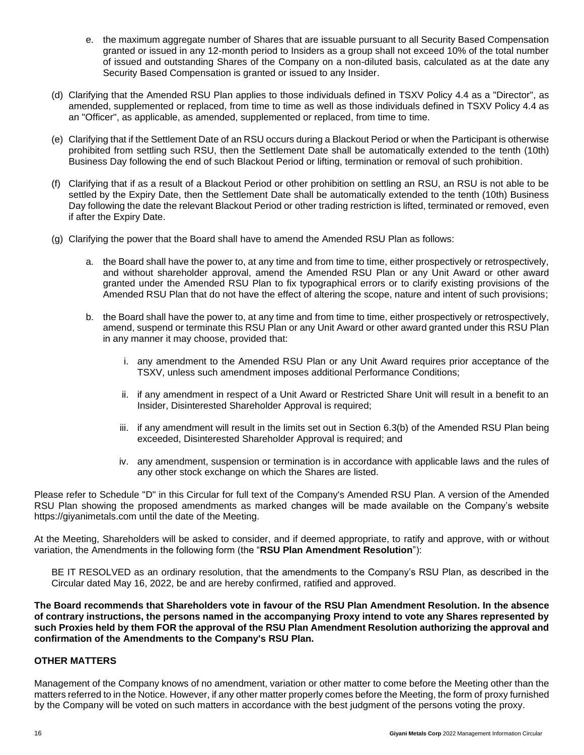- e. the maximum aggregate number of Shares that are issuable pursuant to all Security Based Compensation granted or issued in any 12-month period to Insiders as a group shall not exceed 10% of the total number of issued and outstanding Shares of the Company on a non-diluted basis, calculated as at the date any Security Based Compensation is granted or issued to any Insider.
- (d) Clarifying that the Amended RSU Plan applies to those individuals defined in TSXV Policy 4.4 as a "Director", as amended, supplemented or replaced, from time to time as well as those individuals defined in TSXV Policy 4.4 as an "Officer", as applicable, as amended, supplemented or replaced, from time to time.
- (e) Clarifying that if the Settlement Date of an RSU occurs during a Blackout Period or when the Participant is otherwise prohibited from settling such RSU, then the Settlement Date shall be automatically extended to the tenth (10th) Business Day following the end of such Blackout Period or lifting, termination or removal of such prohibition.
- (f) Clarifying that if as a result of a Blackout Period or other prohibition on settling an RSU, an RSU is not able to be settled by the Expiry Date, then the Settlement Date shall be automatically extended to the tenth (10th) Business Day following the date the relevant Blackout Period or other trading restriction is lifted, terminated or removed, even if after the Expiry Date.
- (g) Clarifying the power that the Board shall have to amend the Amended RSU Plan as follows:
	- a. the Board shall have the power to, at any time and from time to time, either prospectively or retrospectively, and without shareholder approval, amend the Amended RSU Plan or any Unit Award or other award granted under the Amended RSU Plan to fix typographical errors or to clarify existing provisions of the Amended RSU Plan that do not have the effect of altering the scope, nature and intent of such provisions;
	- b. the Board shall have the power to, at any time and from time to time, either prospectively or retrospectively, amend, suspend or terminate this RSU Plan or any Unit Award or other award granted under this RSU Plan in any manner it may choose, provided that:
		- i. any amendment to the Amended RSU Plan or any Unit Award requires prior acceptance of the TSXV, unless such amendment imposes additional Performance Conditions;
		- ii. if any amendment in respect of a Unit Award or Restricted Share Unit will result in a benefit to an Insider, Disinterested Shareholder Approval is required;
		- iii. if any amendment will result in the limits set out in Section 6.3(b) of the Amended RSU Plan being exceeded, Disinterested Shareholder Approval is required; and
		- iv. any amendment, suspension or termination is in accordance with applicable laws and the rules of any other stock exchange on which the Shares are listed.

Please refer to Schedule "D" in this Circular for full text of the Company's Amended RSU Plan. A version of the Amended RSU Plan showing the proposed amendments as marked changes will be made available on the Company's website https://giyanimetals.com until the date of the Meeting.

At the Meeting, Shareholders will be asked to consider, and if deemed appropriate, to ratify and approve, with or without variation, the Amendments in the following form (the "**RSU Plan Amendment Resolution**"):

BE IT RESOLVED as an ordinary resolution, that the amendments to the Company's RSU Plan, as described in the Circular dated May 16, 2022, be and are hereby confirmed, ratified and approved.

**The Board recommends that Shareholders vote in favour of the RSU Plan Amendment Resolution. In the absence of contrary instructions, the persons named in the accompanying Proxy intend to vote any Shares represented by such Proxies held by them FOR the approval of the RSU Plan Amendment Resolution authorizing the approval and confirmation of the Amendments to the Company's RSU Plan.**

## **OTHER MATTERS**

Management of the Company knows of no amendment, variation or other matter to come before the Meeting other than the matters referred to in the Notice. However, if any other matter properly comes before the Meeting, the form of proxy furnished by the Company will be voted on such matters in accordance with the best judgment of the persons voting the proxy.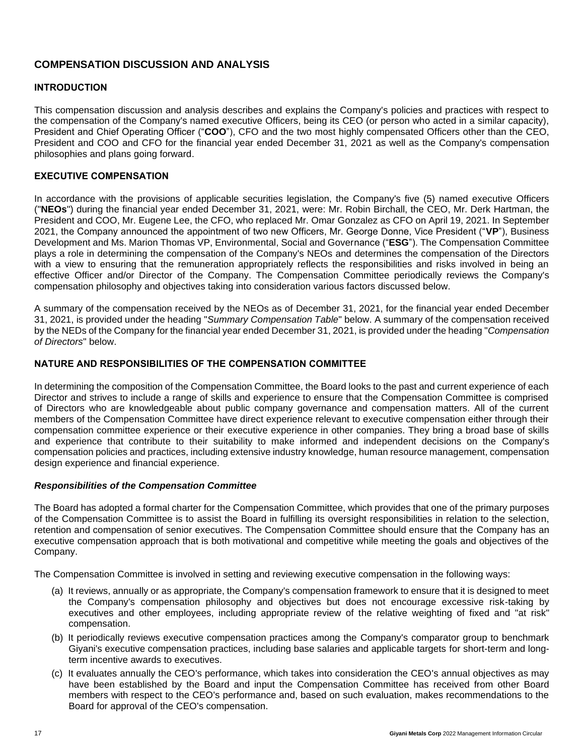## **COMPENSATION DISCUSSION AND ANALYSIS**

## **INTRODUCTION**

This compensation discussion and analysis describes and explains the Company's policies and practices with respect to the compensation of the Company's named executive Officers, being its CEO (or person who acted in a similar capacity), President and Chief Operating Officer ("**COO**"), CFO and the two most highly compensated Officers other than the CEO, President and COO and CFO for the financial year ended December 31, 2021 as well as the Company's compensation philosophies and plans going forward.

## **EXECUTIVE COMPENSATION**

In accordance with the provisions of applicable securities legislation, the Company's five (5) named executive Officers ("**NEOs**") during the financial year ended December 31, 2021, were: Mr. Robin Birchall, the CEO, Mr. Derk Hartman, the President and COO, Mr. Eugene Lee, the CFO, who replaced Mr. Omar Gonzalez as CFO on April 19, 2021. In September 2021, the Company announced the appointment of two new Officers, Mr. George Donne, Vice President ("**VP**"), Business Development and Ms. Marion Thomas VP, Environmental, Social and Governance ("**ESG**"). The Compensation Committee plays a role in determining the compensation of the Company's NEOs and determines the compensation of the Directors with a view to ensuring that the remuneration appropriately reflects the responsibilities and risks involved in being an effective Officer and/or Director of the Company. The Compensation Committee periodically reviews the Company's compensation philosophy and objectives taking into consideration various factors discussed below.

A summary of the compensation received by the NEOs as of December 31, 2021, for the financial year ended December 31, 2021, is provided under the heading "*Summary Compensation Table*" below. A summary of the compensation received by the NEDs of the Company for the financial year ended December 31, 2021, is provided under the heading "*Compensation of Directors*" below.

## **NATURE AND RESPONSIBILITIES OF THE COMPENSATION COMMITTEE**

In determining the composition of the Compensation Committee, the Board looks to the past and current experience of each Director and strives to include a range of skills and experience to ensure that the Compensation Committee is comprised of Directors who are knowledgeable about public company governance and compensation matters. All of the current members of the Compensation Committee have direct experience relevant to executive compensation either through their compensation committee experience or their executive experience in other companies. They bring a broad base of skills and experience that contribute to their suitability to make informed and independent decisions on the Company's compensation policies and practices, including extensive industry knowledge, human resource management, compensation design experience and financial experience.

#### *Responsibilities of the Compensation Committee*

The Board has adopted a formal charter for the Compensation Committee, which provides that one of the primary purposes of the Compensation Committee is to assist the Board in fulfilling its oversight responsibilities in relation to the selection, retention and compensation of senior executives. The Compensation Committee should ensure that the Company has an executive compensation approach that is both motivational and competitive while meeting the goals and objectives of the Company.

The Compensation Committee is involved in setting and reviewing executive compensation in the following ways:

- (a) It reviews, annually or as appropriate, the Company's compensation framework to ensure that it is designed to meet the Company's compensation philosophy and objectives but does not encourage excessive risk-taking by executives and other employees, including appropriate review of the relative weighting of fixed and "at risk" compensation.
- (b) It periodically reviews executive compensation practices among the Company's comparator group to benchmark Giyani's executive compensation practices, including base salaries and applicable targets for short-term and longterm incentive awards to executives.
- (c) It evaluates annually the CEO's performance, which takes into consideration the CEO's annual objectives as may have been established by the Board and input the Compensation Committee has received from other Board members with respect to the CEO's performance and, based on such evaluation, makes recommendations to the Board for approval of the CEO's compensation.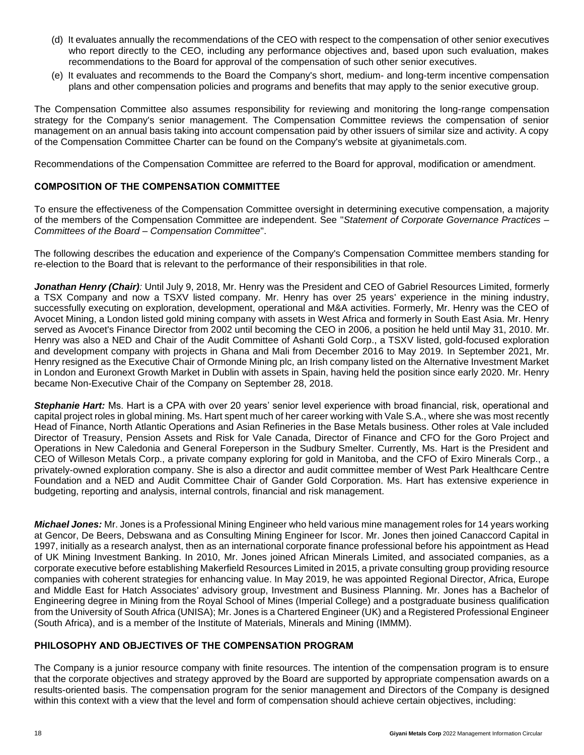- (d) It evaluates annually the recommendations of the CEO with respect to the compensation of other senior executives who report directly to the CEO, including any performance objectives and, based upon such evaluation, makes recommendations to the Board for approval of the compensation of such other senior executives.
- (e) It evaluates and recommends to the Board the Company's short, medium- and long-term incentive compensation plans and other compensation policies and programs and benefits that may apply to the senior executive group.

The Compensation Committee also assumes responsibility for reviewing and monitoring the long-range compensation strategy for the Company's senior management. The Compensation Committee reviews the compensation of senior management on an annual basis taking into account compensation paid by other issuers of similar size and activity. A copy of the Compensation Committee Charter can be found on the Company's website at giyanimetals.com.

Recommendations of the Compensation Committee are referred to the Board for approval, modification or amendment.

## **COMPOSITION OF THE COMPENSATION COMMITTEE**

To ensure the effectiveness of the Compensation Committee oversight in determining executive compensation, a majority of the members of the Compensation Committee are independent. See "*Statement of Corporate Governance Practices – Committees of the Board – Compensation Committee*".

The following describes the education and experience of the Company's Compensation Committee members standing for re-election to the Board that is relevant to the performance of their responsibilities in that role.

*Jonathan Henry (Chair):* Until July 9, 2018, Mr. Henry was the President and CEO of Gabriel Resources Limited, formerly a TSX Company and now a TSXV listed company. Mr. Henry has over 25 years' experience in the mining industry, successfully executing on exploration, development, operational and M&A activities. Formerly, Mr. Henry was the CEO of Avocet Mining, a London listed gold mining company with assets in West Africa and formerly in South East Asia. Mr. Henry served as Avocet's Finance Director from 2002 until becoming the CEO in 2006, a position he held until May 31, 2010. Mr. Henry was also a NED and Chair of the Audit Committee of Ashanti Gold Corp., a TSXV listed, gold-focused exploration and development company with projects in Ghana and Mali from December 2016 to May 2019. In September 2021, Mr. Henry resigned as the Executive Chair of Ormonde Mining plc, an Irish company listed on the Alternative Investment Market in London and Euronext Growth Market in Dublin with assets in Spain, having held the position since early 2020. Mr. Henry became Non-Executive Chair of the Company on September 28, 2018.

*Stephanie Hart:* Ms. Hart is a CPA with over 20 years' senior level experience with broad financial, risk, operational and capital project roles in global mining. Ms. Hart spent much of her career working with Vale S.A., where she was most recently Head of Finance, North Atlantic Operations and Asian Refineries in the Base Metals business. Other roles at Vale included Director of Treasury, Pension Assets and Risk for Vale Canada, Director of Finance and CFO for the Goro Project and Operations in New Caledonia and General Foreperson in the Sudbury Smelter. Currently, Ms. Hart is the President and CEO of Willeson Metals Corp., a private company exploring for gold in Manitoba, and the CFO of Exiro Minerals Corp., a privately-owned exploration company. She is also a director and audit committee member of West Park Healthcare Centre Foundation and a NED and Audit Committee Chair of Gander Gold Corporation. Ms. Hart has extensive experience in budgeting, reporting and analysis, internal controls, financial and risk management.

*Michael Jones:* Mr. Jones is a Professional Mining Engineer who held various mine management roles for 14 years working at Gencor, De Beers, Debswana and as Consulting Mining Engineer for Iscor. Mr. Jones then joined Canaccord Capital in 1997, initially as a research analyst, then as an international corporate finance professional before his appointment as Head of UK Mining Investment Banking. In 2010, Mr. Jones joined African Minerals Limited, and associated companies, as a corporate executive before establishing Makerfield Resources Limited in 2015, a private consulting group providing resource companies with coherent strategies for enhancing value. In May 2019, he was appointed Regional Director, Africa, Europe and Middle East for Hatch Associates' advisory group, Investment and Business Planning. Mr. Jones has a Bachelor of Engineering degree in Mining from the Royal School of Mines (Imperial College) and a postgraduate business qualification from the University of South Africa (UNISA); Mr. Jones is a Chartered Engineer (UK) and a Registered Professional Engineer (South Africa), and is a member of the Institute of Materials, Minerals and Mining (IMMM).

## **PHILOSOPHY AND OBJECTIVES OF THE COMPENSATION PROGRAM**

The Company is a junior resource company with finite resources. The intention of the compensation program is to ensure that the corporate objectives and strategy approved by the Board are supported by appropriate compensation awards on a results-oriented basis. The compensation program for the senior management and Directors of the Company is designed within this context with a view that the level and form of compensation should achieve certain objectives, including: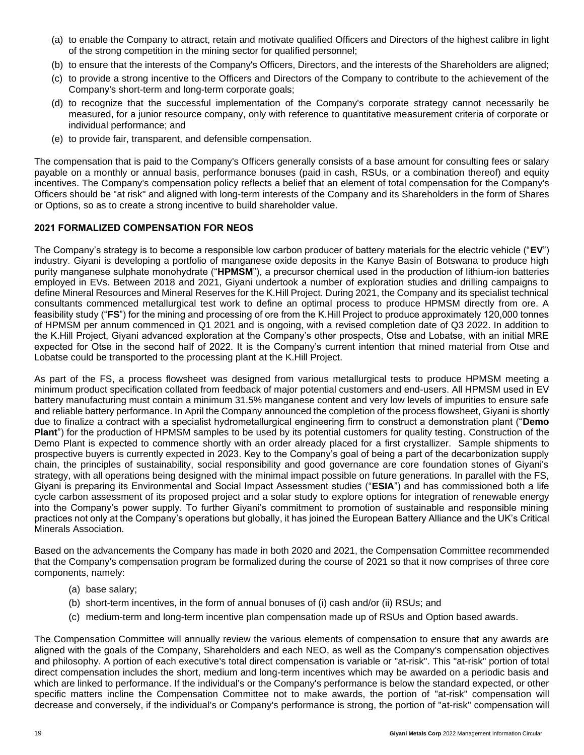- (a) to enable the Company to attract, retain and motivate qualified Officers and Directors of the highest calibre in light of the strong competition in the mining sector for qualified personnel;
- (b) to ensure that the interests of the Company's Officers, Directors, and the interests of the Shareholders are aligned;
- (c) to provide a strong incentive to the Officers and Directors of the Company to contribute to the achievement of the Company's short-term and long-term corporate goals;
- (d) to recognize that the successful implementation of the Company's corporate strategy cannot necessarily be measured, for a junior resource company, only with reference to quantitative measurement criteria of corporate or individual performance; and
- (e) to provide fair, transparent, and defensible compensation.

The compensation that is paid to the Company's Officers generally consists of a base amount for consulting fees or salary payable on a monthly or annual basis, performance bonuses (paid in cash, RSUs, or a combination thereof) and equity incentives. The Company's compensation policy reflects a belief that an element of total compensation for the Company's Officers should be "at risk" and aligned with long-term interests of the Company and its Shareholders in the form of Shares or Options, so as to create a strong incentive to build shareholder value.

## **2021 FORMALIZED COMPENSATION FOR NEOS**

The Company's strategy is to become a responsible low carbon producer of battery materials for the electric vehicle ("**EV**") industry. Giyani is developing a portfolio of manganese oxide deposits in the Kanye Basin of Botswana to produce high purity manganese sulphate monohydrate ("**HPMSM**"), a precursor chemical used in the production of lithium-ion batteries employed in EVs. Between 2018 and 2021, Giyani undertook a number of exploration studies and drilling campaigns to define Mineral Resources and Mineral Reserves for the K.Hill Project. During 2021, the Company and its specialist technical consultants commenced metallurgical test work to define an optimal process to produce HPMSM directly from ore. A feasibility study ("**FS**") for the mining and processing of ore from the K.Hill Project to produce approximately 120,000 tonnes of HPMSM per annum commenced in Q1 2021 and is ongoing, with a revised completion date of Q3 2022. In addition to the K.Hill Project, Giyani advanced exploration at the Company's other prospects, Otse and Lobatse, with an initial MRE expected for Otse in the second half of 2022. It is the Company's current intention that mined material from Otse and Lobatse could be transported to the processing plant at the K.Hill Project.

As part of the FS, a process flowsheet was designed from various metallurgical tests to produce HPMSM meeting a minimum product specification collated from feedback of major potential customers and end-users. All HPMSM used in EV battery manufacturing must contain a minimum 31.5% manganese content and very low levels of impurities to ensure safe and reliable battery performance. In April the Company announced the completion of the process flowsheet, Giyani is shortly due to finalize a contract with a specialist hydrometallurgical engineering firm to construct a demonstration plant ("**Demo Plant**") for the production of HPMSM samples to be used by its potential customers for quality testing. Construction of the Demo Plant is expected to commence shortly with an order already placed for a first crystallizer. Sample shipments to prospective buyers is currently expected in 2023. Key to the Company's goal of being a part of the decarbonization supply chain, the principles of sustainability, social responsibility and good governance are core foundation stones of Giyani's strategy, with all operations being designed with the minimal impact possible on future generations. In parallel with the FS, Giyani is preparing its Environmental and Social Impact Assessment studies ("**ESIA**") and has commissioned both a life cycle carbon assessment of its proposed project and a solar study to explore options for integration of renewable energy into the Company's power supply. To further Giyani's commitment to promotion of sustainable and responsible mining practices not only at the Company's operations but globally, it has joined the European Battery Alliance and the UK's Critical Minerals Association.

Based on the advancements the Company has made in both 2020 and 2021, the Compensation Committee recommended that the Company's compensation program be formalized during the course of 2021 so that it now comprises of three core components, namely:

- (a) base salary;
- (b) short-term incentives, in the form of annual bonuses of (i) cash and/or (ii) RSUs; and
- (c) medium-term and long-term incentive plan compensation made up of RSUs and Option based awards.

The Compensation Committee will annually review the various elements of compensation to ensure that any awards are aligned with the goals of the Company, Shareholders and each NEO, as well as the Company's compensation objectives and philosophy. A portion of each executive's total direct compensation is variable or "at-risk". This "at-risk" portion of total direct compensation includes the short, medium and long-term incentives which may be awarded on a periodic basis and which are linked to performance. If the individual's or the Company's performance is below the standard expected, or other specific matters incline the Compensation Committee not to make awards, the portion of "at-risk" compensation will decrease and conversely, if the individual's or Company's performance is strong, the portion of "at-risk" compensation will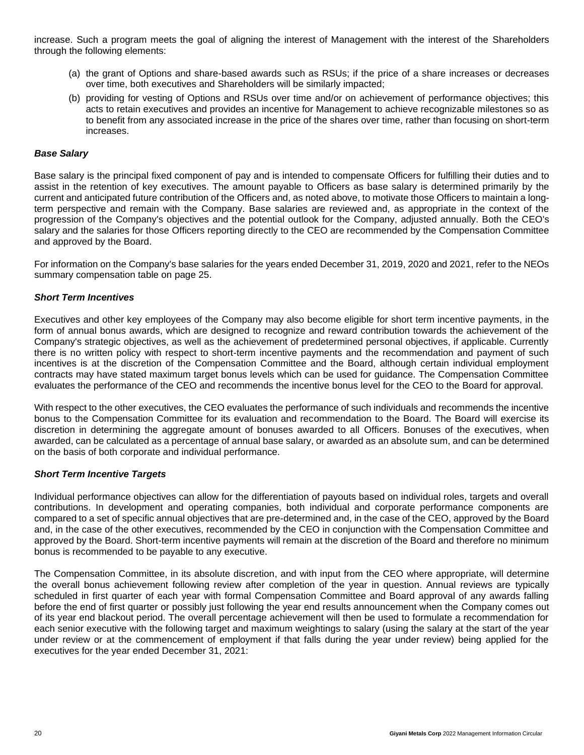increase. Such a program meets the goal of aligning the interest of Management with the interest of the Shareholders through the following elements:

- (a) the grant of Options and share-based awards such as RSUs; if the price of a share increases or decreases over time, both executives and Shareholders will be similarly impacted;
- (b) providing for vesting of Options and RSUs over time and/or on achievement of performance objectives; this acts to retain executives and provides an incentive for Management to achieve recognizable milestones so as to benefit from any associated increase in the price of the shares over time, rather than focusing on short-term increases.

## *Base Salary*

Base salary is the principal fixed component of pay and is intended to compensate Officers for fulfilling their duties and to assist in the retention of key executives. The amount payable to Officers as base salary is determined primarily by the current and anticipated future contribution of the Officers and, as noted above, to motivate those Officers to maintain a longterm perspective and remain with the Company. Base salaries are reviewed and, as appropriate in the context of the progression of the Company's objectives and the potential outlook for the Company, adjusted annually. Both the CEO's salary and the salaries for those Officers reporting directly to the CEO are recommended by the Compensation Committee and approved by the Board.

For information on the Company's base salaries for the years ended December 31, 2019, 2020 and 2021, refer to the NEOs summary compensation table on page 25.

#### *Short Term Incentives*

Executives and other key employees of the Company may also become eligible for short term incentive payments, in the form of annual bonus awards, which are designed to recognize and reward contribution towards the achievement of the Company's strategic objectives, as well as the achievement of predetermined personal objectives, if applicable. Currently there is no written policy with respect to short-term incentive payments and the recommendation and payment of such incentives is at the discretion of the Compensation Committee and the Board, although certain individual employment contracts may have stated maximum target bonus levels which can be used for guidance. The Compensation Committee evaluates the performance of the CEO and recommends the incentive bonus level for the CEO to the Board for approval.

With respect to the other executives, the CEO evaluates the performance of such individuals and recommends the incentive bonus to the Compensation Committee for its evaluation and recommendation to the Board. The Board will exercise its discretion in determining the aggregate amount of bonuses awarded to all Officers. Bonuses of the executives, when awarded, can be calculated as a percentage of annual base salary, or awarded as an absolute sum, and can be determined on the basis of both corporate and individual performance.

#### *Short Term Incentive Targets*

Individual performance objectives can allow for the differentiation of payouts based on individual roles, targets and overall contributions. In development and operating companies, both individual and corporate performance components are compared to a set of specific annual objectives that are pre-determined and, in the case of the CEO, approved by the Board and, in the case of the other executives, recommended by the CEO in conjunction with the Compensation Committee and approved by the Board. Short-term incentive payments will remain at the discretion of the Board and therefore no minimum bonus is recommended to be payable to any executive.

The Compensation Committee, in its absolute discretion, and with input from the CEO where appropriate, will determine the overall bonus achievement following review after completion of the year in question. Annual reviews are typically scheduled in first quarter of each year with formal Compensation Committee and Board approval of any awards falling before the end of first quarter or possibly just following the year end results announcement when the Company comes out of its year end blackout period. The overall percentage achievement will then be used to formulate a recommendation for each senior executive with the following target and maximum weightings to salary (using the salary at the start of the year under review or at the commencement of employment if that falls during the year under review) being applied for the executives for the year ended December 31, 2021: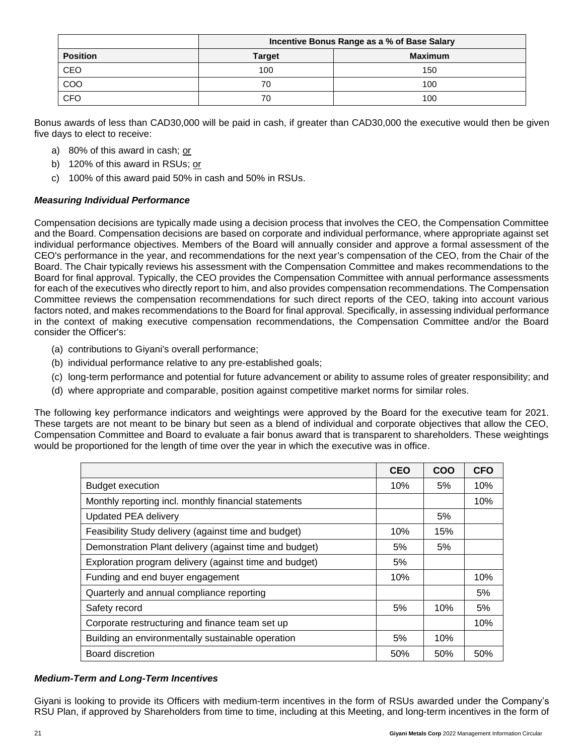|                 | Incentive Bonus Range as a % of Base Salary |                |  |  |
|-----------------|---------------------------------------------|----------------|--|--|
| <b>Position</b> | <b>Target</b>                               | <b>Maximum</b> |  |  |
| CEO             | 100                                         | 150            |  |  |
| COO             | 70                                          | 100            |  |  |
| <b>CFO</b>      | 70                                          | 100            |  |  |

Bonus awards of less than CAD30,000 will be paid in cash, if greater than CAD30,000 the executive would then be given five days to elect to receive:

- a) 80% of this award in cash; or
- b) 120% of this award in RSUs; or
- c) 100% of this award paid 50% in cash and 50% in RSUs.

## *Measuring Individual Performance*

Compensation decisions are typically made using a decision process that involves the CEO, the Compensation Committee and the Board. Compensation decisions are based on corporate and individual performance, where appropriate against set individual performance objectives. Members of the Board will annually consider and approve a formal assessment of the CEO's performance in the year, and recommendations for the next year's compensation of the CEO, from the Chair of the Board. The Chair typically reviews his assessment with the Compensation Committee and makes recommendations to the Board for final approval. Typically, the CEO provides the Compensation Committee with annual performance assessments for each of the executives who directly report to him, and also provides compensation recommendations. The Compensation Committee reviews the compensation recommendations for such direct reports of the CEO, taking into account various factors noted, and makes recommendations to the Board for final approval. Specifically, in assessing individual performance in the context of making executive compensation recommendations, the Compensation Committee and/or the Board consider the Officer's:

- (a) contributions to Giyani's overall performance;
- (b) individual performance relative to any pre-established goals;
- (c) long-term performance and potential for future advancement or ability to assume roles of greater responsibility; and
- (d) where appropriate and comparable, position against competitive market norms for similar roles.

The following key performance indicators and weightings were approved by the Board for the executive team for 2021. These targets are not meant to be binary but seen as a blend of individual and corporate objectives that allow the CEO, Compensation Committee and Board to evaluate a fair bonus award that is transparent to shareholders. These weightings would be proportioned for the length of time over the year in which the executive was in office.

|                                                        | <b>CEO</b> | COO | <b>CFO</b> |
|--------------------------------------------------------|------------|-----|------------|
| <b>Budget execution</b>                                | 10%        | 5%  | 10%        |
| Monthly reporting incl. monthly financial statements   |            |     | 10%        |
| <b>Updated PEA delivery</b>                            |            | 5%  |            |
| Feasibility Study delivery (against time and budget)   | 10%        | 15% |            |
| Demonstration Plant delivery (against time and budget) | 5%         | 5%  |            |
| Exploration program delivery (against time and budget) | 5%         |     |            |
| Funding and end buyer engagement                       | 10%        |     | 10%        |
| Quarterly and annual compliance reporting              |            |     | 5%         |
| Safety record                                          | 5%         | 10% | 5%         |
| Corporate restructuring and finance team set up        |            |     | 10%        |
| Building an environmentally sustainable operation      | 5%         | 10% |            |
| Board discretion                                       | 50%        | 50% | 50%        |

#### *Medium-Term and Long-Term Incentives*

Giyani is looking to provide its Officers with medium-term incentives in the form of RSUs awarded under the Company's RSU Plan, if approved by Shareholders from time to time, including at this Meeting, and long-term incentives in the form of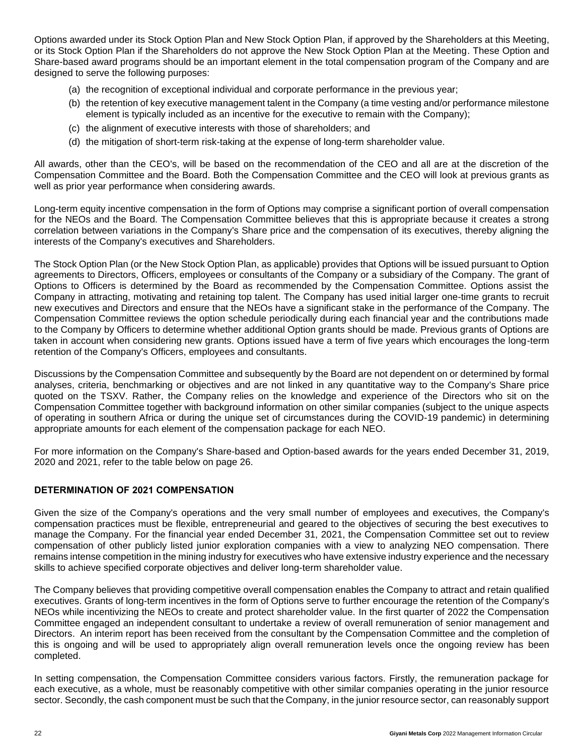Options awarded under its Stock Option Plan and New Stock Option Plan, if approved by the Shareholders at this Meeting, or its Stock Option Plan if the Shareholders do not approve the New Stock Option Plan at the Meeting. These Option and Share-based award programs should be an important element in the total compensation program of the Company and are designed to serve the following purposes:

- (a) the recognition of exceptional individual and corporate performance in the previous year;
- (b) the retention of key executive management talent in the Company (a time vesting and/or performance milestone element is typically included as an incentive for the executive to remain with the Company);
- (c) the alignment of executive interests with those of shareholders; and
- (d) the mitigation of short-term risk-taking at the expense of long-term shareholder value.

All awards, other than the CEO's, will be based on the recommendation of the CEO and all are at the discretion of the Compensation Committee and the Board. Both the Compensation Committee and the CEO will look at previous grants as well as prior year performance when considering awards.

Long-term equity incentive compensation in the form of Options may comprise a significant portion of overall compensation for the NEOs and the Board. The Compensation Committee believes that this is appropriate because it creates a strong correlation between variations in the Company's Share price and the compensation of its executives, thereby aligning the interests of the Company's executives and Shareholders.

The Stock Option Plan (or the New Stock Option Plan, as applicable) provides that Options will be issued pursuant to Option agreements to Directors, Officers, employees or consultants of the Company or a subsidiary of the Company. The grant of Options to Officers is determined by the Board as recommended by the Compensation Committee. Options assist the Company in attracting, motivating and retaining top talent. The Company has used initial larger one-time grants to recruit new executives and Directors and ensure that the NEOs have a significant stake in the performance of the Company. The Compensation Committee reviews the option schedule periodically during each financial year and the contributions made to the Company by Officers to determine whether additional Option grants should be made. Previous grants of Options are taken in account when considering new grants. Options issued have a term of five years which encourages the long-term retention of the Company's Officers, employees and consultants.

Discussions by the Compensation Committee and subsequently by the Board are not dependent on or determined by formal analyses, criteria, benchmarking or objectives and are not linked in any quantitative way to the Company's Share price quoted on the TSXV. Rather, the Company relies on the knowledge and experience of the Directors who sit on the Compensation Committee together with background information on other similar companies (subject to the unique aspects of operating in southern Africa or during the unique set of circumstances during the COVID-19 pandemic) in determining appropriate amounts for each element of the compensation package for each NEO.

For more information on the Company's Share-based and Option-based awards for the years ended December 31, 2019, 2020 and 2021, refer to the table below on page 26.

## **DETERMINATION OF 2021 COMPENSATION**

Given the size of the Company's operations and the very small number of employees and executives, the Company's compensation practices must be flexible, entrepreneurial and geared to the objectives of securing the best executives to manage the Company. For the financial year ended December 31, 2021, the Compensation Committee set out to review compensation of other publicly listed junior exploration companies with a view to analyzing NEO compensation. There remains intense competition in the mining industry for executives who have extensive industry experience and the necessary skills to achieve specified corporate objectives and deliver long-term shareholder value.

The Company believes that providing competitive overall compensation enables the Company to attract and retain qualified executives. Grants of long-term incentives in the form of Options serve to further encourage the retention of the Company's NEOs while incentivizing the NEOs to create and protect shareholder value. In the first quarter of 2022 the Compensation Committee engaged an independent consultant to undertake a review of overall remuneration of senior management and Directors. An interim report has been received from the consultant by the Compensation Committee and the completion of this is ongoing and will be used to appropriately align overall remuneration levels once the ongoing review has been completed.

In setting compensation, the Compensation Committee considers various factors. Firstly, the remuneration package for each executive, as a whole, must be reasonably competitive with other similar companies operating in the junior resource sector. Secondly, the cash component must be such that the Company, in the junior resource sector, can reasonably support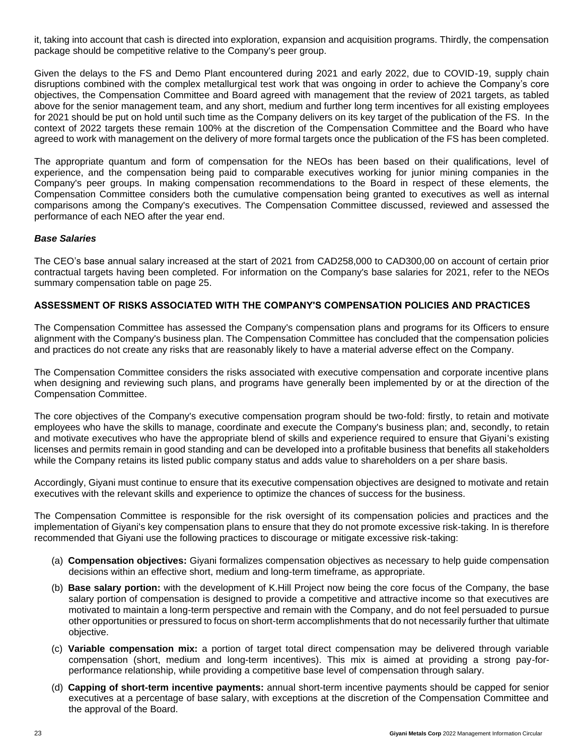it, taking into account that cash is directed into exploration, expansion and acquisition programs. Thirdly, the compensation package should be competitive relative to the Company's peer group.

Given the delays to the FS and Demo Plant encountered during 2021 and early 2022, due to COVID-19, supply chain disruptions combined with the complex metallurgical test work that was ongoing in order to achieve the Company's core objectives, the Compensation Committee and Board agreed with management that the review of 2021 targets, as tabled above for the senior management team, and any short, medium and further long term incentives for all existing employees for 2021 should be put on hold until such time as the Company delivers on its key target of the publication of the FS. In the context of 2022 targets these remain 100% at the discretion of the Compensation Committee and the Board who have agreed to work with management on the delivery of more formal targets once the publication of the FS has been completed.

The appropriate quantum and form of compensation for the NEOs has been based on their qualifications, level of experience, and the compensation being paid to comparable executives working for junior mining companies in the Company's peer groups. In making compensation recommendations to the Board in respect of these elements, the Compensation Committee considers both the cumulative compensation being granted to executives as well as internal comparisons among the Company's executives. The Compensation Committee discussed, reviewed and assessed the performance of each NEO after the year end.

## *Base Salaries*

The CEO's base annual salary increased at the start of 2021 from CAD258,000 to CAD300,00 on account of certain prior contractual targets having been completed. For information on the Company's base salaries for 2021, refer to the NEOs summary compensation table on page 25.

## **ASSESSMENT OF RISKS ASSOCIATED WITH THE COMPANY'S COMPENSATION POLICIES AND PRACTICES**

The Compensation Committee has assessed the Company's compensation plans and programs for its Officers to ensure alignment with the Company's business plan. The Compensation Committee has concluded that the compensation policies and practices do not create any risks that are reasonably likely to have a material adverse effect on the Company.

The Compensation Committee considers the risks associated with executive compensation and corporate incentive plans when designing and reviewing such plans, and programs have generally been implemented by or at the direction of the Compensation Committee.

The core objectives of the Company's executive compensation program should be two-fold: firstly, to retain and motivate employees who have the skills to manage, coordinate and execute the Company's business plan; and, secondly, to retain and motivate executives who have the appropriate blend of skills and experience required to ensure that Giyani's existing licenses and permits remain in good standing and can be developed into a profitable business that benefits all stakeholders while the Company retains its listed public company status and adds value to shareholders on a per share basis.

Accordingly, Giyani must continue to ensure that its executive compensation objectives are designed to motivate and retain executives with the relevant skills and experience to optimize the chances of success for the business.

The Compensation Committee is responsible for the risk oversight of its compensation policies and practices and the implementation of Giyani's key compensation plans to ensure that they do not promote excessive risk-taking. In is therefore recommended that Giyani use the following practices to discourage or mitigate excessive risk-taking:

- (a) **Compensation objectives:** Giyani formalizes compensation objectives as necessary to help guide compensation decisions within an effective short, medium and long-term timeframe, as appropriate.
- (b) **Base salary portion:** with the development of K.Hill Project now being the core focus of the Company, the base salary portion of compensation is designed to provide a competitive and attractive income so that executives are motivated to maintain a long-term perspective and remain with the Company, and do not feel persuaded to pursue other opportunities or pressured to focus on short-term accomplishments that do not necessarily further that ultimate objective.
- (c) **Variable compensation mix:** a portion of target total direct compensation may be delivered through variable compensation (short, medium and long-term incentives). This mix is aimed at providing a strong pay-forperformance relationship, while providing a competitive base level of compensation through salary.
- (d) **Capping of short-term incentive payments:** annual short-term incentive payments should be capped for senior executives at a percentage of base salary, with exceptions at the discretion of the Compensation Committee and the approval of the Board.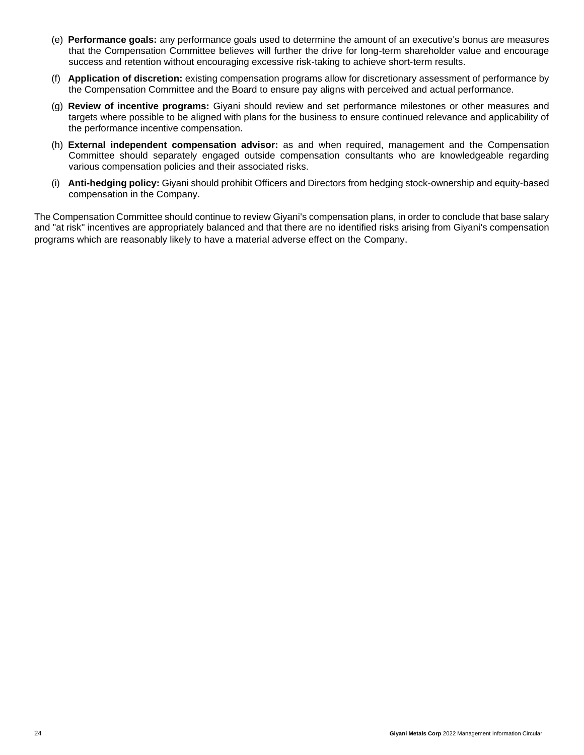- (e) **Performance goals:** any performance goals used to determine the amount of an executive's bonus are measures that the Compensation Committee believes will further the drive for long-term shareholder value and encourage success and retention without encouraging excessive risk-taking to achieve short-term results.
- (f) **Application of discretion:** existing compensation programs allow for discretionary assessment of performance by the Compensation Committee and the Board to ensure pay aligns with perceived and actual performance.
- (g) **Review of incentive programs:** Giyani should review and set performance milestones or other measures and targets where possible to be aligned with plans for the business to ensure continued relevance and applicability of the performance incentive compensation.
- (h) **External independent compensation advisor:** as and when required, management and the Compensation Committee should separately engaged outside compensation consultants who are knowledgeable regarding various compensation policies and their associated risks.
- (i) **Anti-hedging policy:** Giyani should prohibit Officers and Directors from hedging stock-ownership and equity-based compensation in the Company.

The Compensation Committee should continue to review Giyani's compensation plans, in order to conclude that base salary and "at risk" incentives are appropriately balanced and that there are no identified risks arising from Giyani's compensation programs which are reasonably likely to have a material adverse effect on the Company.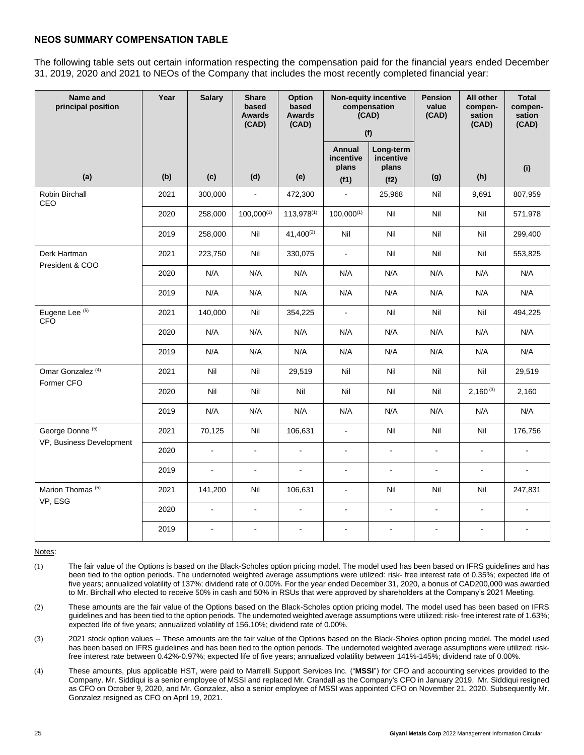## **NEOS SUMMARY COMPENSATION TABLE**

The following table sets out certain information respecting the compensation paid for the financial years ended December 31, 2019, 2020 and 2021 to NEOs of the Company that includes the most recently completed financial year:

| Name and<br>principal position             | Year | <b>Salary</b>  | <b>Share</b><br>based<br><b>Awards</b><br>(CAD) | Option<br>based<br><b>Awards</b><br>(CAD) | <b>Non-equity incentive</b><br>compensation<br>(CAD)<br>(f) |                                 | Pension<br>value<br>(CAD) | All other<br>compen-<br>sation<br>(CAD) | <b>Total</b><br>compen-<br>sation<br>(CAD) |
|--------------------------------------------|------|----------------|-------------------------------------------------|-------------------------------------------|-------------------------------------------------------------|---------------------------------|---------------------------|-----------------------------------------|--------------------------------------------|
|                                            |      |                |                                                 |                                           | <b>Annual</b><br>incentive<br>plans                         | Long-term<br>incentive<br>plans |                           |                                         | (i)                                        |
| (a)                                        | (b)  | (c)            | (d)                                             | (e)                                       | (f1)                                                        | (f2)                            | (g)                       | (h)                                     |                                            |
| Robin Birchall<br>CEO                      | 2021 | 300,000        | $\blacksquare$                                  | 472,300                                   | $\mathbf{r}$                                                | 25,968                          | Nil                       | 9,691                                   | 807,959                                    |
|                                            | 2020 | 258,000        | $100,000^{(1)}$                                 | $113,978^{(1)}$                           | $100,000^{(1)}$                                             | Nil                             | Nil                       | Nil                                     | 571,978                                    |
|                                            | 2019 | 258,000        | Nil                                             | $41,400^{(2)}$                            | Nil                                                         | Nil                             | Nil                       | Nil                                     | 299,400                                    |
| Derk Hartman                               | 2021 | 223,750        | Nil                                             | 330,075                                   | $\mathbb{Z}^2$                                              | Nil                             | Nil                       | Nil                                     | 553,825                                    |
| President & COO                            | 2020 | N/A            | N/A                                             | N/A                                       | N/A                                                         | N/A                             | N/A                       | N/A                                     | N/A                                        |
|                                            | 2019 | N/A            | N/A                                             | N/A                                       | N/A                                                         | N/A                             | N/A                       | N/A                                     | N/A                                        |
| Eugene Lee (5)<br><b>CFO</b>               | 2021 | 140,000        | Nil                                             | 354,225                                   | $\blacksquare$                                              | Nil                             | Nil                       | Nil                                     | 494,225                                    |
|                                            | 2020 | N/A            | N/A                                             | N/A                                       | N/A                                                         | N/A                             | N/A                       | N/A                                     | N/A                                        |
|                                            | 2019 | N/A            | N/A                                             | N/A                                       | N/A                                                         | N/A                             | N/A                       | N/A                                     | N/A                                        |
| Omar Gonzalez <sup>(4)</sup><br>Former CFO | 2021 | Nil            | Nil                                             | 29,519                                    | Nil                                                         | Nil                             | Nil                       | Nil                                     | 29,519                                     |
|                                            | 2020 | Nil            | Nil                                             | Nil                                       | Nil                                                         | Nil                             | Nil                       | $2,160^{(3)}$                           | 2,160                                      |
|                                            | 2019 | N/A            | N/A                                             | N/A                                       | N/A                                                         | N/A                             | N/A                       | N/A                                     | N/A                                        |
| George Donne <sup>(5)</sup>                | 2021 | 70,125         | Nil                                             | 106,631                                   | $\mathbf{r}$                                                | Nil                             | Nil                       | Nil                                     | 176,756                                    |
| VP, Business Development                   | 2020 | $\blacksquare$ | $\blacksquare$                                  | $\bar{\phantom{a}}$                       | $\blacksquare$                                              | $\blacksquare$                  | $\blacksquare$            | $\blacksquare$                          |                                            |
|                                            | 2019 | $\mathbf{r}$   | L.                                              | ÷,                                        | $\blacksquare$                                              | $\blacksquare$                  | L.                        | $\blacksquare$                          | $\overline{a}$                             |
| Marion Thomas <sup>(5)</sup>               | 2021 | 141,200        | Nil                                             | 106,631                                   | $\blacksquare$                                              | Nil                             | Nil                       | Nil                                     | 247,831                                    |
| VP, ESG                                    | 2020 | $\omega$       | $\blacksquare$                                  | $\blacksquare$                            | $\mathbb{Z}^2$                                              | $\omega$                        | $\omega$                  | $\omega$ .                              | $\blacksquare$                             |
|                                            | 2019 | $\mathbf{r}$   | $\overline{a}$                                  | $\blacksquare$                            | $\overline{a}$                                              | $\sim$                          | ÷                         | $\overline{a}$                          | $\overline{a}$                             |

Notes:

(1) The fair value of the Options is based on the Black-Scholes option pricing model. The model used has been based on IFRS guidelines and has been tied to the option periods. The undernoted weighted average assumptions were utilized: risk- free interest rate of 0.35%; expected life of five years; annualized volatility of 137%; dividend rate of 0.00%. For the year ended December 31, 2020, a bonus of CAD200,000 was awarded to Mr. Birchall who elected to receive 50% in cash and 50% in RSUs that were approved by shareholders at the Company's 2021 Meeting.

(2) These amounts are the fair value of the Options based on the Black-Scholes option pricing model. The model used has been based on IFRS guidelines and has been tied to the option periods. The undernoted weighted average assumptions were utilized: risk- free interest rate of 1.63%; expected life of five years; annualized volatility of 156.10%; dividend rate of 0.00%.

- (3) 2021 stock option values -- These amounts are the fair value of the Options based on the Black-Sholes option pricing model. The model used has been based on IFRS guidelines and has been tied to the option periods. The undernoted weighted average assumptions were utilized: riskfree interest rate between 0.42%-0.97%; expected life of five years; annualized volatility between 141%-145%; dividend rate of 0.00%.
- (4) These amounts, plus applicable HST, were paid to Marrelli Support Services Inc. ("**MSSI**") for CFO and accounting services provided to the Company. Mr. Siddiqui is a senior employee of MSSI and replaced Mr. Crandall as the Company's CFO in January 2019. Mr. Siddiqui resigned as CFO on October 9, 2020, and Mr. Gonzalez, also a senior employee of MSSI was appointed CFO on November 21, 2020. Subsequently Mr. Gonzalez resigned as CFO on April 19, 2021.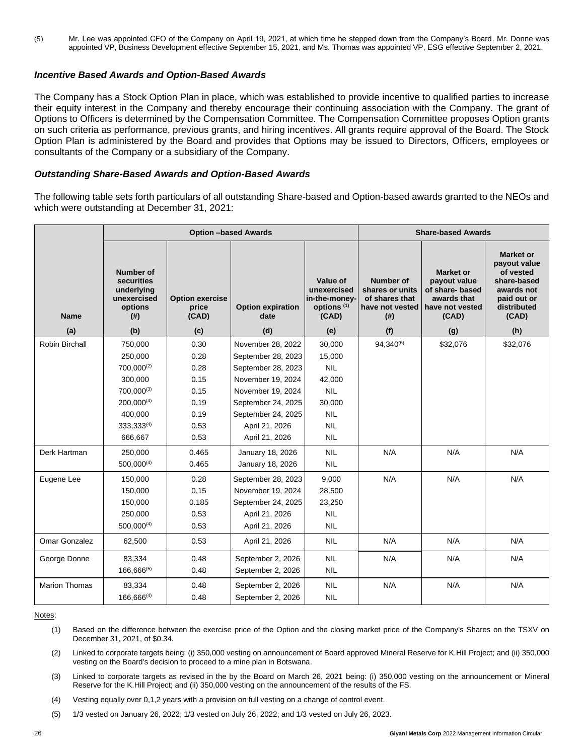(5) Mr. Lee was appointed CFO of the Company on April 19, 2021, at which time he stepped down from the Company's Board. Mr. Donne was appointed VP, Business Development effective September 15, 2021, and Ms. Thomas was appointed VP, ESG effective September 2, 2021.

#### *Incentive Based Awards and Option-Based Awards*

The Company has a Stock Option Plan in place, which was established to provide incentive to qualified parties to increase their equity interest in the Company and thereby encourage their continuing association with the Company. The grant of Options to Officers is determined by the Compensation Committee. The Compensation Committee proposes Option grants on such criteria as performance, previous grants, and hiring incentives. All grants require approval of the Board. The Stock Option Plan is administered by the Board and provides that Options may be issued to Directors, Officers, employees or consultants of the Company or a subsidiary of the Company.

## *Outstanding Share-Based Awards and Option-Based Awards*

The following table sets forth particulars of all outstanding Share-based and Option-based awards granted to the NEOs and which were outstanding at December 31, 2021:

|                      |                                                                                             |                                          | <b>Option -based Awards</b>      | <b>Share-based Awards</b>                                                   |                                                                                       |                                                                                                |                                                                                                                   |
|----------------------|---------------------------------------------------------------------------------------------|------------------------------------------|----------------------------------|-----------------------------------------------------------------------------|---------------------------------------------------------------------------------------|------------------------------------------------------------------------------------------------|-------------------------------------------------------------------------------------------------------------------|
| <b>Name</b>          | <b>Number of</b><br>securities<br>underlying<br>unexercised<br>options<br>(# <sup>2</sup> ) | <b>Option exercise</b><br>price<br>(CAD) | <b>Option expiration</b><br>date | Value of<br>unexercised<br>in-the-money-<br>options <sup>(1)</sup><br>(CAD) | <b>Number of</b><br>shares or units<br>of shares that<br>have not vested<br>$($ # $)$ | <b>Market or</b><br>payout value<br>of share- based<br>awards that<br>have not vested<br>(CAD) | <b>Market or</b><br>payout value<br>of vested<br>share-based<br>awards not<br>paid out or<br>distributed<br>(CAD) |
| (a)                  | (b)                                                                                         | (c)                                      | (d)                              | (e)                                                                         | (f)                                                                                   | (g)                                                                                            | (h)                                                                                                               |
| Robin Birchall       | 750.000                                                                                     | 0.30                                     | November 28, 2022                | 30,000                                                                      | 94.340(6)                                                                             | \$32,076                                                                                       | \$32,076                                                                                                          |
|                      | 250,000                                                                                     | 0.28                                     | September 28, 2023               | 15,000                                                                      |                                                                                       |                                                                                                |                                                                                                                   |
|                      | 700,000(2)                                                                                  | 0.28                                     | September 28, 2023               | <b>NIL</b>                                                                  |                                                                                       |                                                                                                |                                                                                                                   |
|                      | 300,000                                                                                     | 0.15                                     | November 19, 2024                | 42,000                                                                      |                                                                                       |                                                                                                |                                                                                                                   |
|                      | $700.000^{(3)}$                                                                             | 0.15                                     | November 19, 2024                | <b>NIL</b>                                                                  |                                                                                       |                                                                                                |                                                                                                                   |
|                      | $200,000^{(4)}$                                                                             | 0.19                                     | September 24, 2025               | 30,000                                                                      |                                                                                       |                                                                                                |                                                                                                                   |
|                      | 400.000                                                                                     | 0.19                                     | September 24, 2025               | <b>NIL</b>                                                                  |                                                                                       |                                                                                                |                                                                                                                   |
|                      | 333,333(4)                                                                                  | 0.53                                     | April 21, 2026                   | <b>NIL</b>                                                                  |                                                                                       |                                                                                                |                                                                                                                   |
|                      | 666,667                                                                                     | 0.53                                     | April 21, 2026                   | <b>NIL</b>                                                                  |                                                                                       |                                                                                                |                                                                                                                   |
| Derk Hartman         | 250,000                                                                                     | 0.465                                    | January 18, 2026                 | <b>NIL</b>                                                                  | N/A                                                                                   | N/A                                                                                            | N/A                                                                                                               |
|                      | $500,000^{(4)}$                                                                             | 0.465                                    | January 18, 2026                 | <b>NIL</b>                                                                  |                                                                                       |                                                                                                |                                                                                                                   |
| Eugene Lee           | 150,000                                                                                     | 0.28                                     | September 28, 2023               | 9,000                                                                       | N/A                                                                                   | N/A                                                                                            | N/A                                                                                                               |
|                      | 150.000                                                                                     | 0.15                                     | November 19, 2024                | 28,500                                                                      |                                                                                       |                                                                                                |                                                                                                                   |
|                      | 150,000                                                                                     | 0.185                                    | September 24, 2025               | 23,250                                                                      |                                                                                       |                                                                                                |                                                                                                                   |
|                      | 250,000                                                                                     | 0.53                                     | April 21, 2026                   | <b>NIL</b>                                                                  |                                                                                       |                                                                                                |                                                                                                                   |
|                      | $500.000^{(4)}$                                                                             | 0.53                                     | April 21, 2026                   | <b>NIL</b>                                                                  |                                                                                       |                                                                                                |                                                                                                                   |
| Omar Gonzalez        | 62,500                                                                                      | 0.53                                     | April 21, 2026                   | <b>NIL</b>                                                                  | N/A                                                                                   | N/A                                                                                            | N/A                                                                                                               |
| George Donne         | 83,334                                                                                      | 0.48                                     | September 2, 2026                | <b>NIL</b>                                                                  | N/A                                                                                   | N/A                                                                                            | N/A                                                                                                               |
|                      | $166,666^{(5)}$                                                                             | 0.48                                     | September 2, 2026                | <b>NIL</b>                                                                  |                                                                                       |                                                                                                |                                                                                                                   |
| <b>Marion Thomas</b> | 83,334                                                                                      | 0.48                                     | September 2, 2026                | <b>NIL</b>                                                                  | N/A                                                                                   | N/A                                                                                            | N/A                                                                                                               |
|                      | $166,666^{(4)}$                                                                             | 0.48                                     | September 2, 2026                | <b>NIL</b>                                                                  |                                                                                       |                                                                                                |                                                                                                                   |

#### Notes:

- (1) Based on the difference between the exercise price of the Option and the closing market price of the Company's Shares on the TSXV on December 31, 2021, of \$0.34.
- (2) Linked to corporate targets being: (i) 350,000 vesting on announcement of Board approved Mineral Reserve for K.Hill Project; and (ii) 350,000 vesting on the Board's decision to proceed to a mine plan in Botswana.
- (3) Linked to corporate targets as revised in the by the Board on March 26, 2021 being: (i) 350,000 vesting on the announcement or Mineral Reserve for the K.Hill Project; and (ii) 350,000 vesting on the announcement of the results of the FS.
- (4) Vesting equally over 0,1,2 years with a provision on full vesting on a change of control event.
- (5) 1/3 vested on January 26, 2022; 1/3 vested on July 26, 2022; and 1/3 vested on July 26, 2023.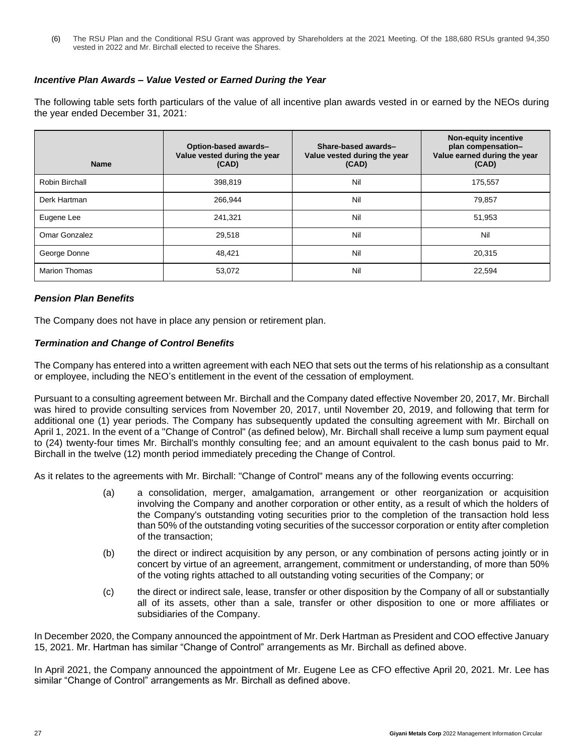(6) The RSU Plan and the Conditional RSU Grant was approved by Shareholders at the 2021 Meeting. Of the 188,680 RSUs granted 94,350 vested in 2022 and Mr. Birchall elected to receive the Shares.

## *Incentive Plan Awards – Value Vested or Earned During the Year*

The following table sets forth particulars of the value of all incentive plan awards vested in or earned by the NEOs during the year ended December 31, 2021:

| <b>Name</b>          | Option-based awards-<br>Value vested during the year<br>(CAD) | Share-based awards-<br>Value vested during the year<br>(CAD) | <b>Non-equity incentive</b><br>plan compensation-<br>Value earned during the year<br>(CAD) |
|----------------------|---------------------------------------------------------------|--------------------------------------------------------------|--------------------------------------------------------------------------------------------|
| Robin Birchall       | 398,819                                                       | Nil                                                          | 175,557                                                                                    |
| Derk Hartman         | 266,944                                                       | Nil                                                          | 79,857                                                                                     |
| Eugene Lee           | 241,321                                                       | Nil                                                          | 51,953                                                                                     |
| Omar Gonzalez        | 29,518                                                        | Nil                                                          | Nil                                                                                        |
| George Donne         | 48.421                                                        | Nil                                                          | 20,315                                                                                     |
| <b>Marion Thomas</b> | 53,072                                                        | Nil                                                          | 22,594                                                                                     |

## *Pension Plan Benefits*

The Company does not have in place any pension or retirement plan.

## *Termination and Change of Control Benefits*

The Company has entered into a written agreement with each NEO that sets out the terms of his relationship as a consultant or employee, including the NEO's entitlement in the event of the cessation of employment.

Pursuant to a consulting agreement between Mr. Birchall and the Company dated effective November 20, 2017, Mr. Birchall was hired to provide consulting services from November 20, 2017, until November 20, 2019, and following that term for additional one (1) year periods. The Company has subsequently updated the consulting agreement with Mr. Birchall on April 1, 2021. In the event of a "Change of Control" (as defined below), Mr. Birchall shall receive a lump sum payment equal to (24) twenty-four times Mr. Birchall's monthly consulting fee; and an amount equivalent to the cash bonus paid to Mr. Birchall in the twelve (12) month period immediately preceding the Change of Control.

As it relates to the agreements with Mr. Birchall: "Change of Control" means any of the following events occurring:

- (a) a consolidation, merger, amalgamation, arrangement or other reorganization or acquisition involving the Company and another corporation or other entity, as a result of which the holders of the Company's outstanding voting securities prior to the completion of the transaction hold less than 50% of the outstanding voting securities of the successor corporation or entity after completion of the transaction;
- (b) the direct or indirect acquisition by any person, or any combination of persons acting jointly or in concert by virtue of an agreement, arrangement, commitment or understanding, of more than 50% of the voting rights attached to all outstanding voting securities of the Company; or
- (c) the direct or indirect sale, lease, transfer or other disposition by the Company of all or substantially all of its assets, other than a sale, transfer or other disposition to one or more affiliates or subsidiaries of the Company.

In December 2020, the Company announced the appointment of Mr. Derk Hartman as President and COO effective January 15, 2021. Mr. Hartman has similar "Change of Control" arrangements as Mr. Birchall as defined above.

In April 2021, the Company announced the appointment of Mr. Eugene Lee as CFO effective April 20, 2021. Mr. Lee has similar "Change of Control" arrangements as Mr. Birchall as defined above.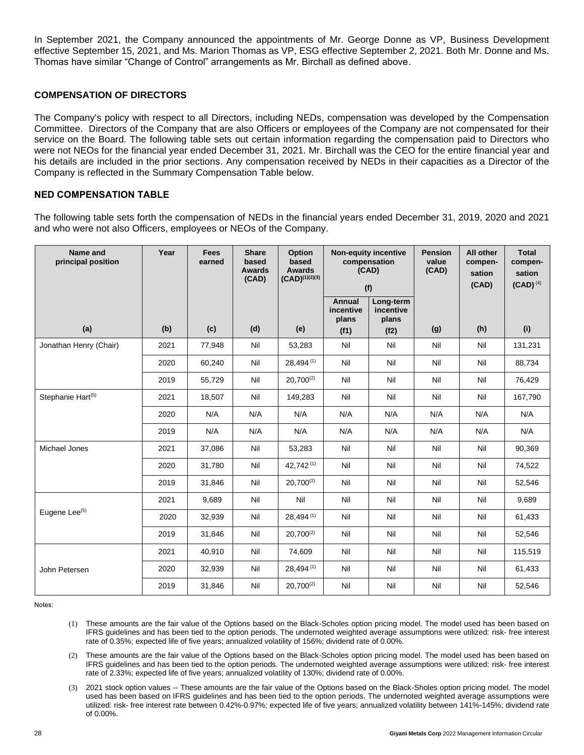In September 2021, the Company announced the appointments of Mr. George Donne as VP, Business Development effective September 15, 2021, and Ms. Marion Thomas as VP, ESG effective September 2, 2021. Both Mr. Donne and Ms. Thomas have similar "Change of Control" arrangements as Mr. Birchall as defined above.

## **COMPENSATION OF DIRECTORS**

The Company's policy with respect to all Directors, including NEDs, compensation was developed by the Compensation Committee. Directors of the Company that are also Officers or employees of the Company are not compensated for their service on the Board. The following table sets out certain information regarding the compensation paid to Directors who were not NEOs for the financial year ended December 31, 2021. Mr. Birchall was the CEO for the entire financial year and his details are included in the prior sections. Any compensation received by NEDs in their capacities as a Director of the Company is reflected in the Summary Compensation Table below.

## **NED COMPENSATION TABLE**

The following table sets forth the compensation of NEDs in the financial years ended December 31, 2019, 2020 and 2021 and who were not also Officers, employees or NEOs of the Company.

| Name and<br>principal position | Year | <b>Fees</b><br>earned | <b>Share</b><br>based<br><b>Awards</b><br>(CAD) | Option<br>based<br><b>Awards</b><br>$(CAD)^{(1)(2)(3)}$ | <b>Non-equity incentive</b><br>compensation<br>(CAD)<br>(f) |                                 | <b>Pension</b><br>value<br>(CAD) | All other<br>compen-<br>sation<br>(CAD) | <b>Total</b><br>compen-<br>sation<br>$(CAD)^{(4)}$ |
|--------------------------------|------|-----------------------|-------------------------------------------------|---------------------------------------------------------|-------------------------------------------------------------|---------------------------------|----------------------------------|-----------------------------------------|----------------------------------------------------|
|                                |      |                       |                                                 |                                                         | <b>Annual</b><br>incentive<br>plans                         | Long-term<br>incentive<br>plans |                                  |                                         |                                                    |
| (a)                            | (b)  | (c)                   | (d)                                             | (e)                                                     | (f1)                                                        | (f2)                            | (g)                              | (h)                                     | (i)                                                |
| Jonathan Henry (Chair)         | 2021 | 77,948                | Nil                                             | 53,283                                                  | Nil                                                         | Nil                             | Nil                              | Nil                                     | 131,231                                            |
|                                | 2020 | 60,240                | Nil                                             | 28,494 (1)                                              | Nil                                                         | Nil                             | Nil                              | Nil                                     | 88,734                                             |
|                                | 2019 | 55,729                | Nil                                             | $20.700^{(2)}$                                          | Nil                                                         | Nil                             | Nil                              | Nil                                     | 76,429                                             |
| Stephanie Hart <sup>(5)</sup>  | 2021 | 18,507                | Nil                                             | 149,283                                                 | Nil                                                         | Nil                             | Nil                              | Nil                                     | 167,790                                            |
|                                | 2020 | N/A                   | N/A                                             | N/A                                                     | N/A                                                         | N/A                             | N/A                              | N/A                                     | N/A                                                |
|                                | 2019 | N/A                   | N/A                                             | N/A                                                     | N/A                                                         | N/A                             | N/A                              | N/A                                     | N/A                                                |
| Michael Jones                  | 2021 | 37,086                | Nil                                             | 53,283                                                  | Nil                                                         | Nil                             | Nil                              | Nil                                     | 90,369                                             |
|                                | 2020 | 31,780                | Nil                                             | 42,742(1)                                               | Nil                                                         | Nil                             | Nil                              | Nil                                     | 74,522                                             |
|                                | 2019 | 31,846                | Nil                                             | $20,700^{(2)}$                                          | Nil                                                         | Nil                             | Nil                              | Nil                                     | 52,546                                             |
|                                | 2021 | 9,689                 | Nil                                             | Nil                                                     | Nil                                                         | Nil                             | Nil                              | Nil                                     | 9,689                                              |
| Eugene Lee <sup>(5)</sup>      | 2020 | 32,939                | Nil                                             | 28,494 (1)                                              | Nil                                                         | Nil                             | Nil                              | Nil                                     | 61,433                                             |
|                                | 2019 | 31,846                | Nil                                             | $20,700^{(2)}$                                          | Nil                                                         | Nil                             | Nil                              | Nil                                     | 52,546                                             |
|                                | 2021 | 40,910                | Nil                                             | 74,609                                                  | Nil                                                         | Nil                             | Nil                              | Nil                                     | 115,519                                            |
| John Petersen                  | 2020 | 32,939                | Nil                                             | 28,494 (1)                                              | Nil                                                         | Nil                             | Nil                              | Nil                                     | 61,433                                             |
|                                | 2019 | 31,846                | Nil                                             | $20,700^{(2)}$                                          | Nil                                                         | Nil                             | Nil                              | Nil                                     | 52,546                                             |

Notes:

- (1) These amounts are the fair value of the Options based on the Black-Scholes option pricing model. The model used has been based on IFRS guidelines and has been tied to the option periods. The undernoted weighted average assumptions were utilized: risk- free interest rate of 0.35%; expected life of five years; annualized volatility of 156%; dividend rate of 0.00%.
- (2) These amounts are the fair value of the Options based on the Black-Scholes option pricing model. The model used has been based on IFRS guidelines and has been tied to the option periods. The undernoted weighted average assumptions were utilized: risk- free interest rate of 2.33%; expected life of five years; annualized volatility of 130%; dividend rate of 0.00%.
- (3) 2021 stock option values -- These amounts are the fair value of the Options based on the Black-Sholes option pricing model. The model used has been based on IFRS guidelines and has been tied to the option periods. The undernoted weighted average assumptions were utilized: risk- free interest rate between 0.42%-0.97%; expected life of five years; annualized volatility between 141%-145%; dividend rate of 0.00%.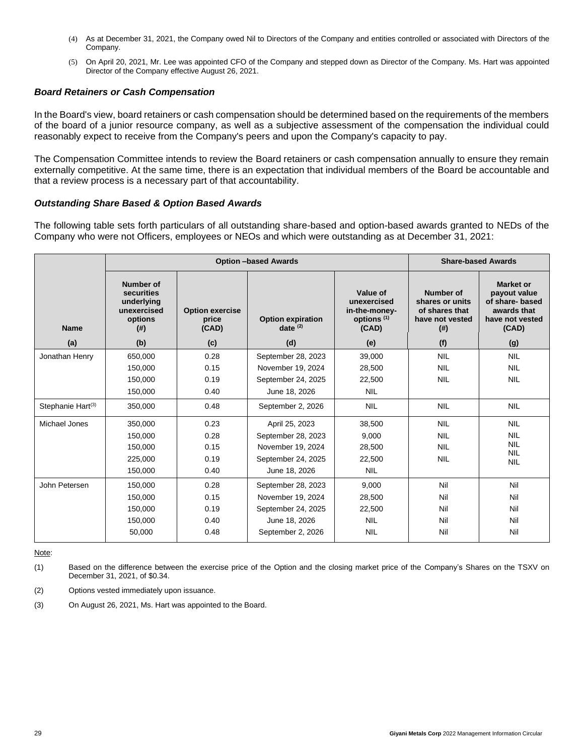- (4) As at December 31, 2021, the Company owed Nil to Directors of the Company and entities controlled or associated with Directors of the Company.
- (5) On April 20, 2021, Mr. Lee was appointed CFO of the Company and stepped down as Director of the Company. Ms. Hart was appointed Director of the Company effective August 26, 2021.

#### *Board Retainers or Cash Compensation*

In the Board's view, board retainers or cash compensation should be determined based on the requirements of the members of the board of a junior resource company, as well as a subjective assessment of the compensation the individual could reasonably expect to receive from the Company's peers and upon the Company's capacity to pay.

The Compensation Committee intends to review the Board retainers or cash compensation annually to ensure they remain externally competitive. At the same time, there is an expectation that individual members of the Board be accountable and that a review process is a necessary part of that accountability.

#### *Outstanding Share Based & Option Based Awards*

The following table sets forth particulars of all outstanding share-based and option-based awards granted to NEDs of the Company who were not Officers, employees or NEOs and which were outstanding as at December 31, 2021:

|                               |                                                                                     | <b>Option -based Awards</b>              | <b>Share-based Awards</b>              |                                                                             |                                                                          |                                                                                                |
|-------------------------------|-------------------------------------------------------------------------------------|------------------------------------------|----------------------------------------|-----------------------------------------------------------------------------|--------------------------------------------------------------------------|------------------------------------------------------------------------------------------------|
| <b>Name</b>                   | <b>Number of</b><br>securities<br>underlying<br>unexercised<br>options<br>$($ # $)$ | <b>Option exercise</b><br>price<br>(CAD) | <b>Option expiration</b><br>date $(2)$ | Value of<br>unexercised<br>in-the-money-<br>options <sup>(1)</sup><br>(CAD) | Number of<br>shares or units<br>of shares that<br>have not vested<br>(#) | <b>Market or</b><br>payout value<br>of share- based<br>awards that<br>have not vested<br>(CAD) |
| (a)                           | (b)                                                                                 | (c)                                      | (d)                                    | (e)                                                                         | (f)                                                                      | (g)                                                                                            |
| Jonathan Henry                | 650,000                                                                             | 0.28                                     | September 28, 2023                     | 39,000                                                                      | <b>NIL</b>                                                               | <b>NIL</b>                                                                                     |
|                               | 150,000                                                                             | 0.15                                     | November 19, 2024                      | 28,500                                                                      | <b>NIL</b>                                                               | <b>NIL</b>                                                                                     |
|                               | 150,000                                                                             | 0.19                                     | September 24, 2025                     | 22,500                                                                      | <b>NIL</b>                                                               | <b>NIL</b>                                                                                     |
|                               | 150,000                                                                             | 0.40                                     | June 18, 2026                          | <b>NIL</b>                                                                  |                                                                          |                                                                                                |
| Stephanie Hart <sup>(3)</sup> | 350,000                                                                             | 0.48                                     | September 2, 2026                      | <b>NIL</b>                                                                  | <b>NIL</b>                                                               | <b>NIL</b>                                                                                     |
| Michael Jones                 | 350,000                                                                             | 0.23                                     | April 25, 2023                         | 38,500                                                                      | <b>NIL</b>                                                               | <b>NIL</b>                                                                                     |
|                               | 150,000                                                                             | 0.28                                     | September 28, 2023                     | 9.000                                                                       | <b>NIL</b>                                                               | <b>NIL</b>                                                                                     |
|                               | 150,000                                                                             | 0.15                                     | November 19, 2024                      | 28,500                                                                      | <b>NIL</b>                                                               | <b>NIL</b><br><b>NIL</b>                                                                       |
|                               | 225,000                                                                             | 0.19                                     | September 24, 2025                     | 22,500                                                                      | <b>NIL</b>                                                               | <b>NIL</b>                                                                                     |
|                               | 150,000                                                                             | 0.40                                     | June 18, 2026                          | <b>NIL</b>                                                                  |                                                                          |                                                                                                |
| John Petersen                 | 150,000                                                                             | 0.28                                     | September 28, 2023                     | 9.000                                                                       | Nil                                                                      | Nil                                                                                            |
|                               | 150,000                                                                             | 0.15                                     | November 19, 2024                      | 28,500                                                                      | Nil                                                                      | Nil                                                                                            |
|                               | 150,000                                                                             | 0.19                                     | September 24, 2025                     | 22,500                                                                      | Nil                                                                      | Nil                                                                                            |
|                               | 150.000                                                                             | 0.40                                     | June 18, 2026                          | <b>NIL</b>                                                                  | Nil                                                                      | Nil                                                                                            |
|                               | 50,000                                                                              | 0.48                                     | September 2, 2026                      | <b>NIL</b>                                                                  | Nil                                                                      | Nil                                                                                            |

Note:

(1) Based on the difference between the exercise price of the Option and the closing market price of the Company's Shares on the TSXV on December 31, 2021, of \$0.34.

(2) Options vested immediately upon issuance.

(3) On August 26, 2021, Ms. Hart was appointed to the Board.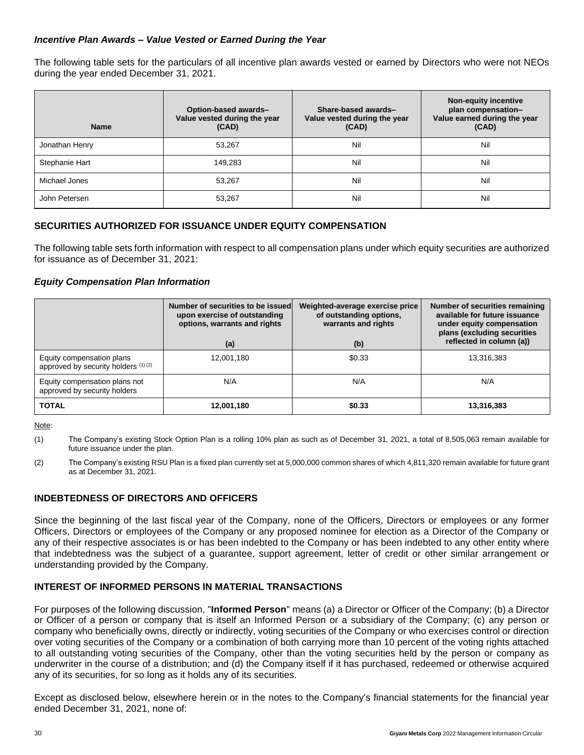## *Incentive Plan Awards – Value Vested or Earned During the Year*

The following table sets for the particulars of all incentive plan awards vested or earned by Directors who were not NEOs during the year ended December 31, 2021.

| <b>Name</b>    | Option-based awards-<br>Value vested during the year<br>(CAD) | Share-based awards-<br>Value vested during the year<br>(CAD) | <b>Non-equity incentive</b><br>plan compensation-<br>Value earned during the year<br>(CAD) |
|----------------|---------------------------------------------------------------|--------------------------------------------------------------|--------------------------------------------------------------------------------------------|
| Jonathan Henry | 53,267                                                        | Nil                                                          | Nil                                                                                        |
| Stephanie Hart | 149,283                                                       | Nil                                                          | Nil                                                                                        |
| Michael Jones  | 53,267                                                        | Nil                                                          | Nil                                                                                        |
| John Petersen  | 53,267                                                        | Nil                                                          | Nil                                                                                        |

## **SECURITIES AUTHORIZED FOR ISSUANCE UNDER EQUITY COMPENSATION**

The following table sets forth information with respect to all compensation plans under which equity securities are authorized for issuance as of December 31, 2021:

## *Equity Compensation Plan Information*

|                                                                  | Number of securities to be issued<br>upon exercise of outstanding<br>options, warrants and rights<br>(a) | Weighted-average exercise price<br>of outstanding options,<br>warrants and rights<br>(b) | Number of securities remaining<br>available for future issuance<br>under equity compensation<br>plans (excluding securities<br>reflected in column (a)) |
|------------------------------------------------------------------|----------------------------------------------------------------------------------------------------------|------------------------------------------------------------------------------------------|---------------------------------------------------------------------------------------------------------------------------------------------------------|
| Equity compensation plans<br>approved by security holders (1)(2) | 12,001,180                                                                                               | \$0.33                                                                                   | 13,316,383                                                                                                                                              |
| Equity compensation plans not<br>approved by security holders    | N/A                                                                                                      | N/A                                                                                      | N/A                                                                                                                                                     |
| <b>TOTAL</b>                                                     | 12,001,180                                                                                               | \$0.33                                                                                   | 13,316,383                                                                                                                                              |

Note:

(1) The Company's existing Stock Option Plan is a rolling 10% plan as such as of December 31, 2021, a total of 8,505,063 remain available for future issuance under the plan.

(2) The Company's existing RSU Plan is a fixed plan currently set at 5,000,000 common shares of which 4,811,320 remain available for future grant as at December 31, 2021.

## **INDEBTEDNESS OF DIRECTORS AND OFFICERS**

Since the beginning of the last fiscal year of the Company, none of the Officers, Directors or employees or any former Officers, Directors or employees of the Company or any proposed nominee for election as a Director of the Company or any of their respective associates is or has been indebted to the Company or has been indebted to any other entity where that indebtedness was the subject of a guarantee, support agreement, letter of credit or other similar arrangement or understanding provided by the Company.

## **INTEREST OF INFORMED PERSONS IN MATERIAL TRANSACTIONS**

For purposes of the following discussion, "**Informed Person**" means (a) a Director or Officer of the Company; (b) a Director or Officer of a person or company that is itself an Informed Person or a subsidiary of the Company; (c) any person or company who beneficially owns, directly or indirectly, voting securities of the Company or who exercises control or direction over voting securities of the Company or a combination of both carrying more than 10 percent of the voting rights attached to all outstanding voting securities of the Company, other than the voting securities held by the person or company as underwriter in the course of a distribution; and (d) the Company itself if it has purchased, redeemed or otherwise acquired any of its securities, for so long as it holds any of its securities.

Except as disclosed below, elsewhere herein or in the notes to the Company's financial statements for the financial year ended December 31, 2021, none of: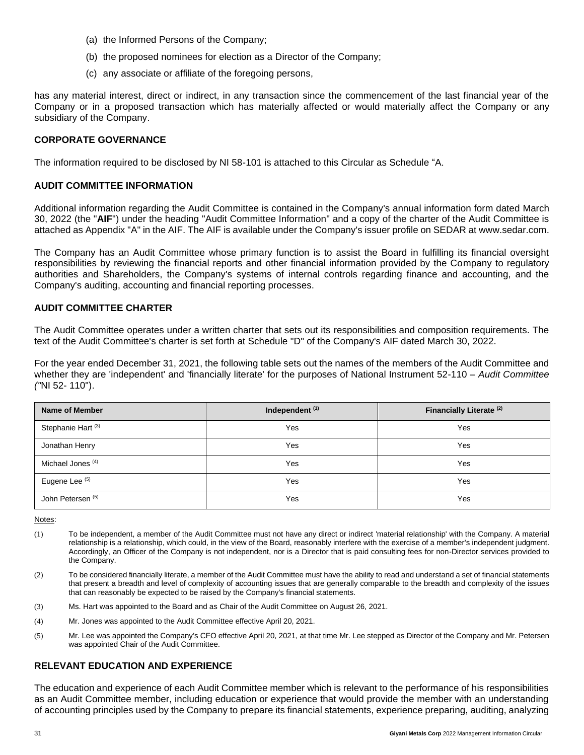- (a) the Informed Persons of the Company;
- (b) the proposed nominees for election as a Director of the Company;
- (c) any associate or affiliate of the foregoing persons,

has any material interest, direct or indirect, in any transaction since the commencement of the last financial year of the Company or in a proposed transaction which has materially affected or would materially affect the Company or any subsidiary of the Company.

#### **CORPORATE GOVERNANCE**

The information required to be disclosed by NI 58-101 is attached to this Circular as Schedule ["A](#page-34-0).

#### **AUDIT COMMITTEE INFORMATION**

Additional information regarding the Audit Committee is contained in the Company's annual information form dated March 30, 2022 (the "**AIF**") under the heading "Audit Committee Information" and a copy of the charter of the Audit Committee is attached as Appendix "A" in the AIF. The AIF is available under the Company's issuer profile on SEDAR at www.sedar.com.

The Company has an Audit Committee whose primary function is to assist the Board in fulfilling its financial oversight responsibilities by reviewing the financial reports and other financial information provided by the Company to regulatory authorities and Shareholders, the Company's systems of internal controls regarding finance and accounting, and the Company's auditing, accounting and financial reporting processes.

#### **AUDIT COMMITTEE CHARTER**

The Audit Committee operates under a written charter that sets out its responsibilities and composition requirements. The text of the Audit Committee's charter is set forth at Schedule "D" of the Company's AIF dated March 30, 2022.

For the year ended December 31, 2021, the following table sets out the names of the members of the Audit Committee and whether they are 'independent' and 'financially literate' for the purposes of National Instrument 52-110 – *Audit Committee ("*NI 52- 110").

| <b>Name of Member</b>         | Independent <sup>(1)</sup> | Financially Literate <sup>(2)</sup> |
|-------------------------------|----------------------------|-------------------------------------|
| Stephanie Hart <sup>(3)</sup> | Yes                        | Yes                                 |
| Jonathan Henry                | Yes                        | Yes                                 |
| Michael Jones <sup>(4)</sup>  | Yes                        | Yes                                 |
| Eugene Lee (5)                | Yes                        | Yes                                 |
| John Petersen <sup>(5)</sup>  | Yes                        | Yes                                 |

Notes:

- (1) To be independent, a member of the Audit Committee must not have any direct or indirect 'material relationship' with the Company. A material relationship is a relationship, which could, in the view of the Board, reasonably interfere with the exercise of a member's independent judgment. Accordingly, an Officer of the Company is not independent, nor is a Director that is paid consulting fees for non-Director services provided to the Company.
- (2) To be considered financially literate, a member of the Audit Committee must have the ability to read and understand a set of financial statements that present a breadth and level of complexity of accounting issues that are generally comparable to the breadth and complexity of the issues that can reasonably be expected to be raised by the Company's financial statements.
- (3) Ms. Hart was appointed to the Board and as Chair of the Audit Committee on August 26, 2021.
- (4) Mr. Jones was appointed to the Audit Committee effective April 20, 2021.
- (5) Mr. Lee was appointed the Company's CFO effective April 20, 2021, at that time Mr. Lee stepped as Director of the Company and Mr. Petersen was appointed Chair of the Audit Committee.

## **RELEVANT EDUCATION AND EXPERIENCE**

The education and experience of each Audit Committee member which is relevant to the performance of his responsibilities as an Audit Committee member, including education or experience that would provide the member with an understanding of accounting principles used by the Company to prepare its financial statements, experience preparing, auditing, analyzing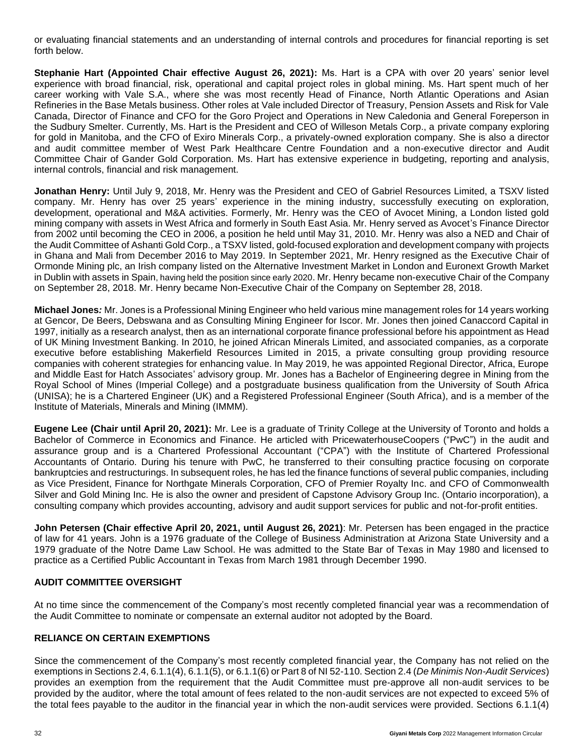or evaluating financial statements and an understanding of internal controls and procedures for financial reporting is set forth below.

**Stephanie Hart (Appointed Chair effective August 26, 2021):** Ms. Hart is a CPA with over 20 years' senior level experience with broad financial, risk, operational and capital project roles in global mining. Ms. Hart spent much of her career working with Vale S.A., where she was most recently Head of Finance, North Atlantic Operations and Asian Refineries in the Base Metals business. Other roles at Vale included Director of Treasury, Pension Assets and Risk for Vale Canada, Director of Finance and CFO for the Goro Project and Operations in New Caledonia and General Foreperson in the Sudbury Smelter. Currently, Ms. Hart is the President and CEO of Willeson Metals Corp., a private company exploring for gold in Manitoba, and the CFO of Exiro Minerals Corp., a privately-owned exploration company. She is also a director and audit committee member of West Park Healthcare Centre Foundation and a non-executive director and Audit Committee Chair of Gander Gold Corporation. Ms. Hart has extensive experience in budgeting, reporting and analysis, internal controls, financial and risk management.

**Jonathan Henry:** Until July 9, 2018, Mr. Henry was the President and CEO of Gabriel Resources Limited, a TSXV listed company. Mr. Henry has over 25 years' experience in the mining industry, successfully executing on exploration, development, operational and M&A activities. Formerly, Mr. Henry was the CEO of Avocet Mining, a London listed gold mining company with assets in West Africa and formerly in South East Asia. Mr. Henry served as Avocet's Finance Director from 2002 until becoming the CEO in 2006, a position he held until May 31, 2010. Mr. Henry was also a NED and Chair of the Audit Committee of Ashanti Gold Corp., a TSXV listed, gold-focused exploration and development company with projects in Ghana and Mali from December 2016 to May 2019. In September 2021, Mr. Henry resigned as the Executive Chair of Ormonde Mining plc, an Irish company listed on the Alternative Investment Market in London and Euronext Growth Market in Dublin with assets in Spain, having held the position since early 2020. Mr. Henry became non-executive Chair of the Company on September 28, 2018. Mr. Henry became Non-Executive Chair of the Company on September 28, 2018.

**Michael Jones***:* Mr. Jones is a Professional Mining Engineer who held various mine management roles for 14 years working at Gencor, De Beers, Debswana and as Consulting Mining Engineer for Iscor. Mr. Jones then joined Canaccord Capital in 1997, initially as a research analyst, then as an international corporate finance professional before his appointment as Head of UK Mining Investment Banking. In 2010, he joined African Minerals Limited, and associated companies, as a corporate executive before establishing Makerfield Resources Limited in 2015, a private consulting group providing resource companies with coherent strategies for enhancing value. In May 2019, he was appointed Regional Director, Africa, Europe and Middle East for Hatch Associates' advisory group. Mr. Jones has a Bachelor of Engineering degree in Mining from the Royal School of Mines (Imperial College) and a postgraduate business qualification from the University of South Africa (UNISA); he is a Chartered Engineer (UK) and a Registered Professional Engineer (South Africa), and is a member of the Institute of Materials, Minerals and Mining (IMMM).

**Eugene Lee (Chair until April 20, 2021):** Mr. Lee is a graduate of Trinity College at the University of Toronto and holds a Bachelor of Commerce in Economics and Finance. He articled with PricewaterhouseCoopers ("PwC") in the audit and assurance group and is a Chartered Professional Accountant ("CPA") with the Institute of Chartered Professional Accountants of Ontario. During his tenure with PwC, he transferred to their consulting practice focusing on corporate bankruptcies and restructurings. In subsequent roles, he has led the finance functions of several public companies, including as Vice President, Finance for Northgate Minerals Corporation, CFO of Premier Royalty Inc. and CFO of Commonwealth Silver and Gold Mining Inc. He is also the owner and president of Capstone Advisory Group Inc. (Ontario incorporation), a consulting company which provides accounting, advisory and audit support services for public and not-for-profit entities.

**John Petersen (Chair effective April 20, 2021, until August 26, 2021)**: Mr. Petersen has been engaged in the practice of law for 41 years. John is a 1976 graduate of the College of Business Administration at Arizona State University and a 1979 graduate of the Notre Dame Law School. He was admitted to the State Bar of Texas in May 1980 and licensed to practice as a Certified Public Accountant in Texas from March 1981 through December 1990.

## **AUDIT COMMITTEE OVERSIGHT**

At no time since the commencement of the Company's most recently completed financial year was a recommendation of the Audit Committee to nominate or compensate an external auditor not adopted by the Board.

## **RELIANCE ON CERTAIN EXEMPTIONS**

Since the commencement of the Company's most recently completed financial year, the Company has not relied on the exemptions in Sections 2.4, 6.1.1(4), 6.1.1(5), or 6.1.1(6) or Part 8 of NI 52-110. Section 2.4 (*De Minimis Non-Audit Services*) provides an exemption from the requirement that the Audit Committee must pre-approve all non-audit services to be provided by the auditor, where the total amount of fees related to the non-audit services are not expected to exceed 5% of the total fees payable to the auditor in the financial year in which the non-audit services were provided. Sections 6.1.1(4)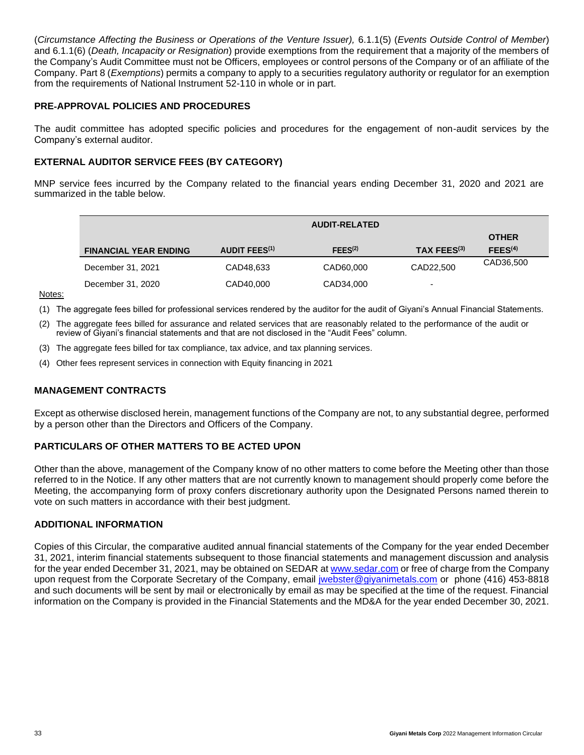(*Circumstance Affecting the Business or Operations of the Venture Issuer),* 6.1.1(5) (*Events Outside Control of Member*) and 6.1.1(6) (*Death, Incapacity or Resignation*) provide exemptions from the requirement that a majority of the members of the Company's Audit Committee must not be Officers, employees or control persons of the Company or of an affiliate of the Company. Part 8 (*Exemptions*) permits a company to apply to a securities regulatory authority or regulator for an exemption from the requirements of National Instrument 52-110 in whole or in part.

## **PRE**‐**APPROVAL POLICIES AND PROCEDURES**

The audit committee has adopted specific policies and procedures for the engagement of non-audit services by the Company's external auditor.

## **EXTERNAL AUDITOR SERVICE FEES (BY CATEGORY)**

MNP service fees incurred by the Company related to the financial years ending December 31, 2020 and 2021 are summarized in the table below.

|                              | <b>AUDIT-RELATED</b> |                     |             |                     |  |  |
|------------------------------|----------------------|---------------------|-------------|---------------------|--|--|
|                              |                      |                     |             | <b>OTHER</b>        |  |  |
| <b>FINANCIAL YEAR ENDING</b> | <b>AUDIT FEES(1)</b> | FEES <sup>(2)</sup> | TAX FEES(3) | FEES <sup>(4)</sup> |  |  |
| December 31, 2021            | CAD48,633            | CAD60,000           | CAD22,500   | CAD36,500           |  |  |
| December 31, 2020            | CAD40,000            | CAD34,000           | -           |                     |  |  |

Notes:

(1) The aggregate fees billed for professional services rendered by the auditor for the audit of Giyani's Annual Financial Statements.

- (2) The aggregate fees billed for assurance and related services that are reasonably related to the performance of the audit or review of Giyani's financial statements and that are not disclosed in the "Audit Fees" column.
- (3) The aggregate fees billed for tax compliance, tax advice, and tax planning services.
- (4) Other fees represent services in connection with Equity financing in 2021

#### **MANAGEMENT CONTRACTS**

Except as otherwise disclosed herein, management functions of the Company are not, to any substantial degree, performed by a person other than the Directors and Officers of the Company.

## **PARTICULARS OF OTHER MATTERS TO BE ACTED UPON**

Other than the above, management of the Company know of no other matters to come before the Meeting other than those referred to in the Notice. If any other matters that are not currently known to management should properly come before the Meeting, the accompanying form of proxy confers discretionary authority upon the Designated Persons named therein to vote on such matters in accordance with their best judgment.

## **ADDITIONAL INFORMATION**

Copies of this Circular, the comparative audited annual financial statements of the Company for the year ended December 31, 2021, interim financial statements subsequent to those financial statements and management discussion and analysis for the year ended December 31, 2021, may be obtained on SEDAR at [www.sedar.com](http://www.sedar.com/) or free of charge from the Company upon request from the Corporate Secretary of the Company, email [jwebster@giyanimetals.com](mailto:jwebster@giyanimetals.com) or phone (416) 453-8818 and such documents will be sent by mail or electronically by email as may be specified at the time of the request. Financial information on the Company is provided in the Financial Statements and the MD&A for the year ended December 30, 2021.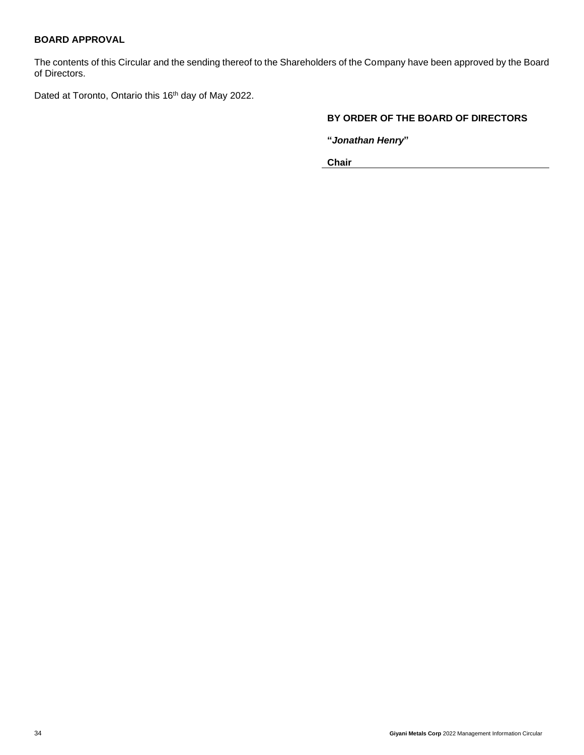## **BOARD APPROVAL**

The contents of this Circular and the sending thereof to the Shareholders of the Company have been approved by the Board of Directors.

Dated at Toronto, Ontario this 16<sup>th</sup> day of May 2022.

## **BY ORDER OF THE BOARD OF DIRECTORS**

**"***Jonathan Henry***"**

**Chair**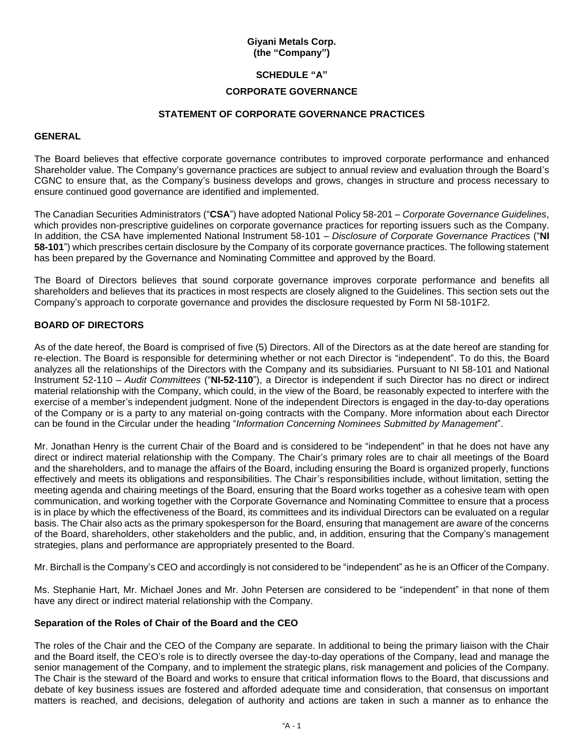## **Giyani Metals Corp. (the "Company")**

## <span id="page-34-0"></span>**SCHEDULE "A"**

#### **CORPORATE GOVERNANCE**

#### **STATEMENT OF CORPORATE GOVERNANCE PRACTICES**

#### **GENERAL**

The Board believes that effective corporate governance contributes to improved corporate performance and enhanced Shareholder value. The Company's governance practices are subject to annual review and evaluation through the Board's CGNC to ensure that, as the Company's business develops and grows, changes in structure and process necessary to ensure continued good governance are identified and implemented.

The Canadian Securities Administrators ("**CSA**") have adopted National Policy 58-201 – *Corporate Governance Guidelines*, which provides non-prescriptive guidelines on corporate governance practices for reporting issuers such as the Company. In addition, the CSA have implemented National Instrument 58-101 – *Disclosure of Corporate Governance Practices* ("**NI 58-101**") which prescribes certain disclosure by the Company of its corporate governance practices. The following statement has been prepared by the Governance and Nominating Committee and approved by the Board.

The Board of Directors believes that sound corporate governance improves corporate performance and benefits all shareholders and believes that its practices in most respects are closely aligned to the Guidelines. This section sets out the Company's approach to corporate governance and provides the disclosure requested by Form NI 58-101F2.

## **BOARD OF DIRECTORS**

As of the date hereof, the Board is comprised of five (5) Directors. All of the Directors as at the date hereof are standing for re-election. The Board is responsible for determining whether or not each Director is "independent". To do this, the Board analyzes all the relationships of the Directors with the Company and its subsidiaries. Pursuant to NI 58-101 and National Instrument 52-110 – *Audit Committees* ("**NI-52-110**"), a Director is independent if such Director has no direct or indirect material relationship with the Company, which could, in the view of the Board, be reasonably expected to interfere with the exercise of a member's independent judgment. None of the independent Directors is engaged in the day-to-day operations of the Company or is a party to any material on-going contracts with the Company. More information about each Director can be found in the Circular under the heading "*Information Concerning Nominees Submitted by Management*".

Mr. Jonathan Henry is the current Chair of the Board and is considered to be "independent" in that he does not have any direct or indirect material relationship with the Company. The Chair's primary roles are to chair all meetings of the Board and the shareholders, and to manage the affairs of the Board, including ensuring the Board is organized properly, functions effectively and meets its obligations and responsibilities. The Chair's responsibilities include, without limitation, setting the meeting agenda and chairing meetings of the Board, ensuring that the Board works together as a cohesive team with open communication, and working together with the Corporate Governance and Nominating Committee to ensure that a process is in place by which the effectiveness of the Board, its committees and its individual Directors can be evaluated on a regular basis. The Chair also acts as the primary spokesperson for the Board, ensuring that management are aware of the concerns of the Board, shareholders, other stakeholders and the public, and, in addition, ensuring that the Company's management strategies, plans and performance are appropriately presented to the Board.

Mr. Birchall is the Company's CEO and accordingly is not considered to be "independent" as he is an Officer of the Company.

Ms. Stephanie Hart, Mr. Michael Jones and Mr. John Petersen are considered to be "independent" in that none of them have any direct or indirect material relationship with the Company.

#### **Separation of the Roles of Chair of the Board and the CEO**

The roles of the Chair and the CEO of the Company are separate. In additional to being the primary liaison with the Chair and the Board itself, the CEO's role is to directly oversee the day-to-day operations of the Company, lead and manage the senior management of the Company, and to implement the strategic plans, risk management and policies of the Company. The Chair is the steward of the Board and works to ensure that critical information flows to the Board, that discussions and debate of key business issues are fostered and afforded adequate time and consideration, that consensus on important matters is reached, and decisions, delegation of authority and actions are taken in such a manner as to enhance the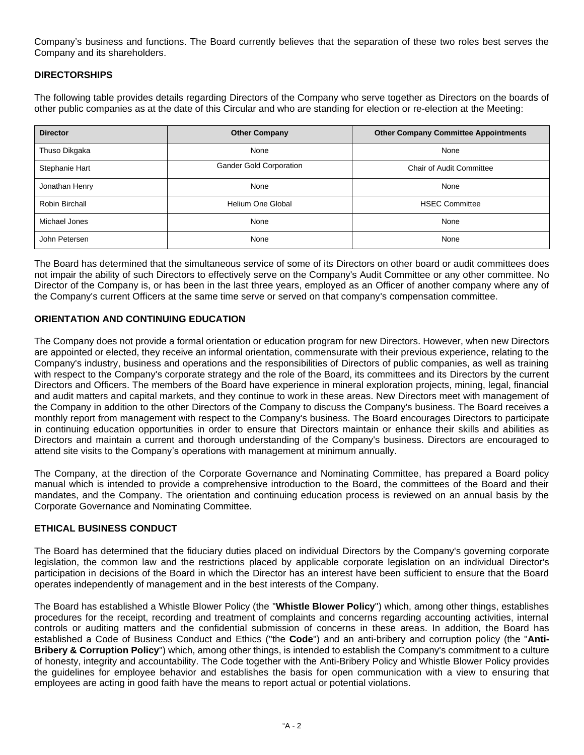Company's business and functions. The Board currently believes that the separation of these two roles best serves the Company and its shareholders.

## **DIRECTORSHIPS**

The following table provides details regarding Directors of the Company who serve together as Directors on the boards of other public companies as at the date of this Circular and who are standing for election or re-election at the Meeting:

| <b>Director</b> | <b>Other Company</b>    | <b>Other Company Committee Appointments</b> |  |
|-----------------|-------------------------|---------------------------------------------|--|
| Thuso Dikgaka   | None                    | None                                        |  |
| Stephanie Hart  | Gander Gold Corporation | <b>Chair of Audit Committee</b>             |  |
| Jonathan Henry  | None                    | None                                        |  |
| Robin Birchall  | Helium One Global       | <b>HSEC Committee</b>                       |  |
| Michael Jones   | None                    | None                                        |  |
| John Petersen   | None                    | None                                        |  |

The Board has determined that the simultaneous service of some of its Directors on other board or audit committees does not impair the ability of such Directors to effectively serve on the Company's Audit Committee or any other committee. No Director of the Company is, or has been in the last three years, employed as an Officer of another company where any of the Company's current Officers at the same time serve or served on that company's compensation committee.

## **ORIENTATION AND CONTINUING EDUCATION**

The Company does not provide a formal orientation or education program for new Directors. However, when new Directors are appointed or elected, they receive an informal orientation, commensurate with their previous experience, relating to the Company's industry, business and operations and the responsibilities of Directors of public companies, as well as training with respect to the Company's corporate strategy and the role of the Board, its committees and its Directors by the current Directors and Officers. The members of the Board have experience in mineral exploration projects, mining, legal, financial and audit matters and capital markets, and they continue to work in these areas. New Directors meet with management of the Company in addition to the other Directors of the Company to discuss the Company's business. The Board receives a monthly report from management with respect to the Company's business. The Board encourages Directors to participate in continuing education opportunities in order to ensure that Directors maintain or enhance their skills and abilities as Directors and maintain a current and thorough understanding of the Company's business. Directors are encouraged to attend site visits to the Company's operations with management at minimum annually.

The Company, at the direction of the Corporate Governance and Nominating Committee, has prepared a Board policy manual which is intended to provide a comprehensive introduction to the Board, the committees of the Board and their mandates, and the Company. The orientation and continuing education process is reviewed on an annual basis by the Corporate Governance and Nominating Committee.

#### **ETHICAL BUSINESS CONDUCT**

The Board has determined that the fiduciary duties placed on individual Directors by the Company's governing corporate legislation, the common law and the restrictions placed by applicable corporate legislation on an individual Director's participation in decisions of the Board in which the Director has an interest have been sufficient to ensure that the Board operates independently of management and in the best interests of the Company.

The Board has established a Whistle Blower Policy (the "**Whistle Blower Policy**") which, among other things, establishes procedures for the receipt, recording and treatment of complaints and concerns regarding accounting activities, internal controls or auditing matters and the confidential submission of concerns in these areas. In addition, the Board has established a Code of Business Conduct and Ethics ("the **Code**") and an anti-bribery and corruption policy (the "**Anti-Bribery & Corruption Policy**") which, among other things, is intended to establish the Company's commitment to a culture of honesty, integrity and accountability. The Code together with the Anti-Bribery Policy and Whistle Blower Policy provides the guidelines for employee behavior and establishes the basis for open communication with a view to ensuring that employees are acting in good faith have the means to report actual or potential violations.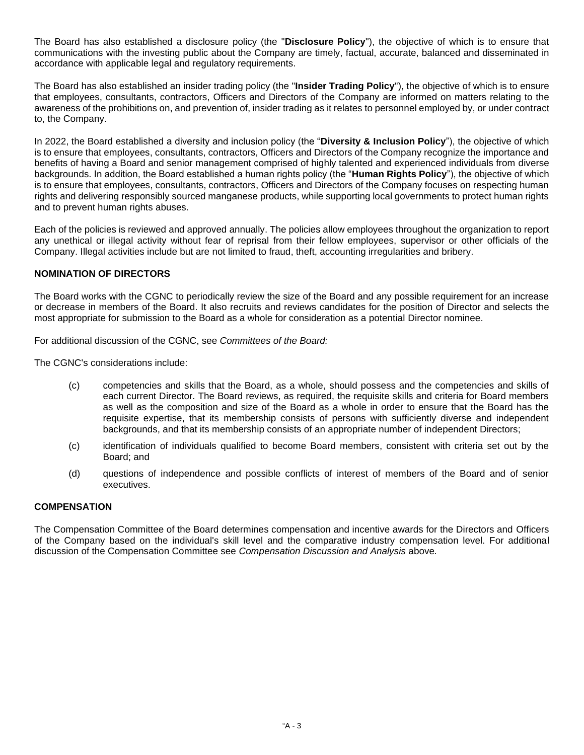The Board has also established a disclosure policy (the "**Disclosure Policy**"), the objective of which is to ensure that communications with the investing public about the Company are timely, factual, accurate, balanced and disseminated in accordance with applicable legal and regulatory requirements.

The Board has also established an insider trading policy (the "**Insider Trading Policy**"), the objective of which is to ensure that employees, consultants, contractors, Officers and Directors of the Company are informed on matters relating to the awareness of the prohibitions on, and prevention of, insider trading as it relates to personnel employed by, or under contract to, the Company.

In 2022, the Board established a diversity and inclusion policy (the "**Diversity & Inclusion Policy**"), the objective of which is to ensure that employees, consultants, contractors, Officers and Directors of the Company recognize the importance and benefits of having a Board and senior management comprised of highly talented and experienced individuals from diverse backgrounds. In addition, the Board established a human rights policy (the "**Human Rights Policy**"), the objective of which is to ensure that employees, consultants, contractors, Officers and Directors of the Company focuses on respecting human rights and delivering responsibly sourced manganese products, while supporting local governments to protect human rights and to prevent human rights abuses.

Each of the policies is reviewed and approved annually. The policies allow employees throughout the organization to report any unethical or illegal activity without fear of reprisal from their fellow employees, supervisor or other officials of the Company. Illegal activities include but are not limited to fraud, theft, accounting irregularities and bribery.

## **NOMINATION OF DIRECTORS**

The Board works with the CGNC to periodically review the size of the Board and any possible requirement for an increase or decrease in members of the Board. It also recruits and reviews candidates for the position of Director and selects the most appropriate for submission to the Board as a whole for consideration as a potential Director nominee.

For additional discussion of the CGNC, see *Committees of the Board:*

The CGNC's considerations include:

- (c) competencies and skills that the Board, as a whole, should possess and the competencies and skills of each current Director. The Board reviews, as required, the requisite skills and criteria for Board members as well as the composition and size of the Board as a whole in order to ensure that the Board has the requisite expertise, that its membership consists of persons with sufficiently diverse and independent backgrounds, and that its membership consists of an appropriate number of independent Directors;
- (c) identification of individuals qualified to become Board members, consistent with criteria set out by the Board; and
- (d) questions of independence and possible conflicts of interest of members of the Board and of senior executives.

#### **COMPENSATION**

The Compensation Committee of the Board determines compensation and incentive awards for the Directors and Officers of the Company based on the individual's skill level and the comparative industry compensation level. For additional discussion of the Compensation Committee see *Compensation Discussion and Analysis* above*.*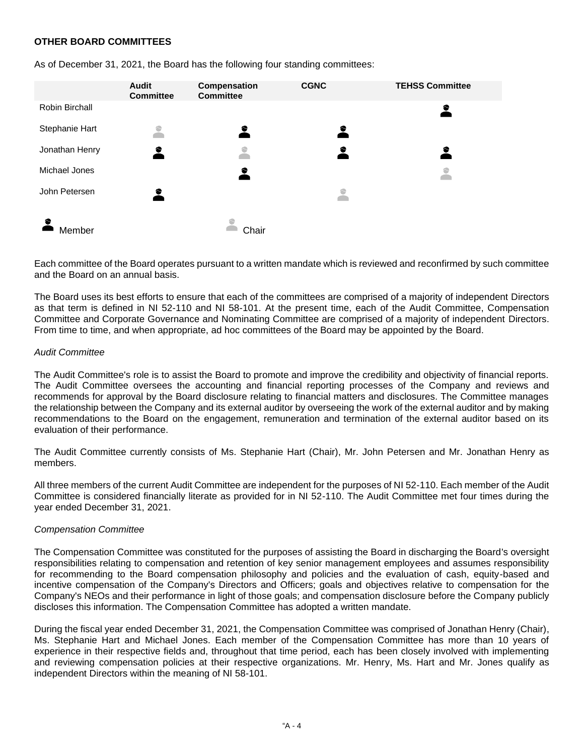## **OTHER BOARD COMMITTEES**

|                | Audit<br><b>Committee</b> | Compensation<br><b>Committee</b> | <b>CGNC</b> | <b>TEHSS Committee</b> |
|----------------|---------------------------|----------------------------------|-------------|------------------------|
| Robin Birchall |                           |                                  |             | €                      |
| Stephanie Hart | ۲                         | $\bullet$                        | <u>2</u>    |                        |
| Jonathan Henry | 2                         | ི                                | €           | €                      |
| Michael Jones  |                           | €                                |             | င                      |
| John Petersen  | €                         |                                  | ⇔           |                        |
|                |                           |                                  |             |                        |
| Member         |                           | Chair                            |             |                        |

As of December 31, 2021, the Board has the following four standing committees:

Each committee of the Board operates pursuant to a written mandate which is reviewed and reconfirmed by such committee and the Board on an annual basis.

The Board uses its best efforts to ensure that each of the committees are comprised of a majority of independent Directors as that term is defined in NI 52-110 and NI 58-101. At the present time, each of the Audit Committee, Compensation Committee and Corporate Governance and Nominating Committee are comprised of a majority of independent Directors. From time to time, and when appropriate, ad hoc committees of the Board may be appointed by the Board.

#### *Audit Committee*

The Audit Committee's role is to assist the Board to promote and improve the credibility and objectivity of financial reports. The Audit Committee oversees the accounting and financial reporting processes of the Company and reviews and recommends for approval by the Board disclosure relating to financial matters and disclosures. The Committee manages the relationship between the Company and its external auditor by overseeing the work of the external auditor and by making recommendations to the Board on the engagement, remuneration and termination of the external auditor based on its evaluation of their performance.

The Audit Committee currently consists of Ms. Stephanie Hart (Chair), Mr. John Petersen and Mr. Jonathan Henry as members.

All three members of the current Audit Committee are independent for the purposes of NI 52-110. Each member of the Audit Committee is considered financially literate as provided for in NI 52-110. The Audit Committee met four times during the year ended December 31, 2021.

#### *Compensation Committee*

The Compensation Committee was constituted for the purposes of assisting the Board in discharging the Board's oversight responsibilities relating to compensation and retention of key senior management employees and assumes responsibility for recommending to the Board compensation philosophy and policies and the evaluation of cash, equity-based and incentive compensation of the Company's Directors and Officers; goals and objectives relative to compensation for the Company's NEOs and their performance in light of those goals; and compensation disclosure before the Company publicly discloses this information. The Compensation Committee has adopted a written mandate.

During the fiscal year ended December 31, 2021, the Compensation Committee was comprised of Jonathan Henry (Chair), Ms. Stephanie Hart and Michael Jones. Each member of the Compensation Committee has more than 10 years of experience in their respective fields and, throughout that time period, each has been closely involved with implementing and reviewing compensation policies at their respective organizations. Mr. Henry, Ms. Hart and Mr. Jones qualify as independent Directors within the meaning of NI 58-101.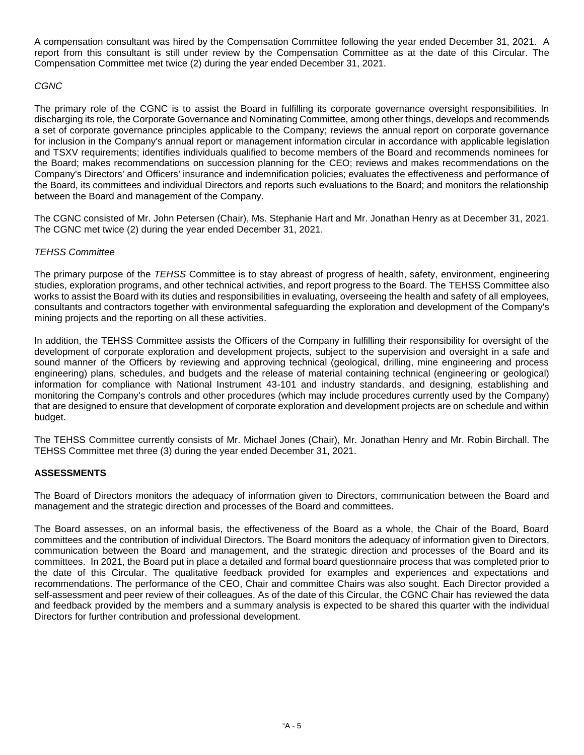A compensation consultant was hired by the Compensation Committee following the year ended December 31, 2021. A report from this consultant is still under review by the Compensation Committee as at the date of this Circular. The Compensation Committee met twice (2) during the year ended December 31, 2021.

## *CGNC*

The primary role of the CGNC is to assist the Board in fulfilling its corporate governance oversight responsibilities. In discharging its role, the Corporate Governance and Nominating Committee, among other things, develops and recommends a set of corporate governance principles applicable to the Company; reviews the annual report on corporate governance for inclusion in the Company's annual report or management information circular in accordance with applicable legislation and TSXV requirements; identifies individuals qualified to become members of the Board and recommends nominees for the Board; makes recommendations on succession planning for the CEO; reviews and makes recommendations on the Company's Directors' and Officers' insurance and indemnification policies; evaluates the effectiveness and performance of the Board, its committees and individual Directors and reports such evaluations to the Board; and monitors the relationship between the Board and management of the Company.

The CGNC consisted of Mr. John Petersen (Chair), Ms. Stephanie Hart and Mr. Jonathan Henry as at December 31, 2021. The CGNC met twice (2) during the year ended December 31, 2021.

## *TEHSS Committee*

The primary purpose of the *TEHSS* Committee is to stay abreast of progress of health, safety, environment, engineering studies, exploration programs, and other technical activities, and report progress to the Board. The TEHSS Committee also works to assist the Board with its duties and responsibilities in evaluating, overseeing the health and safety of all employees, consultants and contractors together with environmental safeguarding the exploration and development of the Company's mining projects and the reporting on all these activities.

In addition, the TEHSS Committee assists the Officers of the Company in fulfilling their responsibility for oversight of the development of corporate exploration and development projects, subject to the supervision and oversight in a safe and sound manner of the Officers by reviewing and approving technical (geological, drilling, mine engineering and process engineering) plans, schedules, and budgets and the release of material containing technical (engineering or geological) information for compliance with National Instrument 43-101 and industry standards, and designing, establishing and monitoring the Company's controls and other procedures (which may include procedures currently used by the Company) that are designed to ensure that development of corporate exploration and development projects are on schedule and within budget.

The TEHSS Committee currently consists of Mr. Michael Jones (Chair), Mr. Jonathan Henry and Mr. Robin Birchall. The TEHSS Committee met three (3) during the year ended December 31, 2021.

## **ASSESSMENTS**

The Board of Directors monitors the adequacy of information given to Directors, communication between the Board and management and the strategic direction and processes of the Board and committees.

The Board assesses, on an informal basis, the effectiveness of the Board as a whole, the Chair of the Board, Board committees and the contribution of individual Directors. The Board monitors the adequacy of information given to Directors, communication between the Board and management, and the strategic direction and processes of the Board and its committees. In 2021, the Board put in place a detailed and formal board questionnaire process that was completed prior to the date of this Circular. The qualitative feedback provided for examples and experiences and expectations and recommendations. The performance of the CEO, Chair and committee Chairs was also sought. Each Director provided a self-assessment and peer review of their colleagues. As of the date of this Circular, the CGNC Chair has reviewed the data and feedback provided by the members and a summary analysis is expected to be shared this quarter with the individual Directors for further contribution and professional development.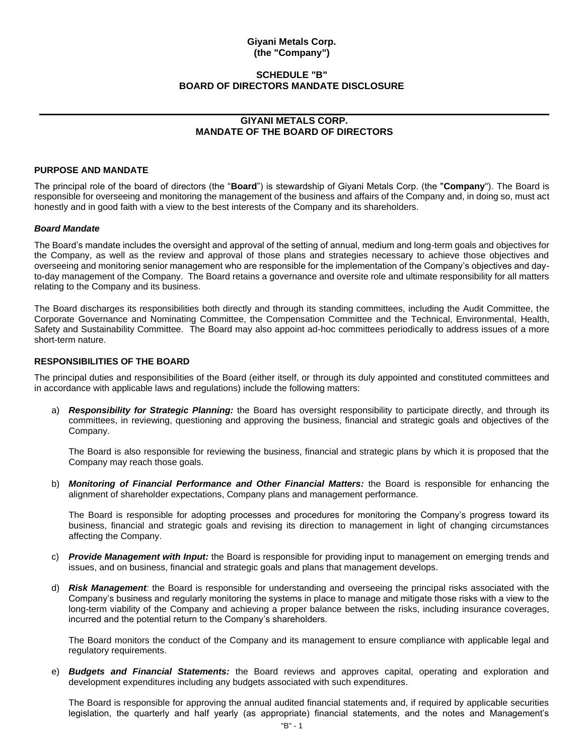#### <span id="page-39-0"></span>**Giyani Metals Corp. (the "Company")**

#### **SCHEDULE "B" BOARD OF DIRECTORS MANDATE DISCLOSURE**

## **GIYANI METALS CORP. MANDATE OF THE BOARD OF DIRECTORS**

#### **PURPOSE AND MANDATE**

The principal role of the board of directors (the "**Board**") is stewardship of Giyani Metals Corp. (the "**Company**"). The Board is responsible for overseeing and monitoring the management of the business and affairs of the Company and, in doing so, must act honestly and in good faith with a view to the best interests of the Company and its shareholders.

#### *Board Mandate*

The Board's mandate includes the oversight and approval of the setting of annual, medium and long-term goals and objectives for the Company, as well as the review and approval of those plans and strategies necessary to achieve those objectives and overseeing and monitoring senior management who are responsible for the implementation of the Company's objectives and dayto-day management of the Company. The Board retains a governance and oversite role and ultimate responsibility for all matters relating to the Company and its business.

The Board discharges its responsibilities both directly and through its standing committees, including the Audit Committee, the Corporate Governance and Nominating Committee, the Compensation Committee and the Technical, Environmental, Health, Safety and Sustainability Committee. The Board may also appoint ad-hoc committees periodically to address issues of a more short-term nature.

#### **RESPONSIBILITIES OF THE BOARD**

The principal duties and responsibilities of the Board (either itself, or through its duly appointed and constituted committees and in accordance with applicable laws and regulations) include the following matters:

a) *Responsibility for Strategic Planning:* the Board has oversight responsibility to participate directly, and through its committees, in reviewing, questioning and approving the business, financial and strategic goals and objectives of the Company.

The Board is also responsible for reviewing the business, financial and strategic plans by which it is proposed that the Company may reach those goals.

b) *Monitoring of Financial Performance and Other Financial Matters:* the Board is responsible for enhancing the alignment of shareholder expectations, Company plans and management performance.

The Board is responsible for adopting processes and procedures for monitoring the Company's progress toward its business, financial and strategic goals and revising its direction to management in light of changing circumstances affecting the Company.

- c) *Provide Management with Input:* the Board is responsible for providing input to management on emerging trends and issues, and on business, financial and strategic goals and plans that management develops.
- d) *Risk Management:* the Board is responsible for understanding and overseeing the principal risks associated with the Company's business and regularly monitoring the systems in place to manage and mitigate those risks with a view to the long-term viability of the Company and achieving a proper balance between the risks, including insurance coverages, incurred and the potential return to the Company's shareholders.

The Board monitors the conduct of the Company and its management to ensure compliance with applicable legal and regulatory requirements.

e) *Budgets and Financial Statements:* the Board reviews and approves capital, operating and exploration and development expenditures including any budgets associated with such expenditures.

The Board is responsible for approving the annual audited financial statements and, if required by applicable securities legislation, the quarterly and half yearly (as appropriate) financial statements, and the notes and Management's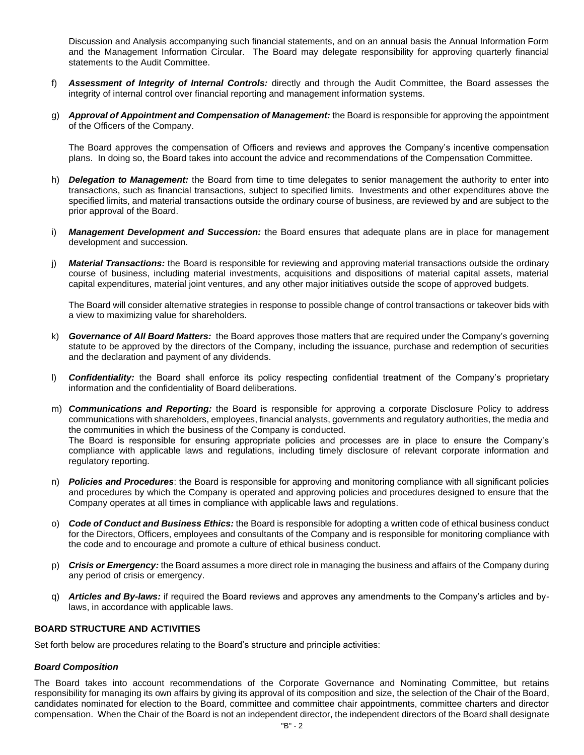Discussion and Analysis accompanying such financial statements, and on an annual basis the Annual Information Form and the Management Information Circular. The Board may delegate responsibility for approving quarterly financial statements to the Audit Committee.

- f) *Assessment of Integrity of Internal Controls:* directly and through the Audit Committee, the Board assesses the integrity of internal control over financial reporting and management information systems.
- g) *Approval of Appointment and Compensation of Management:* the Board is responsible for approving the appointment of the Officers of the Company.

The Board approves the compensation of Officers and reviews and approves the Company's incentive compensation plans. In doing so, the Board takes into account the advice and recommendations of the Compensation Committee.

- h) *Delegation to Management:* the Board from time to time delegates to senior management the authority to enter into transactions, such as financial transactions, subject to specified limits. Investments and other expenditures above the specified limits, and material transactions outside the ordinary course of business, are reviewed by and are subject to the prior approval of the Board.
- i) *Management Development and Succession:* the Board ensures that adequate plans are in place for management development and succession.
- j) *Material Transactions:* the Board is responsible for reviewing and approving material transactions outside the ordinary course of business, including material investments, acquisitions and dispositions of material capital assets, material capital expenditures, material joint ventures, and any other major initiatives outside the scope of approved budgets.

The Board will consider alternative strategies in response to possible change of control transactions or takeover bids with a view to maximizing value for shareholders.

- k) *Governance of All Board Matters:* the Board approves those matters that are required under the Company's governing statute to be approved by the directors of the Company, including the issuance, purchase and redemption of securities and the declaration and payment of any dividends.
- l) *Confidentiality:* the Board shall enforce its policy respecting confidential treatment of the Company's proprietary information and the confidentiality of Board deliberations.
- m) *Communications and Reporting:* the Board is responsible for approving a corporate Disclosure Policy to address communications with shareholders, employees, financial analysts, governments and regulatory authorities, the media and the communities in which the business of the Company is conducted. The Board is responsible for ensuring appropriate policies and processes are in place to ensure the Company's compliance with applicable laws and regulations, including timely disclosure of relevant corporate information and regulatory reporting.
- n) *Policies and Procedures*: the Board is responsible for approving and monitoring compliance with all significant policies and procedures by which the Company is operated and approving policies and procedures designed to ensure that the Company operates at all times in compliance with applicable laws and regulations.
- o) *Code of Conduct and Business Ethics:* the Board is responsible for adopting a written code of ethical business conduct for the Directors, Officers, employees and consultants of the Company and is responsible for monitoring compliance with the code and to encourage and promote a culture of ethical business conduct.
- p) *Crisis or Emergency:* the Board assumes a more direct role in managing the business and affairs of the Company during any period of crisis or emergency.
- q) *Articles and By-laws:* if required the Board reviews and approves any amendments to the Company's articles and bylaws, in accordance with applicable laws.

#### **BOARD STRUCTURE AND ACTIVITIES**

Set forth below are procedures relating to the Board's structure and principle activities:

#### *Board Composition*

The Board takes into account recommendations of the Corporate Governance and Nominating Committee, but retains responsibility for managing its own affairs by giving its approval of its composition and size, the selection of the Chair of the Board, candidates nominated for election to the Board, committee and committee chair appointments, committee charters and director compensation. When the Chair of the Board is not an independent director, the independent directors of the Board shall designate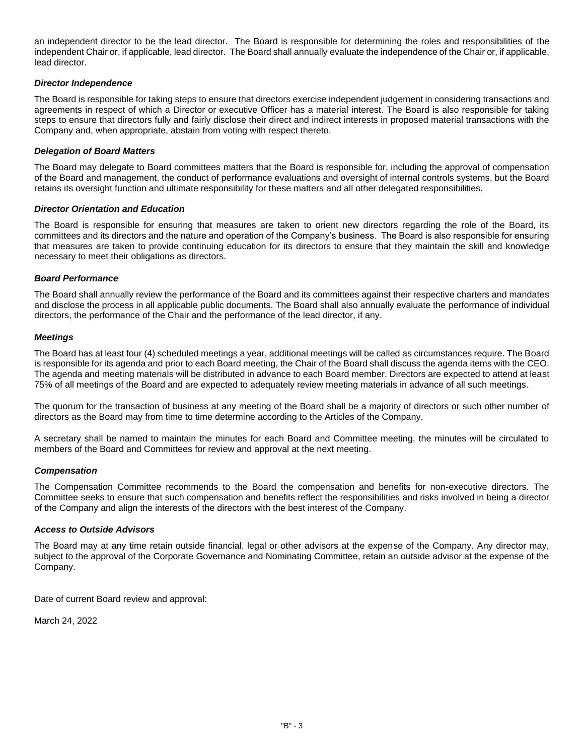an independent director to be the lead director. The Board is responsible for determining the roles and responsibilities of the independent Chair or, if applicable, lead director. The Board shall annually evaluate the independence of the Chair or, if applicable, lead director.

#### *Director Independence*

The Board is responsible for taking steps to ensure that directors exercise independent judgement in considering transactions and agreements in respect of which a Director or executive Officer has a material interest. The Board is also responsible for taking steps to ensure that directors fully and fairly disclose their direct and indirect interests in proposed material transactions with the Company and, when appropriate, abstain from voting with respect thereto.

#### *Delegation of Board Matters*

The Board may delegate to Board committees matters that the Board is responsible for, including the approval of compensation of the Board and management, the conduct of performance evaluations and oversight of internal controls systems, but the Board retains its oversight function and ultimate responsibility for these matters and all other delegated responsibilities.

#### *Director Orientation and Education*

The Board is responsible for ensuring that measures are taken to orient new directors regarding the role of the Board, its committees and its directors and the nature and operation of the Company's business. The Board is also responsible for ensuring that measures are taken to provide continuing education for its directors to ensure that they maintain the skill and knowledge necessary to meet their obligations as directors.

#### *Board Performance*

The Board shall annually review the performance of the Board and its committees against their respective charters and mandates and disclose the process in all applicable public documents. The Board shall also annually evaluate the performance of individual directors, the performance of the Chair and the performance of the lead director, if any.

#### *Meetings*

The Board has at least four (4) scheduled meetings a year, additional meetings will be called as circumstances require. The Board is responsible for its agenda and prior to each Board meeting, the Chair of the Board shall discuss the agenda items with the CEO. The agenda and meeting materials will be distributed in advance to each Board member. Directors are expected to attend at least 75% of all meetings of the Board and are expected to adequately review meeting materials in advance of all such meetings.

The quorum for the transaction of business at any meeting of the Board shall be a majority of directors or such other number of directors as the Board may from time to time determine according to the Articles of the Company.

A secretary shall be named to maintain the minutes for each Board and Committee meeting, the minutes will be circulated to members of the Board and Committees for review and approval at the next meeting.

#### *Compensation*

The Compensation Committee recommends to the Board the compensation and benefits for non-executive directors. The Committee seeks to ensure that such compensation and benefits reflect the responsibilities and risks involved in being a director of the Company and align the interests of the directors with the best interest of the Company.

#### *Access to Outside Advisors*

The Board may at any time retain outside financial, legal or other advisors at the expense of the Company. Any director may, subject to the approval of the Corporate Governance and Nominating Committee, retain an outside advisor at the expense of the Company.

Date of current Board review and approval:

March 24, 2022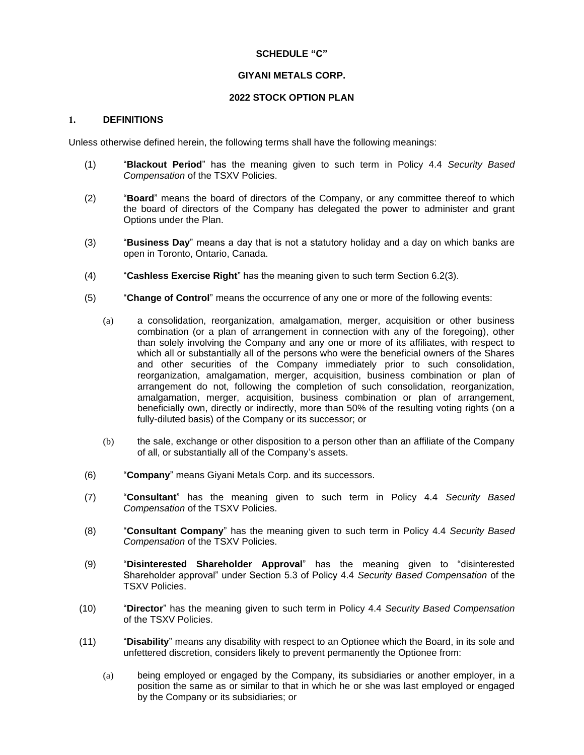### **SCHEDULE "C"**

## **GIYANI METALS CORP.**

## **2022 STOCK OPTION PLAN**

#### **1. DEFINITIONS**

Unless otherwise defined herein, the following terms shall have the following meanings:

- (1) "**Blackout Period**" has the meaning given to such term in Policy 4.4 *Security Based Compensation* of the TSXV Policies.
- (2) "**Board**" means the board of directors of the Company, or any committee thereof to which the board of directors of the Company has delegated the power to administer and grant Options under the Plan.
- (3) "**Business Day**" means a day that is not a statutory holiday and a day on which banks are open in Toronto, Ontario, Canada.
- (4) "**Cashless Exercise Right**" has the meaning given to such term Section [6.2\(3\).](#page-48-0)
- (5) "**Change of Control**" means the occurrence of any one or more of the following events:
	- (a) a consolidation, reorganization, amalgamation, merger, acquisition or other business combination (or a plan of arrangement in connection with any of the foregoing), other than solely involving the Company and any one or more of its affiliates, with respect to which all or substantially all of the persons who were the beneficial owners of the Shares and other securities of the Company immediately prior to such consolidation, reorganization, amalgamation, merger, acquisition, business combination or plan of arrangement do not, following the completion of such consolidation, reorganization, amalgamation, merger, acquisition, business combination or plan of arrangement, beneficially own, directly or indirectly, more than 50% of the resulting voting rights (on a fully-diluted basis) of the Company or its successor; or
	- (b) the sale, exchange or other disposition to a person other than an affiliate of the Company of all, or substantially all of the Company's assets.
- (6) "**Company**" means Giyani Metals Corp. and its successors.
- (7) "**Consultant**" has the meaning given to such term in Policy 4.4 *Security Based Compensation* of the TSXV Policies.
- (8) "**Consultant Company**" has the meaning given to such term in Policy 4.4 *Security Based Compensation* of the TSXV Policies.
- (9) "**Disinterested Shareholder Approval**" has the meaning given to "disinterested Shareholder approval" under Section 5.3 of Policy 4.4 *Security Based Compensation* of the TSXV Policies.
- (10) "**Director**" has the meaning given to such term in Policy 4.4 *Security Based Compensation* of the TSXV Policies.
- (11) "**Disability**" means any disability with respect to an Optionee which the Board, in its sole and unfettered discretion, considers likely to prevent permanently the Optionee from:
	- (a) being employed or engaged by the Company, its subsidiaries or another employer, in a position the same as or similar to that in which he or she was last employed or engaged by the Company or its subsidiaries; or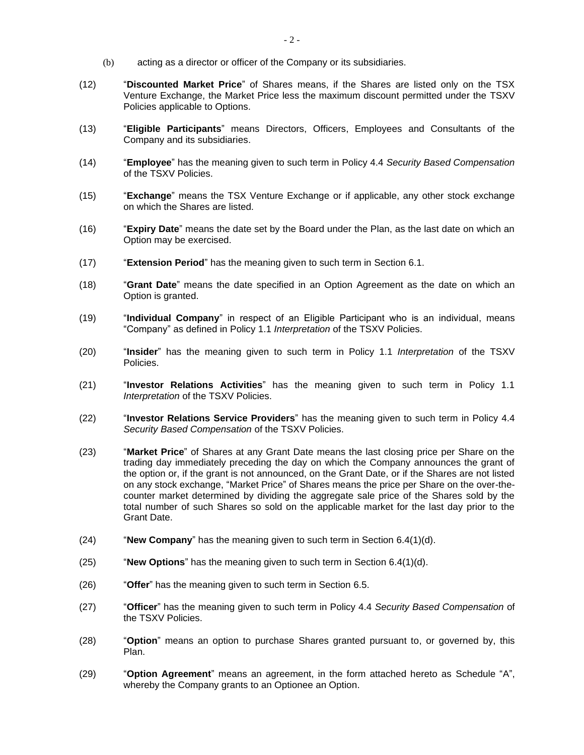- (b) acting as a director or officer of the Company or its subsidiaries.
- (12) "**Discounted Market Price**" of Shares means, if the Shares are listed only on the TSX Venture Exchange, the Market Price less the maximum discount permitted under the TSXV Policies applicable to Options.
- (13) "**Eligible Participants**" means Directors, Officers, Employees and Consultants of the Company and its subsidiaries.
- (14) "**Employee**" has the meaning given to such term in Policy 4.4 *Security Based Compensation* of the TSXV Policies.
- (15) "**Exchange**" means the TSX Venture Exchange or if applicable, any other stock exchange on which the Shares are listed.
- (16) "**Expiry Date**" means the date set by the Board under the Plan, as the last date on which an Option may be exercised.
- (17) "**Extension Period**" has the meaning given to such term in Section [6.1.](#page-47-0)
- (18) "**Grant Date**" means the date specified in an Option Agreement as the date on which an Option is granted.
- (19) "**Individual Company**" in respect of an Eligible Participant who is an individual, means "Company" as defined in Policy 1.1 *Interpretation* of the TSXV Policies.
- (20) "**Insider**" has the meaning given to such term in Policy 1.1 *Interpretation* of the TSXV Policies.
- (21) "**Investor Relations Activities**" has the meaning given to such term in Policy 1.1 *Interpretation* of the TSXV Policies.
- (22) "**Investor Relations Service Providers**" has the meaning given to such term in Policy 4.4 *Security Based Compensation* of the TSXV Policies.
- (23) "**Market Price**" of Shares at any Grant Date means the last closing price per Share on the trading day immediately preceding the day on which the Company announces the grant of the option or, if the grant is not announced, on the Grant Date, or if the Shares are not listed on any stock exchange, "Market Price" of Shares means the price per Share on the over-thecounter market determined by dividing the aggregate sale price of the Shares sold by the total number of such Shares so sold on the applicable market for the last day prior to the Grant Date.
- (24) "**New Company**" has the meaning given to such term in Section [6.4\(1\)\(d\).](#page-49-0)
- (25) "**New Options**" has the meaning given to such term in Section [6.4\(1\)\(d\).](#page-49-0)
- (26) "**Offer**" has the meaning given to such term in Section [6.5.](#page-49-1)
- (27) "**Officer**" has the meaning given to such term in Policy 4.4 *Security Based Compensation* of the TSXV Policies.
- (28) "**Option**" means an option to purchase Shares granted pursuant to, or governed by, this Plan.
- (29) "**Option Agreement**" means an agreement, in the form attached hereto as Schedule ["A",](#page-55-0) whereby the Company grants to an Optionee an Option.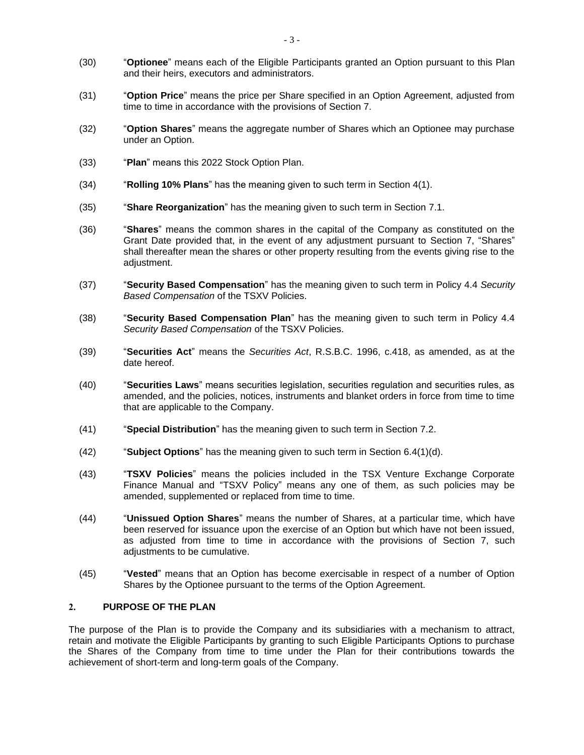- (30) "**Optionee**" means each of the Eligible Participants granted an Option pursuant to this Plan and their heirs, executors and administrators.
- (31) "**Option Price**" means the price per Share specified in an Option Agreement, adjusted from time to time in accordance with the provisions of Section [7.](#page-50-0)
- (32) "**Option Shares**" means the aggregate number of Shares which an Optionee may purchase under an Option.
- (33) "**Plan**" means this 2022 Stock Option Plan.
- (34) "**Rolling 10% Plans**" has the meaning given to such term in Section [4\(1\).](#page-45-0)
- (35) "**Share Reorganization**" has the meaning given to such term in Section [7.1.](#page-50-1)
- (36) "**Shares**" means the common shares in the capital of the Company as constituted on the Grant Date provided that, in the event of any adjustment pursuant to Section [7,](#page-50-0) "Shares" shall thereafter mean the shares or other property resulting from the events giving rise to the adjustment.
- (37) "**Security Based Compensation**" has the meaning given to such term in Policy 4.4 *Security Based Compensation* of the TSXV Policies.
- (38) "**Security Based Compensation Plan**" has the meaning given to such term in Policy 4.4 *Security Based Compensation* of the TSXV Policies.
- (39) "**Securities Act**" means the *Securities Act*, R.S.B.C. 1996, c.418, as amended, as at the date hereof.
- (40) "**Securities Laws**" means securities legislation, securities regulation and securities rules, as amended, and the policies, notices, instruments and blanket orders in force from time to time that are applicable to the Company.
- (41) "**Special Distribution**" has the meaning given to such term in Section [7.2.](#page-51-0)
- (42) "**Subject Options**" has the meaning given to such term in Section [6.4\(1\)\(d\).](#page-49-0)
- (43) "**TSXV Policies**" means the policies included in the TSX Venture Exchange Corporate Finance Manual and "TSXV Policy" means any one of them, as such policies may be amended, supplemented or replaced from time to time.
- (44) "**Unissued Option Shares**" means the number of Shares, at a particular time, which have been reserved for issuance upon the exercise of an Option but which have not been issued, as adjusted from time to time in accordance with the provisions of Section [7,](#page-50-0) such adjustments to be cumulative.
- (45) "**Vested**" means that an Option has become exercisable in respect of a number of Option Shares by the Optionee pursuant to the terms of the Option Agreement.

#### **2. PURPOSE OF THE PLAN**

The purpose of the Plan is to provide the Company and its subsidiaries with a mechanism to attract, retain and motivate the Eligible Participants by granting to such Eligible Participants Options to purchase the Shares of the Company from time to time under the Plan for their contributions towards the achievement of short-term and long-term goals of the Company.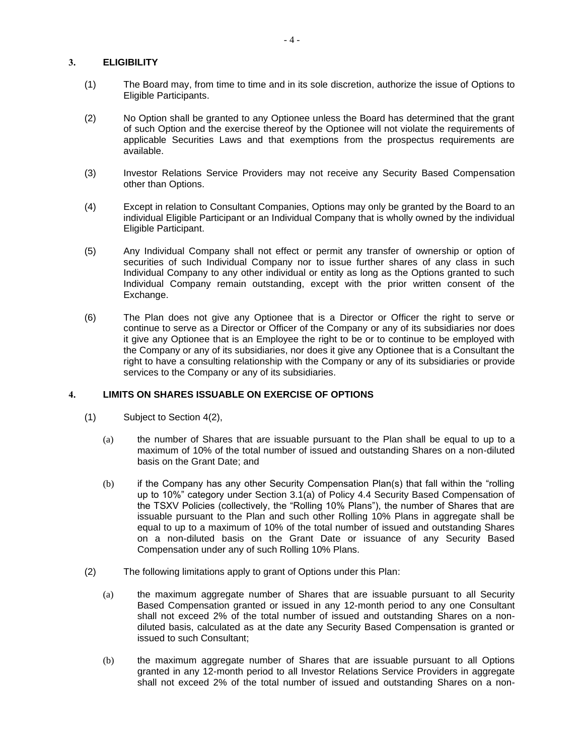## **3. ELIGIBILITY**

- (1) The Board may, from time to time and in its sole discretion, authorize the issue of Options to Eligible Participants.
- (2) No Option shall be granted to any Optionee unless the Board has determined that the grant of such Option and the exercise thereof by the Optionee will not violate the requirements of applicable Securities Laws and that exemptions from the prospectus requirements are available.
- (3) Investor Relations Service Providers may not receive any Security Based Compensation other than Options.
- (4) Except in relation to Consultant Companies, Options may only be granted by the Board to an individual Eligible Participant or an Individual Company that is wholly owned by the individual Eligible Participant.
- (5) Any Individual Company shall not effect or permit any transfer of ownership or option of securities of such Individual Company nor to issue further shares of any class in such Individual Company to any other individual or entity as long as the Options granted to such Individual Company remain outstanding, except with the prior written consent of the Exchange.
- (6) The Plan does not give any Optionee that is a Director or Officer the right to serve or continue to serve as a Director or Officer of the Company or any of its subsidiaries nor does it give any Optionee that is an Employee the right to be or to continue to be employed with the Company or any of its subsidiaries, nor does it give any Optionee that is a Consultant the right to have a consulting relationship with the Company or any of its subsidiaries or provide services to the Company or any of its subsidiaries.

#### <span id="page-45-2"></span>**4. LIMITS ON SHARES ISSUABLE ON EXERCISE OF OPTIONS**

- <span id="page-45-0"></span>(1) Subject to Section [4\(2\),](#page-45-1)
	- (a) the number of Shares that are issuable pursuant to the Plan shall be equal to up to a maximum of 10% of the total number of issued and outstanding Shares on a non-diluted basis on the Grant Date; and
	- (b) if the Company has any other Security Compensation Plan(s) that fall within the "rolling up to 10%" category under Section 3.1(a) of Policy 4.4 Security Based Compensation of the TSXV Policies (collectively, the "Rolling 10% Plans"), the number of Shares that are issuable pursuant to the Plan and such other Rolling 10% Plans in aggregate shall be equal to up to a maximum of 10% of the total number of issued and outstanding Shares on a non-diluted basis on the Grant Date or issuance of any Security Based Compensation under any of such Rolling 10% Plans.
- <span id="page-45-1"></span>(2) The following limitations apply to grant of Options under this Plan:
	- (a) the maximum aggregate number of Shares that are issuable pursuant to all Security Based Compensation granted or issued in any 12-month period to any one Consultant shall not exceed 2% of the total number of issued and outstanding Shares on a nondiluted basis, calculated as at the date any Security Based Compensation is granted or issued to such Consultant;
	- (b) the maximum aggregate number of Shares that are issuable pursuant to all Options granted in any 12-month period to all Investor Relations Service Providers in aggregate shall not exceed 2% of the total number of issued and outstanding Shares on a non-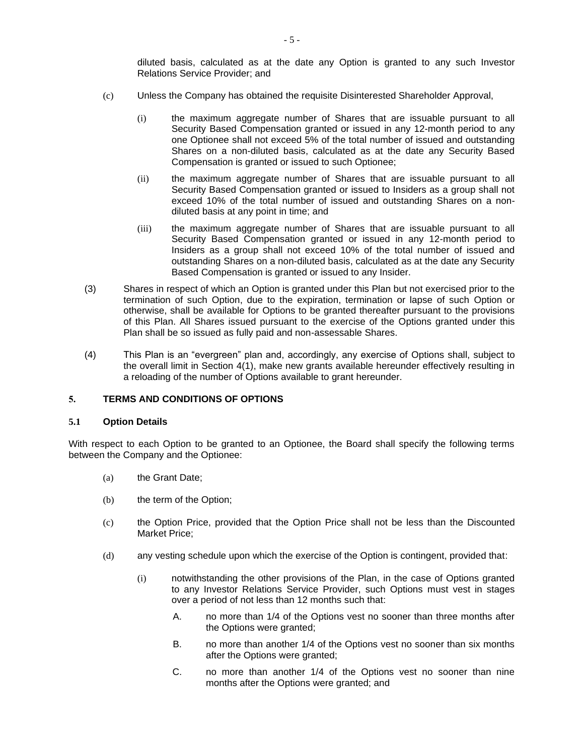diluted basis, calculated as at the date any Option is granted to any such Investor Relations Service Provider; and

- (c) Unless the Company has obtained the requisite Disinterested Shareholder Approval,
	- (i) the maximum aggregate number of Shares that are issuable pursuant to all Security Based Compensation granted or issued in any 12-month period to any one Optionee shall not exceed 5% of the total number of issued and outstanding Shares on a non-diluted basis, calculated as at the date any Security Based Compensation is granted or issued to such Optionee;
	- (ii) the maximum aggregate number of Shares that are issuable pursuant to all Security Based Compensation granted or issued to Insiders as a group shall not exceed 10% of the total number of issued and outstanding Shares on a nondiluted basis at any point in time; and
	- (iii) the maximum aggregate number of Shares that are issuable pursuant to all Security Based Compensation granted or issued in any 12-month period to Insiders as a group shall not exceed 10% of the total number of issued and outstanding Shares on a non-diluted basis, calculated as at the date any Security Based Compensation is granted or issued to any Insider.
- (3) Shares in respect of which an Option is granted under this Plan but not exercised prior to the termination of such Option, due to the expiration, termination or lapse of such Option or otherwise, shall be available for Options to be granted thereafter pursuant to the provisions of this Plan. All Shares issued pursuant to the exercise of the Options granted under this Plan shall be so issued as fully paid and non-assessable Shares.
- (4) This Plan is an "evergreen" plan and, accordingly, any exercise of Options shall, subject to the overall limit in Section [4\(1\),](#page-45-0) make new grants available hereunder effectively resulting in a reloading of the number of Options available to grant hereunder.

## **5. TERMS AND CONDITIONS OF OPTIONS**

#### **5.1 Option Details**

With respect to each Option to be granted to an Optionee, the Board shall specify the following terms between the Company and the Optionee:

- (a) the Grant Date;
- (b) the term of the Option;
- (c) the Option Price, provided that the Option Price shall not be less than the Discounted Market Price;
- <span id="page-46-0"></span>(d) any vesting schedule upon which the exercise of the Option is contingent, provided that:
	- (i) notwithstanding the other provisions of the Plan, in the case of Options granted to any Investor Relations Service Provider, such Options must vest in stages over a period of not less than 12 months such that:
		- A. no more than 1/4 of the Options vest no sooner than three months after the Options were granted;
		- B. no more than another 1/4 of the Options vest no sooner than six months after the Options were granted;
		- C. no more than another 1/4 of the Options vest no sooner than nine months after the Options were granted; and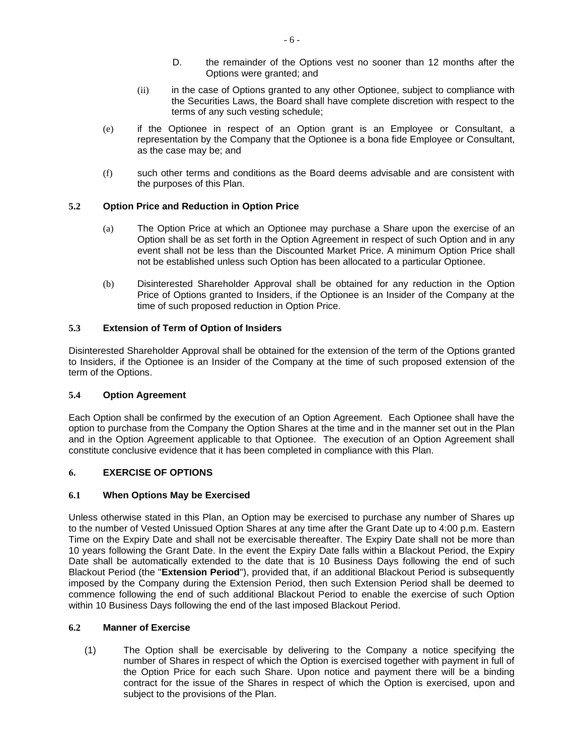- D. the remainder of the Options vest no sooner than 12 months after the Options were granted; and
- (ii) in the case of Options granted to any other Optionee, subject to compliance with the Securities Laws, the Board shall have complete discretion with respect to the terms of any such vesting schedule;
- (e) if the Optionee in respect of an Option grant is an Employee or Consultant, a representation by the Company that the Optionee is a bona fide Employee or Consultant, as the case may be; and
- (f) such other terms and conditions as the Board deems advisable and are consistent with the purposes of this Plan.

## **5.2 Option Price and Reduction in Option Price**

- (a) The Option Price at which an Optionee may purchase a Share upon the exercise of an Option shall be as set forth in the Option Agreement in respect of such Option and in any event shall not be less than the Discounted Market Price. A minimum Option Price shall not be established unless such Option has been allocated to a particular Optionee.
- (b) Disinterested Shareholder Approval shall be obtained for any reduction in the Option Price of Options granted to Insiders, if the Optionee is an Insider of the Company at the time of such proposed reduction in Option Price.

## **5.3 Extension of Term of Option of Insiders**

Disinterested Shareholder Approval shall be obtained for the extension of the term of the Options granted to Insiders, if the Optionee is an Insider of the Company at the time of such proposed extension of the term of the Options.

#### **5.4 Option Agreement**

Each Option shall be confirmed by the execution of an Option Agreement. Each Optionee shall have the option to purchase from the Company the Option Shares at the time and in the manner set out in the Plan and in the Option Agreement applicable to that Optionee. The execution of an Option Agreement shall constitute conclusive evidence that it has been completed in compliance with this Plan.

#### **6. EXERCISE OF OPTIONS**

#### <span id="page-47-0"></span>**6.1 When Options May be Exercised**

Unless otherwise stated in this Plan, an Option may be exercised to purchase any number of Shares up to the number of Vested Unissued Option Shares at any time after the Grant Date up to 4:00 p.m. Eastern Time on the Expiry Date and shall not be exercisable thereafter. The Expiry Date shall not be more than 10 years following the Grant Date. In the event the Expiry Date falls within a Blackout Period, the Expiry Date shall be automatically extended to the date that is 10 Business Days following the end of such Blackout Period (the "**Extension Period**"), provided that, if an additional Blackout Period is subsequently imposed by the Company during the Extension Period, then such Extension Period shall be deemed to commence following the end of such additional Blackout Period to enable the exercise of such Option within 10 Business Days following the end of the last imposed Blackout Period.

#### **6.2 Manner of Exercise**

(1) The Option shall be exercisable by delivering to the Company a notice specifying the number of Shares in respect of which the Option is exercised together with payment in full of the Option Price for each such Share. Upon notice and payment there will be a binding contract for the issue of the Shares in respect of which the Option is exercised, upon and subject to the provisions of the Plan.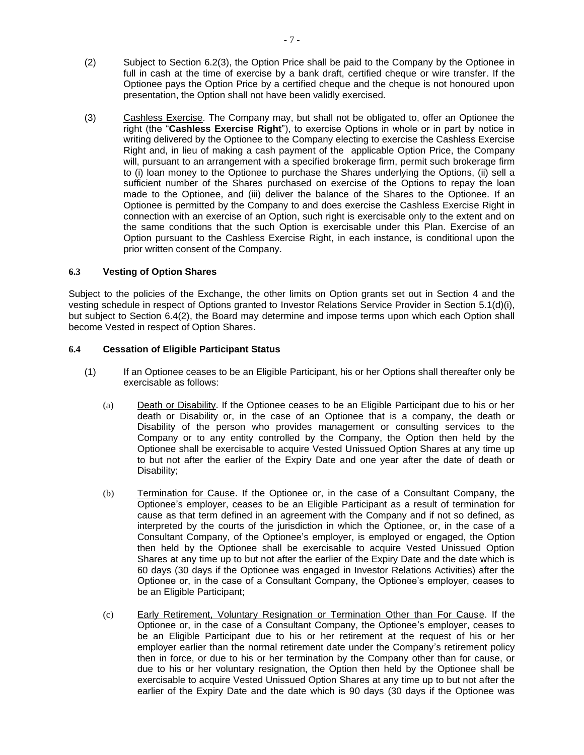- (2) Subject to Section [6.2\(3\),](#page-48-0) the Option Price shall be paid to the Company by the Optionee in full in cash at the time of exercise by a bank draft, certified cheque or wire transfer. If the Optionee pays the Option Price by a certified cheque and the cheque is not honoured upon presentation, the Option shall not have been validly exercised.
- <span id="page-48-0"></span>(3) Cashless Exercise. The Company may, but shall not be obligated to, offer an Optionee the right (the "**Cashless Exercise Right**"), to exercise Options in whole or in part by notice in writing delivered by the Optionee to the Company electing to exercise the Cashless Exercise Right and, in lieu of making a cash payment of the applicable Option Price, the Company will, pursuant to an arrangement with a specified brokerage firm, permit such brokerage firm to (i) loan money to the Optionee to purchase the Shares underlying the Options, (ii) sell a sufficient number of the Shares purchased on exercise of the Options to repay the loan made to the Optionee, and (iii) deliver the balance of the Shares to the Optionee. If an Optionee is permitted by the Company to and does exercise the Cashless Exercise Right in connection with an exercise of an Option, such right is exercisable only to the extent and on the same conditions that the such Option is exercisable under this Plan. Exercise of an Option pursuant to the Cashless Exercise Right, in each instance, is conditional upon the prior written consent of the Company.

#### <span id="page-48-4"></span>**6.3 Vesting of Option Shares**

Subject to the policies of the Exchange, the other limits on Option grants set out in Section [4](#page-45-2) and the vesting schedule in respect of Options granted to Investor Relations Service Provider in Section [5.1\(d\)\(i\),](#page-46-0) but subject to Section [6.4\(2\),](#page-49-2) the Board may determine and impose terms upon which each Option shall become Vested in respect of Option Shares.

## **6.4 Cessation of Eligible Participant Status**

- <span id="page-48-3"></span><span id="page-48-2"></span><span id="page-48-1"></span>(1) If an Optionee ceases to be an Eligible Participant, his or her Options shall thereafter only be exercisable as follows:
	- (a) Death or Disability. If the Optionee ceases to be an Eligible Participant due to his or her death or Disability or, in the case of an Optionee that is a company, the death or Disability of the person who provides management or consulting services to the Company or to any entity controlled by the Company, the Option then held by the Optionee shall be exercisable to acquire Vested Unissued Option Shares at any time up to but not after the earlier of the Expiry Date and one year after the date of death or Disability;
	- (b) Termination for Cause. If the Optionee or, in the case of a Consultant Company, the Optionee's employer, ceases to be an Eligible Participant as a result of termination for cause as that term defined in an agreement with the Company and if not so defined, as interpreted by the courts of the jurisdiction in which the Optionee, or, in the case of a Consultant Company, of the Optionee's employer, is employed or engaged, the Option then held by the Optionee shall be exercisable to acquire Vested Unissued Option Shares at any time up to but not after the earlier of the Expiry Date and the date which is 60 days (30 days if the Optionee was engaged in Investor Relations Activities) after the Optionee or, in the case of a Consultant Company, the Optionee's employer, ceases to be an Eligible Participant;
	- (c) Early Retirement, Voluntary Resignation or Termination Other than For Cause. If the Optionee or, in the case of a Consultant Company, the Optionee's employer, ceases to be an Eligible Participant due to his or her retirement at the request of his or her employer earlier than the normal retirement date under the Company's retirement policy then in force, or due to his or her termination by the Company other than for cause, or due to his or her voluntary resignation, the Option then held by the Optionee shall be exercisable to acquire Vested Unissued Option Shares at any time up to but not after the earlier of the Expiry Date and the date which is 90 days (30 days if the Optionee was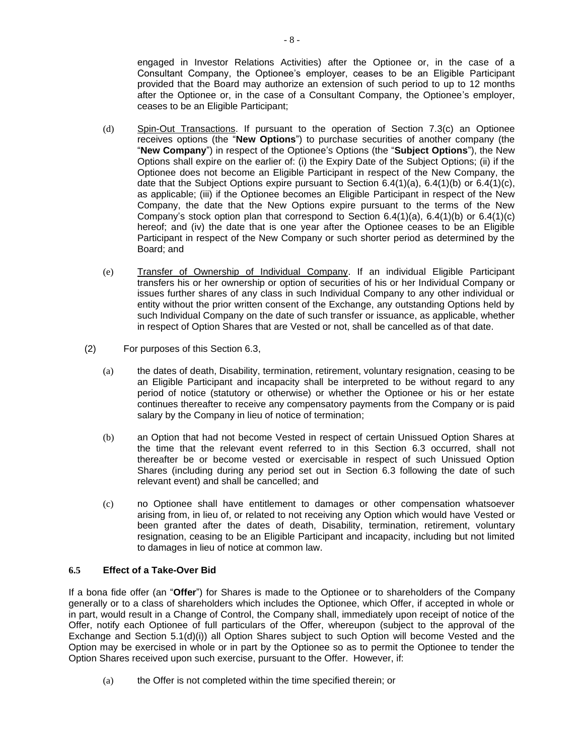engaged in Investor Relations Activities) after the Optionee or, in the case of a Consultant Company, the Optionee's employer, ceases to be an Eligible Participant provided that the Board may authorize an extension of such period to up to 12 months after the Optionee or, in the case of a Consultant Company, the Optionee's employer, ceases to be an Eligible Participant;

- <span id="page-49-0"></span>(d) Spin-Out Transactions. If pursuant to the operation of Section [7.3\(c\)](#page-51-1) an Optionee receives options (the "**New Options**") to purchase securities of another company (the "**New Company**") in respect of the Optionee's Options (the "**Subject Options**"), the New Options shall expire on the earlier of: (i) the Expiry Date of the Subject Options; (ii) if the Optionee does not become an Eligible Participant in respect of the New Company, the date that the Subject Options expire pursuant to Section  $6.4(1)(a)$ ,  $6.4(1)(b)$  or  $6.4(1)(c)$ , as applicable; (iii) if the Optionee becomes an Eligible Participant in respect of the New Company, the date that the New Options expire pursuant to the terms of the New Company's stock option plan that correspond to Section  $6.4(1)(a)$ ,  $6.4(1)(b)$  or  $6.4(1)(c)$ hereof; and (iv) the date that is one year after the Optionee ceases to be an Eligible Participant in respect of the New Company or such shorter period as determined by the Board; and
- (e) Transfer of Ownership of Individual Company. If an individual Eligible Participant transfers his or her ownership or option of securities of his or her Individual Company or issues further shares of any class in such Individual Company to any other individual or entity without the prior written consent of the Exchange, any outstanding Options held by such Individual Company on the date of such transfer or issuance, as applicable, whether in respect of Option Shares that are Vested or not, shall be cancelled as of that date.
- <span id="page-49-2"></span>(2) For purposes of this Section [6.3,](#page-48-4)
	- (a) the dates of death, Disability, termination, retirement, voluntary resignation, ceasing to be an Eligible Participant and incapacity shall be interpreted to be without regard to any period of notice (statutory or otherwise) or whether the Optionee or his or her estate continues thereafter to receive any compensatory payments from the Company or is paid salary by the Company in lieu of notice of termination;
	- (b) an Option that had not become Vested in respect of certain Unissued Option Shares at the time that the relevant event referred to in this Section [6.3](#page-48-4) occurred, shall not thereafter be or become vested or exercisable in respect of such Unissued Option Shares (including during any period set out in Section [6.3](#page-48-4) following the date of such relevant event) and shall be cancelled; and
	- (c) no Optionee shall have entitlement to damages or other compensation whatsoever arising from, in lieu of, or related to not receiving any Option which would have Vested or been granted after the dates of death, Disability, termination, retirement, voluntary resignation, ceasing to be an Eligible Participant and incapacity, including but not limited to damages in lieu of notice at common law.

#### <span id="page-49-1"></span>**6.5 Effect of a Take-Over Bid**

If a bona fide offer (an "**Offer**") for Shares is made to the Optionee or to shareholders of the Company generally or to a class of shareholders which includes the Optionee, which Offer, if accepted in whole or in part, would result in a Change of Control, the Company shall, immediately upon receipt of notice of the Offer, notify each Optionee of full particulars of the Offer, whereupon (subject to the approval of the Exchange and Section [5.1\(d\)\(i\)\)](#page-46-0) all Option Shares subject to such Option will become Vested and the Option may be exercised in whole or in part by the Optionee so as to permit the Optionee to tender the Option Shares received upon such exercise, pursuant to the Offer. However, if:

(a) the Offer is not completed within the time specified therein; or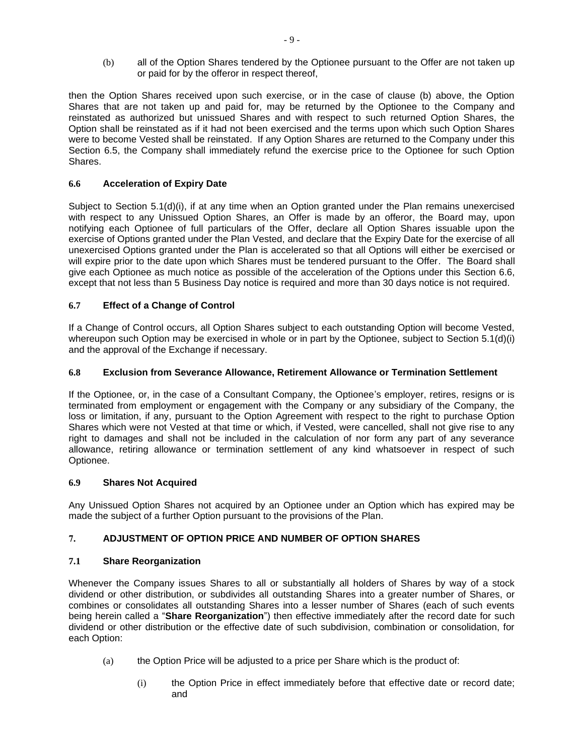(b) all of the Option Shares tendered by the Optionee pursuant to the Offer are not taken up or paid for by the offeror in respect thereof,

then the Option Shares received upon such exercise, or in the case of clause (b) above, the Option Shares that are not taken up and paid for, may be returned by the Optionee to the Company and reinstated as authorized but unissued Shares and with respect to such returned Option Shares, the Option shall be reinstated as if it had not been exercised and the terms upon which such Option Shares were to become Vested shall be reinstated. If any Option Shares are returned to the Company under this Section [6.5,](#page-49-1) the Company shall immediately refund the exercise price to the Optionee for such Option Shares.

## <span id="page-50-2"></span>**6.6 Acceleration of Expiry Date**

Subject to Section [5.1\(d\)\(i\),](#page-46-0) if at any time when an Option granted under the Plan remains unexercised with respect to any Unissued Option Shares, an Offer is made by an offeror, the Board may, upon notifying each Optionee of full particulars of the Offer, declare all Option Shares issuable upon the exercise of Options granted under the Plan Vested, and declare that the Expiry Date for the exercise of all unexercised Options granted under the Plan is accelerated so that all Options will either be exercised or will expire prior to the date upon which Shares must be tendered pursuant to the Offer. The Board shall give each Optionee as much notice as possible of the acceleration of the Options under this Section [6.6,](#page-50-2) except that not less than 5 Business Day notice is required and more than 30 days notice is not required.

## **6.7 Effect of a Change of Control**

If a Change of Control occurs, all Option Shares subject to each outstanding Option will become Vested, whereupon such Option may be exercised in whole or in part by the Optionee, subject to Section [5.1\(d\)\(i\)](#page-46-0) and the approval of the Exchange if necessary.

## **6.8 Exclusion from Severance Allowance, Retirement Allowance or Termination Settlement**

If the Optionee, or, in the case of a Consultant Company, the Optionee's employer, retires, resigns or is terminated from employment or engagement with the Company or any subsidiary of the Company, the loss or limitation, if any, pursuant to the Option Agreement with respect to the right to purchase Option Shares which were not Vested at that time or which, if Vested, were cancelled, shall not give rise to any right to damages and shall not be included in the calculation of nor form any part of any severance allowance, retiring allowance or termination settlement of any kind whatsoever in respect of such Optionee.

## **6.9 Shares Not Acquired**

Any Unissued Option Shares not acquired by an Optionee under an Option which has expired may be made the subject of a further Option pursuant to the provisions of the Plan.

## <span id="page-50-0"></span>**7. ADJUSTMENT OF OPTION PRICE AND NUMBER OF OPTION SHARES**

## <span id="page-50-1"></span>**7.1 Share Reorganization**

Whenever the Company issues Shares to all or substantially all holders of Shares by way of a stock dividend or other distribution, or subdivides all outstanding Shares into a greater number of Shares, or combines or consolidates all outstanding Shares into a lesser number of Shares (each of such events being herein called a "**Share Reorganization**") then effective immediately after the record date for such dividend or other distribution or the effective date of such subdivision, combination or consolidation, for each Option:

- (a) the Option Price will be adjusted to a price per Share which is the product of:
	- (i) the Option Price in effect immediately before that effective date or record date; and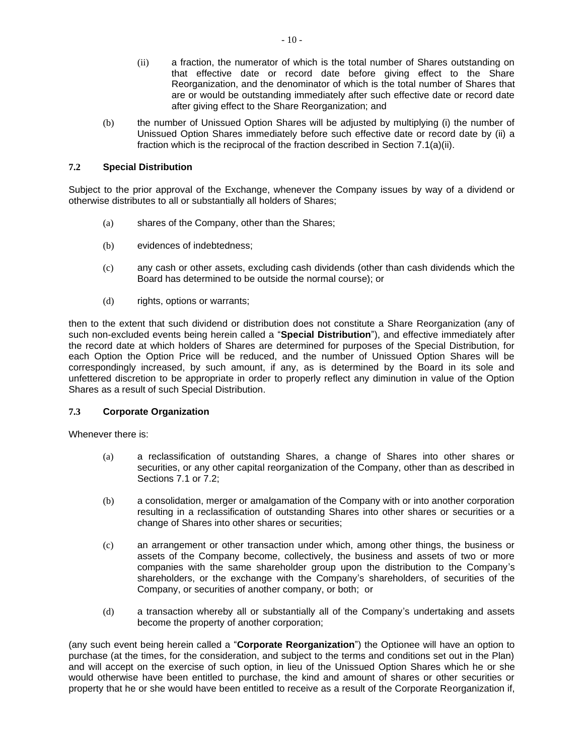- <span id="page-51-2"></span>(ii) a fraction, the numerator of which is the total number of Shares outstanding on that effective date or record date before giving effect to the Share Reorganization, and the denominator of which is the total number of Shares that are or would be outstanding immediately after such effective date or record date after giving effect to the Share Reorganization; and
- (b) the number of Unissued Option Shares will be adjusted by multiplying (i) the number of Unissued Option Shares immediately before such effective date or record date by (ii) a fraction which is the reciprocal of the fraction described in Section [7.1\(a\)\(ii\).](#page-51-2)

## <span id="page-51-0"></span>**7.2 Special Distribution**

Subject to the prior approval of the Exchange, whenever the Company issues by way of a dividend or otherwise distributes to all or substantially all holders of Shares;

- (a) shares of the Company, other than the Shares;
- (b) evidences of indebtedness;
- (c) any cash or other assets, excluding cash dividends (other than cash dividends which the Board has determined to be outside the normal course); or
- (d) rights, options or warrants;

then to the extent that such dividend or distribution does not constitute a Share Reorganization (any of such non-excluded events being herein called a "**Special Distribution**"), and effective immediately after the record date at which holders of Shares are determined for purposes of the Special Distribution, for each Option the Option Price will be reduced, and the number of Unissued Option Shares will be correspondingly increased, by such amount, if any, as is determined by the Board in its sole and unfettered discretion to be appropriate in order to properly reflect any diminution in value of the Option Shares as a result of such Special Distribution.

#### <span id="page-51-3"></span>**7.3 Corporate Organization**

Whenever there is:

- (a) a reclassification of outstanding Shares, a change of Shares into other shares or securities, or any other capital reorganization of the Company, other than as described in Sections [7.1](#page-50-1) or [7.2;](#page-51-0)
- (b) a consolidation, merger or amalgamation of the Company with or into another corporation resulting in a reclassification of outstanding Shares into other shares or securities or a change of Shares into other shares or securities;
- <span id="page-51-1"></span>(c) an arrangement or other transaction under which, among other things, the business or assets of the Company become, collectively, the business and assets of two or more companies with the same shareholder group upon the distribution to the Company's shareholders, or the exchange with the Company's shareholders, of securities of the Company, or securities of another company, or both; or
- (d) a transaction whereby all or substantially all of the Company's undertaking and assets become the property of another corporation;

(any such event being herein called a "**Corporate Reorganization**") the Optionee will have an option to purchase (at the times, for the consideration, and subject to the terms and conditions set out in the Plan) and will accept on the exercise of such option, in lieu of the Unissued Option Shares which he or she would otherwise have been entitled to purchase, the kind and amount of shares or other securities or property that he or she would have been entitled to receive as a result of the Corporate Reorganization if,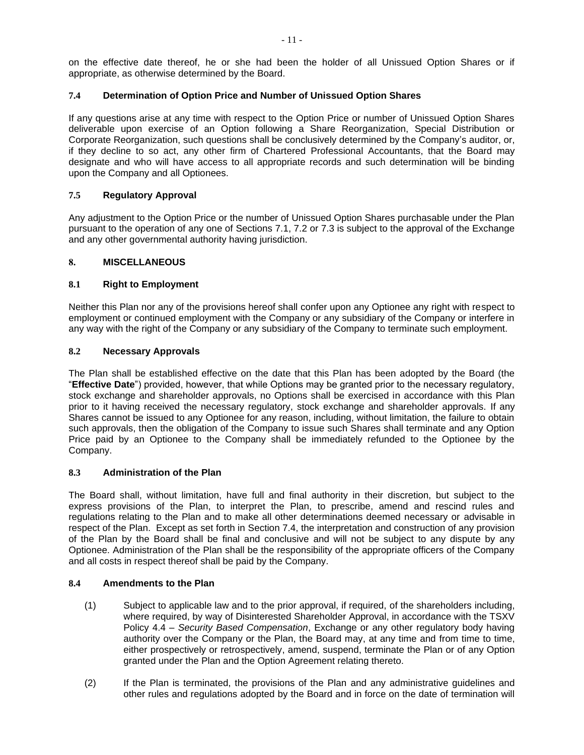on the effective date thereof, he or she had been the holder of all Unissued Option Shares or if appropriate, as otherwise determined by the Board.

## <span id="page-52-0"></span>**7.4 Determination of Option Price and Number of Unissued Option Shares**

If any questions arise at any time with respect to the Option Price or number of Unissued Option Shares deliverable upon exercise of an Option following a Share Reorganization, Special Distribution or Corporate Reorganization, such questions shall be conclusively determined by the Company's auditor, or, if they decline to so act, any other firm of Chartered Professional Accountants, that the Board may designate and who will have access to all appropriate records and such determination will be binding upon the Company and all Optionees.

## **7.5 Regulatory Approval**

Any adjustment to the Option Price or the number of Unissued Option Shares purchasable under the Plan pursuant to the operation of any one of Sections [7.1,](#page-50-1) [7.2](#page-51-0) or [7.3](#page-51-3) is subject to the approval of the Exchange and any other governmental authority having jurisdiction.

## **8. MISCELLANEOUS**

## **8.1 Right to Employment**

Neither this Plan nor any of the provisions hereof shall confer upon any Optionee any right with respect to employment or continued employment with the Company or any subsidiary of the Company or interfere in any way with the right of the Company or any subsidiary of the Company to terminate such employment.

## **8.2 Necessary Approvals**

The Plan shall be established effective on the date that this Plan has been adopted by the Board (the "**Effective Date**") provided, however, that while Options may be granted prior to the necessary regulatory, stock exchange and shareholder approvals, no Options shall be exercised in accordance with this Plan prior to it having received the necessary regulatory, stock exchange and shareholder approvals. If any Shares cannot be issued to any Optionee for any reason, including, without limitation, the failure to obtain such approvals, then the obligation of the Company to issue such Shares shall terminate and any Option Price paid by an Optionee to the Company shall be immediately refunded to the Optionee by the Company.

#### **8.3 Administration of the Plan**

The Board shall, without limitation, have full and final authority in their discretion, but subject to the express provisions of the Plan, to interpret the Plan, to prescribe, amend and rescind rules and regulations relating to the Plan and to make all other determinations deemed necessary or advisable in respect of the Plan. Except as set forth in Section [7.4,](#page-52-0) the interpretation and construction of any provision of the Plan by the Board shall be final and conclusive and will not be subject to any dispute by any Optionee. Administration of the Plan shall be the responsibility of the appropriate officers of the Company and all costs in respect thereof shall be paid by the Company.

#### **8.4 Amendments to the Plan**

- (1) Subject to applicable law and to the prior approval, if required, of the shareholders including, where required, by way of Disinterested Shareholder Approval, in accordance with the TSXV Policy 4.4 – *Security Based Compensation*, Exchange or any other regulatory body having authority over the Company or the Plan, the Board may, at any time and from time to time, either prospectively or retrospectively, amend, suspend, terminate the Plan or of any Option granted under the Plan and the Option Agreement relating thereto.
- (2) If the Plan is terminated, the provisions of the Plan and any administrative guidelines and other rules and regulations adopted by the Board and in force on the date of termination will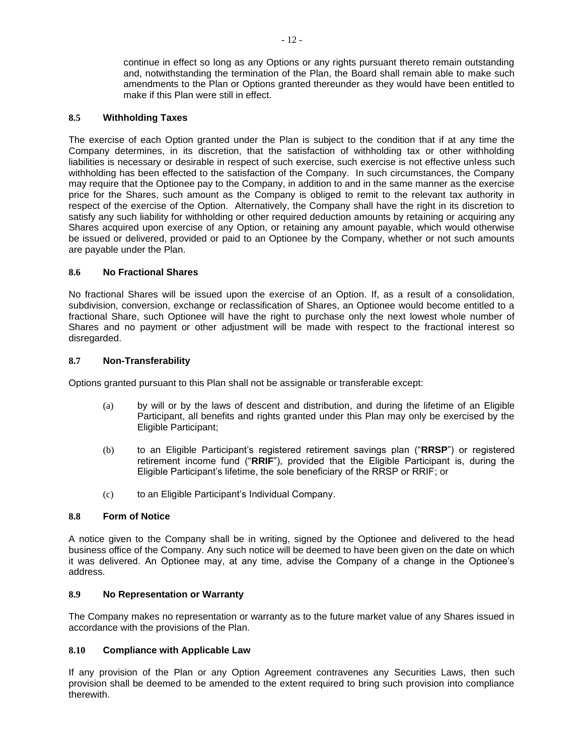continue in effect so long as any Options or any rights pursuant thereto remain outstanding and, notwithstanding the termination of the Plan, the Board shall remain able to make such amendments to the Plan or Options granted thereunder as they would have been entitled to make if this Plan were still in effect.

#### **8.5 Withholding Taxes**

The exercise of each Option granted under the Plan is subject to the condition that if at any time the Company determines, in its discretion, that the satisfaction of withholding tax or other withholding liabilities is necessary or desirable in respect of such exercise, such exercise is not effective unless such withholding has been effected to the satisfaction of the Company. In such circumstances, the Company may require that the Optionee pay to the Company, in addition to and in the same manner as the exercise price for the Shares, such amount as the Company is obliged to remit to the relevant tax authority in respect of the exercise of the Option. Alternatively, the Company shall have the right in its discretion to satisfy any such liability for withholding or other required deduction amounts by retaining or acquiring any Shares acquired upon exercise of any Option, or retaining any amount payable, which would otherwise be issued or delivered, provided or paid to an Optionee by the Company, whether or not such amounts are payable under the Plan.

#### **8.6 No Fractional Shares**

No fractional Shares will be issued upon the exercise of an Option. If, as a result of a consolidation, subdivision, conversion, exchange or reclassification of Shares, an Optionee would become entitled to a fractional Share, such Optionee will have the right to purchase only the next lowest whole number of Shares and no payment or other adjustment will be made with respect to the fractional interest so disregarded.

#### **8.7 Non-Transferability**

Options granted pursuant to this Plan shall not be assignable or transferable except:

- (a) by will or by the laws of descent and distribution, and during the lifetime of an Eligible Participant, all benefits and rights granted under this Plan may only be exercised by the Eligible Participant;
- (b) to an Eligible Participant's registered retirement savings plan ("**RRSP**") or registered retirement income fund ("**RRIF**"), provided that the Eligible Participant is, during the Eligible Participant's lifetime, the sole beneficiary of the RRSP or RRIF; or
- (c) to an Eligible Participant's Individual Company.

#### **8.8 Form of Notice**

A notice given to the Company shall be in writing, signed by the Optionee and delivered to the head business office of the Company. Any such notice will be deemed to have been given on the date on which it was delivered. An Optionee may, at any time, advise the Company of a change in the Optionee's address.

#### **8.9 No Representation or Warranty**

The Company makes no representation or warranty as to the future market value of any Shares issued in accordance with the provisions of the Plan.

#### **8.10 Compliance with Applicable Law**

If any provision of the Plan or any Option Agreement contravenes any Securities Laws, then such provision shall be deemed to be amended to the extent required to bring such provision into compliance therewith.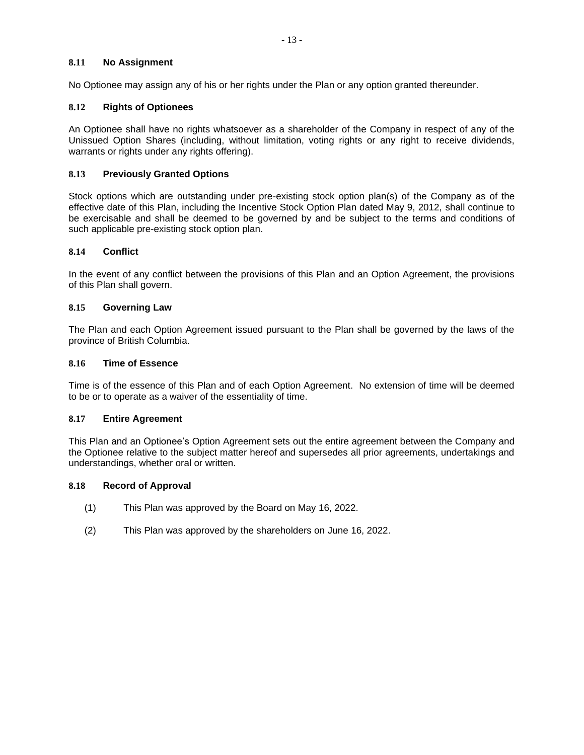## **8.11 No Assignment**

No Optionee may assign any of his or her rights under the Plan or any option granted thereunder.

## **8.12 Rights of Optionees**

An Optionee shall have no rights whatsoever as a shareholder of the Company in respect of any of the Unissued Option Shares (including, without limitation, voting rights or any right to receive dividends, warrants or rights under any rights offering).

## **8.13 Previously Granted Options**

Stock options which are outstanding under pre-existing stock option plan(s) of the Company as of the effective date of this Plan, including the Incentive Stock Option Plan dated May 9, 2012, shall continue to be exercisable and shall be deemed to be governed by and be subject to the terms and conditions of such applicable pre-existing stock option plan.

#### **8.14 Conflict**

In the event of any conflict between the provisions of this Plan and an Option Agreement, the provisions of this Plan shall govern.

## **8.15 Governing Law**

The Plan and each Option Agreement issued pursuant to the Plan shall be governed by the laws of the province of British Columbia.

## **8.16 Time of Essence**

Time is of the essence of this Plan and of each Option Agreement. No extension of time will be deemed to be or to operate as a waiver of the essentiality of time.

#### **8.17 Entire Agreement**

This Plan and an Optionee's Option Agreement sets out the entire agreement between the Company and the Optionee relative to the subject matter hereof and supersedes all prior agreements, undertakings and understandings, whether oral or written.

#### **8.18 Record of Approval**

- (1) This Plan was approved by the Board on May 16, 2022.
- (2) This Plan was approved by the shareholders on June 16, 2022.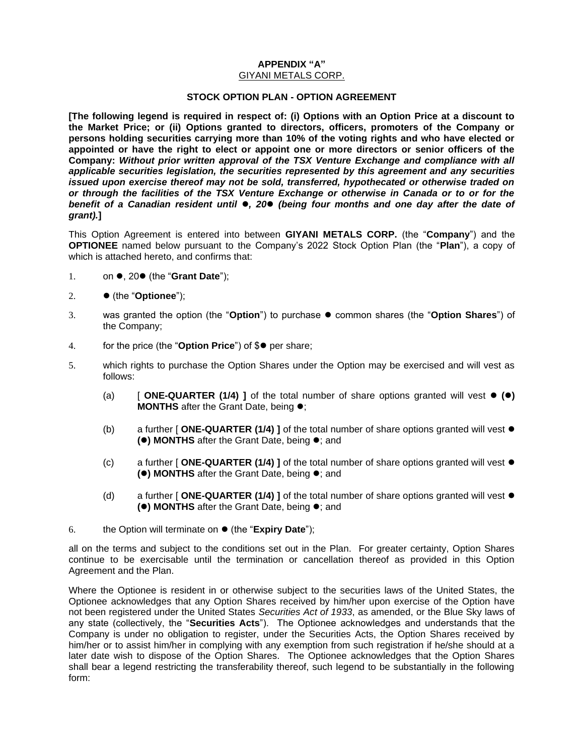# <span id="page-55-0"></span>**APPENDIX "A"**

## GIYANI METALS CORP.

#### **STOCK OPTION PLAN - OPTION AGREEMENT**

**[The following legend is required in respect of: (i) Options with an Option Price at a discount to the Market Price; or (ii) Options granted to directors, officers, promoters of the Company or persons holding securities carrying more than 10% of the voting rights and who have elected or appointed or have the right to elect or appoint one or more directors or senior officers of the Company:** *Without prior written approval of the TSX Venture Exchange and compliance with all applicable securities legislation, the securities represented by this agreement and any securities issued upon exercise thereof may not be sold, transferred, hypothecated or otherwise traded on or through the facilities of the TSX Venture Exchange or otherwise in Canada or to or for the benefit of a Canadian resident until* ⚫*, 20*⚫ *(being four months and one day after the date of grant).***]**

This Option Agreement is entered into between **GIYANI METALS CORP.** (the "**Company**") and the **OPTIONEE** named below pursuant to the Company's 2022 Stock Option Plan (the "**Plan**"), a copy of which is attached hereto, and confirms that:

- 1. on ⚫, 20⚫ (the "**Grant Date**");
- 2. ⚫ (the "**Optionee**");
- 3. was granted the option (the "**Option**") to purchase ⚫ common shares (the "**Option Shares**") of the Company;
- 4. for the price (the "**Option Price**") of \$⚫ per share;
- 5. which rights to purchase the Option Shares under the Option may be exercised and will vest as follows:
	- (a) [ **ONE-QUARTER (1/4) ]** of the total number of share options granted will vest ⚫ **(**⚫**) MONTHS** after the Grant Date, being ⚫;
	- (b) a further [ **ONE-QUARTER (1/4) ]** of the total number of share options granted will vest ⚫ **(**⚫**) MONTHS** after the Grant Date, being ⚫; and
	- (c) a further [ **ONE-QUARTER (1/4) ]** of the total number of share options granted will vest ⚫ **(**⚫**) MONTHS** after the Grant Date, being ⚫; and
	- (d) a further [ **ONE-QUARTER (1/4) ]** of the total number of share options granted will vest ⚫ **(**⚫**) MONTHS** after the Grant Date, being ⚫; and
- 6. the Option will terminate on ⚫ (the "**Expiry Date**");

all on the terms and subject to the conditions set out in the Plan. For greater certainty, Option Shares continue to be exercisable until the termination or cancellation thereof as provided in this Option Agreement and the Plan.

Where the Optionee is resident in or otherwise subject to the securities laws of the United States, the Optionee acknowledges that any Option Shares received by him/her upon exercise of the Option have not been registered under the United States *Securities Act of 1933*, as amended, or the Blue Sky laws of any state (collectively, the "**Securities Acts**"). The Optionee acknowledges and understands that the Company is under no obligation to register, under the Securities Acts, the Option Shares received by him/her or to assist him/her in complying with any exemption from such registration if he/she should at a later date wish to dispose of the Option Shares. The Optionee acknowledges that the Option Shares shall bear a legend restricting the transferability thereof, such legend to be substantially in the following form: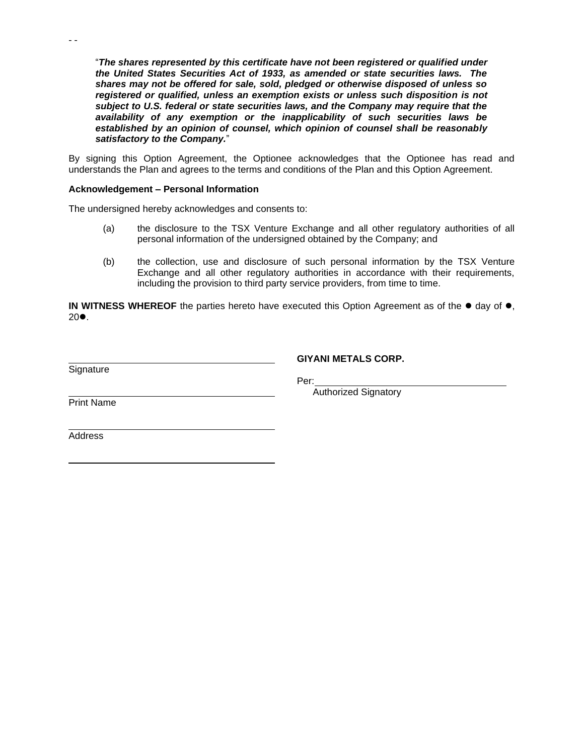"*The shares represented by this certificate have not been registered or qualified under the United States Securities Act of 1933, as amended or state securities laws. The shares may not be offered for sale, sold, pledged or otherwise disposed of unless so registered or qualified, unless an exemption exists or unless such disposition is not subject to U.S. federal or state securities laws, and the Company may require that the availability of any exemption or the inapplicability of such securities laws be established by an opinion of counsel, which opinion of counsel shall be reasonably satisfactory to the Company.*"

By signing this Option Agreement, the Optionee acknowledges that the Optionee has read and understands the Plan and agrees to the terms and conditions of the Plan and this Option Agreement.

#### **Acknowledgement – Personal Information**

The undersigned hereby acknowledges and consents to:

- (a) the disclosure to the TSX Venture Exchange and all other regulatory authorities of all personal information of the undersigned obtained by the Company; and
- (b) the collection, use and disclosure of such personal information by the TSX Venture Exchange and all other regulatory authorities in accordance with their requirements, including the provision to third party service providers, from time to time.

**IN WITNESS WHEREOF** the parties hereto have executed this Option Agreement as of the ● day of ●, 20⚫.

Signature

- -

**GIYANI METALS CORP.**

Per:

Authorized Signatory

Print Name

**Address**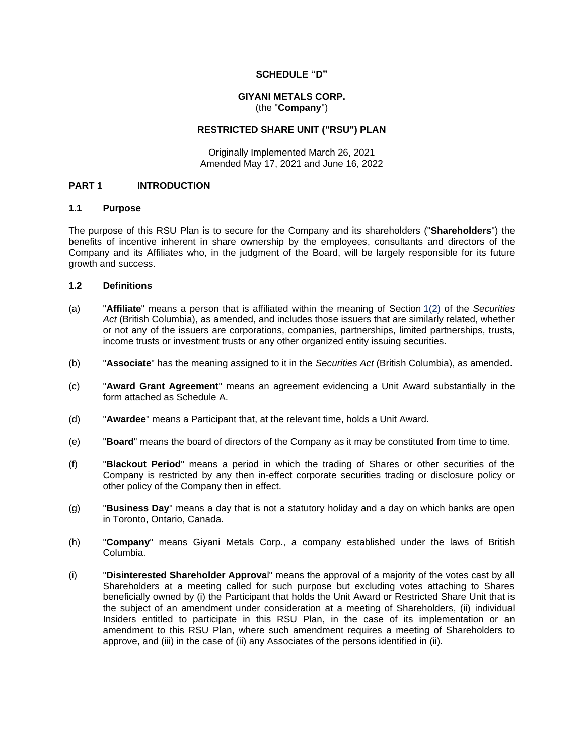#### **SCHEDULE "D"**

#### **GIYANI METALS CORP.** (the "**Company**")

#### **RESTRICTED SHARE UNIT ("RSU") PLAN**

Originally Implemented March 26, 2021 Amended May 17, 2021 and June 16, 2022

#### **PART 1 INTRODUCTION**

#### **1.1 Purpose**

The purpose of this RSU Plan is to secure for the Company and its shareholders ("**Shareholders**") the benefits of incentive inherent in share ownership by the employees, consultants and directors of the Company and its Affiliates who, in the judgment of the Board, will be largely responsible for its future growth and success.

### **1.2 Definitions**

- (a) "**Affiliate**" means a person that is affiliated within the meaning of Section 1(2) of the *Securities Act* (British Columbia), as amended, and includes those issuers that are similarly related, whether or not any of the issuers are corporations, companies, partnerships, limited partnerships, trusts, income trusts or investment trusts or any other organized entity issuing securities.
- (b) "**Associate**" has the meaning assigned to it in the *Securities Act* (British Columbia), as amended.
- (c) "**Award Grant Agreement**" means an agreement evidencing a Unit Award substantially in the form attached as Schedule [A.](#page-69-0)
- (d) "**Awardee**" means a Participant that, at the relevant time, holds a Unit Award.
- (e) "**Board**" means the board of directors of the Company as it may be constituted from time to time.
- (f) "**Blackout Period**" means a period in which the trading of Shares or other securities of the Company is restricted by any then in-effect corporate securities trading or disclosure policy or other policy of the Company then in effect.
- (g) "**Business Day**" means a day that is not a statutory holiday and a day on which banks are open in Toronto, Ontario, Canada.
- (h) "**Company**" means Giyani Metals Corp., a company established under the laws of British Columbia.
- (i) "**Disinterested Shareholder Approva**l" means the approval of a majority of the votes cast by all Shareholders at a meeting called for such purpose but excluding votes attaching to Shares beneficially owned by (i) the Participant that holds the Unit Award or Restricted Share Unit that is the subject of an amendment under consideration at a meeting of Shareholders, (ii) individual Insiders entitled to participate in this RSU Plan, in the case of its implementation or an amendment to this RSU Plan, where such amendment requires a meeting of Shareholders to approve, and (iii) in the case of (ii) any Associates of the persons identified in (ii).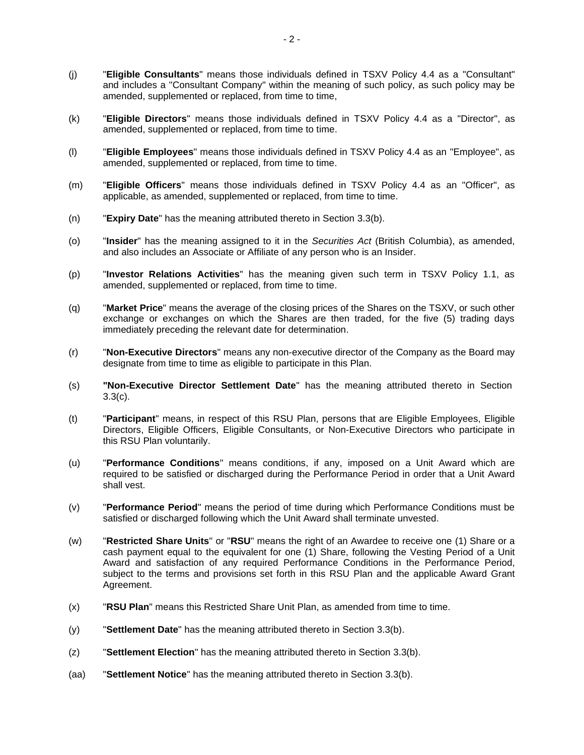- (j) "**Eligible Consultants**" means those individuals defined in TSXV Policy 4.4 as a "Consultant" and includes a "Consultant Company" within the meaning of such policy, as such policy may be amended, supplemented or replaced, from time to time,
- (k) "**Eligible Directors**" means those individuals defined in TSXV Policy 4.4 as a "Director", as amended, supplemented or replaced, from time to time.
- (l) "**Eligible Employees**" means those individuals defined in TSXV Policy 4.4 as an "Employee", as amended, supplemented or replaced, from time to time.
- (m) "**Eligible Officers**" means those individuals defined in TSXV Policy 4.4 as an "Officer", as applicable, as amended, supplemented or replaced, from time to time.
- (n) "**Expiry Date**" has the meaning attributed thereto in Section [3.3\(b\).](#page-61-0)
- (o) "**Insider**" has the meaning assigned to it in the *Securities Act* (British Columbia), as amended, and also includes an Associate or Affiliate of any person who is an Insider.
- (p) "**Investor Relations Activities**" has the meaning given such term in TSXV Policy 1.1, as amended, supplemented or replaced, from time to time.
- (q) "**Market Price**" means the average of the closing prices of the Shares on the TSXV, or such other exchange or exchanges on which the Shares are then traded, for the five (5) trading days immediately preceding the relevant date for determination.
- (r) "**Non-Executive Directors**" means any non-executive director of the Company as the Board may designate from time to time as eligible to participate in this Plan.
- (s) **"Non-Executive Director Settlement Date**" has the meaning attributed thereto in Section [3.3\(c\).](#page-62-0)
- (t) "**Participant**" means, in respect of this RSU Plan, persons that are Eligible Employees, Eligible Directors, Eligible Officers, Eligible Consultants, or Non-Executive Directors who participate in this RSU Plan voluntarily.
- (u) "**Performance Conditions**" means conditions, if any, imposed on a Unit Award which are required to be satisfied or discharged during the Performance Period in order that a Unit Award shall vest.
- (v) "**Performance Period**" means the period of time during which Performance Conditions must be satisfied or discharged following which the Unit Award shall terminate unvested.
- (w) "**Restricted Share Units**" or "**RSU**" means the right of an Awardee to receive one (1) Share or a cash payment equal to the equivalent for one (1) Share, following the Vesting Period of a Unit Award and satisfaction of any required Performance Conditions in the Performance Period, subject to the terms and provisions set forth in this RSU Plan and the applicable Award Grant Agreement.
- (x) "**RSU Plan**" means this Restricted Share Unit Plan, as amended from time to time.
- (y) "**Settlement Date**" has the meaning attributed thereto in Section [3.3\(b\).](#page-61-0)
- (z) "**Settlement Election**" has the meaning attributed thereto in Section [3.3\(b\).](#page-61-0)
- (aa) "**Settlement Notice**" has the meaning attributed thereto in Section [3.3\(b\).](#page-61-0)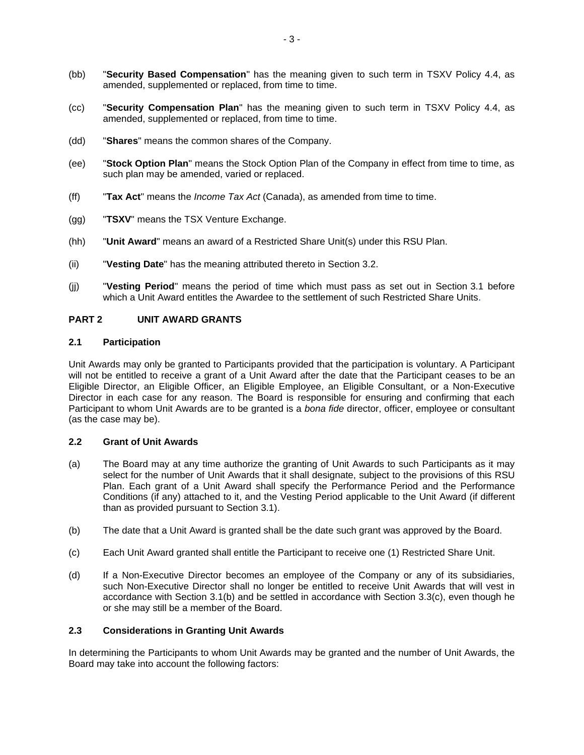- (bb) "**Security Based Compensation**" has the meaning given to such term in TSXV Policy 4.4, as amended, supplemented or replaced, from time to time.
- (cc) "**Security Compensation Plan**" has the meaning given to such term in TSXV Policy 4.4, as amended, supplemented or replaced, from time to time.
- (dd) "**Shares**" means the common shares of the Company.
- (ee) "**Stock Option Plan**" means the Stock Option Plan of the Company in effect from time to time, as such plan may be amended, varied or replaced.
- (ff) "**Tax Act**" means the *Income Tax Act* (Canada), as amended from time to time.
- (gg) "**TSXV**" means the TSX Venture Exchange.
- (hh) "**Unit Award**" means an award of a Restricted Share Unit(s) under this RSU Plan.
- (ii) "**Vesting Date**" has the meaning attributed thereto in Section [3.2.](#page-61-1)
- (jj) "**Vesting Period**" means the period of time which must pass as set out in Section [3.1](#page-60-0) before which a Unit Award entitles the Awardee to the settlement of such Restricted Share Units.

#### <span id="page-59-0"></span>**PART 2 UNIT AWARD GRANTS**

#### **2.1 Participation**

Unit Awards may only be granted to Participants provided that the participation is voluntary. A Participant will not be entitled to receive a grant of a Unit Award after the date that the Participant ceases to be an Eligible Director, an Eligible Officer, an Eligible Employee, an Eligible Consultant, or a Non-Executive Director in each case for any reason. The Board is responsible for ensuring and confirming that each Participant to whom Unit Awards are to be granted is a *bona fide* director, officer, employee or consultant (as the case may be).

#### **2.2 Grant of Unit Awards**

- (a) The Board may at any time authorize the granting of Unit Awards to such Participants as it may select for the number of Unit Awards that it shall designate, subject to the provisions of this RSU Plan. Each grant of a Unit Award shall specify the Performance Period and the Performance Conditions (if any) attached to it, and the Vesting Period applicable to the Unit Award (if different than as provided pursuant to Section [3.1\)](#page-60-0).
- (b) The date that a Unit Award is granted shall be the date such grant was approved by the Board.
- (c) Each Unit Award granted shall entitle the Participant to receive one (1) Restricted Share Unit.
- (d) If a Non-Executive Director becomes an employee of the Company or any of its subsidiaries, such Non-Executive Director shall no longer be entitled to receive Unit Awards that will vest in accordance with Section [3.1\(b\)](#page-61-2) and be settled in accordance with Section [3.3\(c\),](#page-62-0) even though he or she may still be a member of the Board.

#### **2.3 Considerations in Granting Unit Awards**

In determining the Participants to whom Unit Awards may be granted and the number of Unit Awards, the Board may take into account the following factors: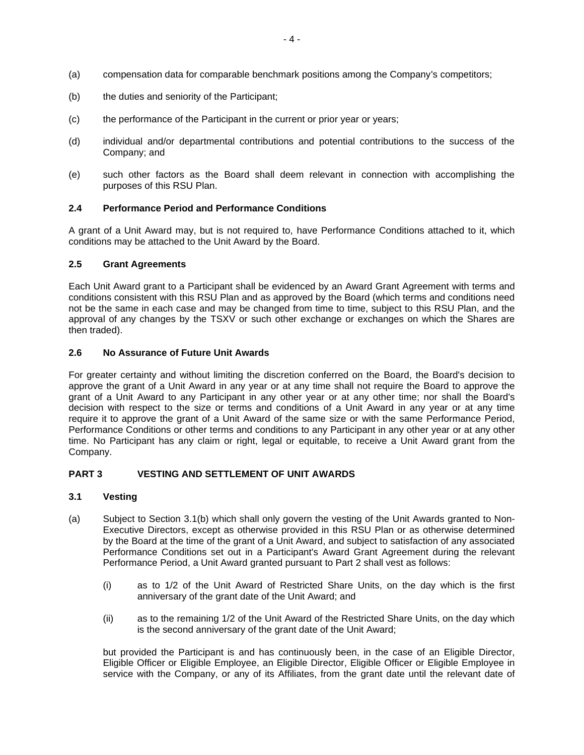- (a) compensation data for comparable benchmark positions among the Company's competitors;
- (b) the duties and seniority of the Participant;
- (c) the performance of the Participant in the current or prior year or years;
- (d) individual and/or departmental contributions and potential contributions to the success of the Company; and
- (e) such other factors as the Board shall deem relevant in connection with accomplishing the purposes of this RSU Plan.

#### **2.4 Performance Period and Performance Conditions**

A grant of a Unit Award may, but is not required to, have Performance Conditions attached to it, which conditions may be attached to the Unit Award by the Board.

#### **2.5 Grant Agreements**

Each Unit Award grant to a Participant shall be evidenced by an Award Grant Agreement with terms and conditions consistent with this RSU Plan and as approved by the Board (which terms and conditions need not be the same in each case and may be changed from time to time, subject to this RSU Plan, and the approval of any changes by the TSXV or such other exchange or exchanges on which the Shares are then traded).

#### **2.6 No Assurance of Future Unit Awards**

For greater certainty and without limiting the discretion conferred on the Board, the Board's decision to approve the grant of a Unit Award in any year or at any time shall not require the Board to approve the grant of a Unit Award to any Participant in any other year or at any other time; nor shall the Board's decision with respect to the size or terms and conditions of a Unit Award in any year or at any time require it to approve the grant of a Unit Award of the same size or with the same Performance Period, Performance Conditions or other terms and conditions to any Participant in any other year or at any other time. No Participant has any claim or right, legal or equitable, to receive a Unit Award grant from the Company.

#### **PART 3 VESTING AND SETTLEMENT OF UNIT AWARDS**

#### <span id="page-60-0"></span>**3.1 Vesting**

- <span id="page-60-1"></span>(a) Subject to Section [3.1\(b\)](#page-61-2) which shall only govern the vesting of the Unit Awards granted to Non-Executive Directors, except as otherwise provided in this RSU Plan or as otherwise determined by the Board at the time of the grant of a Unit Award, and subject to satisfaction of any associated Performance Conditions set out in a Participant's Award Grant Agreement during the relevant Performance Period, a Unit Award granted pursuant to [Part](#page-59-0) 2 shall vest as follows:
	- (i) as to 1/2 of the Unit Award of Restricted Share Units, on the day which is the first anniversary of the grant date of the Unit Award; and
	- (ii) as to the remaining 1/2 of the Unit Award of the Restricted Share Units, on the day which is the second anniversary of the grant date of the Unit Award;

but provided the Participant is and has continuously been, in the case of an Eligible Director, Eligible Officer or Eligible Employee, an Eligible Director, Eligible Officer or Eligible Employee in service with the Company, or any of its Affiliates, from the grant date until the relevant date of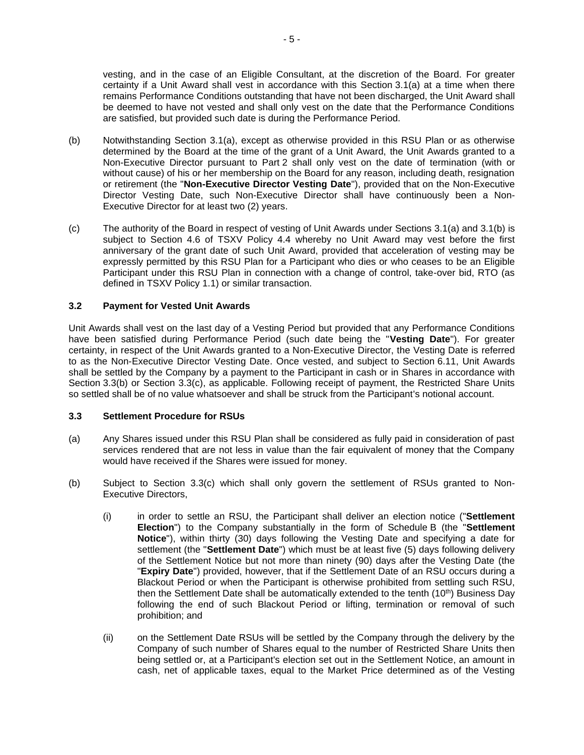vesting, and in the case of an Eligible Consultant, at the discretion of the Board. For greater certainty if a Unit Award shall vest in accordance with this Section [3.1\(a\)](#page-60-1) at a time when there remains Performance Conditions outstanding that have not been discharged, the Unit Award shall be deemed to have not vested and shall only vest on the date that the Performance Conditions are satisfied, but provided such date is during the Performance Period.

- <span id="page-61-2"></span>(b) Notwithstanding Section [3.1\(a\),](#page-60-1) except as otherwise provided in this RSU Plan or as otherwise determined by the Board at the time of the grant of a Unit Award, the Unit Awards granted to a Non-Executive Director pursuant to [Part](#page-59-0) 2 shall only vest on the date of termination (with or without cause) of his or her membership on the Board for any reason, including death, resignation or retirement (the "**Non-Executive Director Vesting Date**"), provided that on the Non-Executive Director Vesting Date, such Non-Executive Director shall have continuously been a Non-Executive Director for at least two (2) years.
- (c) The authority of the Board in respect of vesting of Unit Awards under Sections [3.1\(a\)](#page-60-1) and [3.1\(b\)](#page-61-2) is subject to Section 4.6 of TSXV Policy 4.4 whereby no Unit Award may vest before the first anniversary of the grant date of such Unit Award, provided that acceleration of vesting may be expressly permitted by this RSU Plan for a Participant who dies or who ceases to be an Eligible Participant under this RSU Plan in connection with a change of control, take-over bid, RTO (as defined in TSXV Policy 1.1) or similar transaction.

## <span id="page-61-1"></span>**3.2 Payment for Vested Unit Awards**

Unit Awards shall vest on the last day of a Vesting Period but provided that any Performance Conditions have been satisfied during Performance Period (such date being the "**Vesting Date**"). For greater certainty, in respect of the Unit Awards granted to a Non-Executive Director, the Vesting Date is referred to as the Non-Executive Director Vesting Date. Once vested, and subject to Section [6.11,](#page-66-0) Unit Awards shall be settled by the Company by a payment to the Participant in cash or in Shares in accordance with Section [3.3\(b\)](#page-61-0) or Section [3.3\(c\),](#page-62-0) as applicable. Following receipt of payment, the Restricted Share Units so settled shall be of no value whatsoever and shall be struck from the Participant's notional account.

#### <span id="page-61-3"></span>**3.3 Settlement Procedure for RSUs**

- (a) Any Shares issued under this RSU Plan shall be considered as fully paid in consideration of past services rendered that are not less in value than the fair equivalent of money that the Company would have received if the Shares were issued for money.
- <span id="page-61-0"></span>(b) Subject to Section [3.3\(c\)](#page-62-0) which shall only govern the settlement of RSUs granted to Non-Executive Directors,
	- (i) in order to settle an RSU, the Participant shall deliver an election notice ("**Settlement Election**") to the Company substantially in the form of Schedule [B](#page-70-0) (the "**Settlement Notice**"), within thirty (30) days following the Vesting Date and specifying a date for settlement (the "**Settlement Date**") which must be at least five (5) days following delivery of the Settlement Notice but not more than ninety (90) days after the Vesting Date (the "**Expiry Date**") provided, however, that if the Settlement Date of an RSU occurs during a Blackout Period or when the Participant is otherwise prohibited from settling such RSU, then the Settlement Date shall be automatically extended to the tenth  $(10<sup>th</sup>)$  Business Day following the end of such Blackout Period or lifting, termination or removal of such prohibition; and
	- (ii) on the Settlement Date RSUs will be settled by the Company through the delivery by the Company of such number of Shares equal to the number of Restricted Share Units then being settled or, at a Participant's election set out in the Settlement Notice, an amount in cash, net of applicable taxes, equal to the Market Price determined as of the Vesting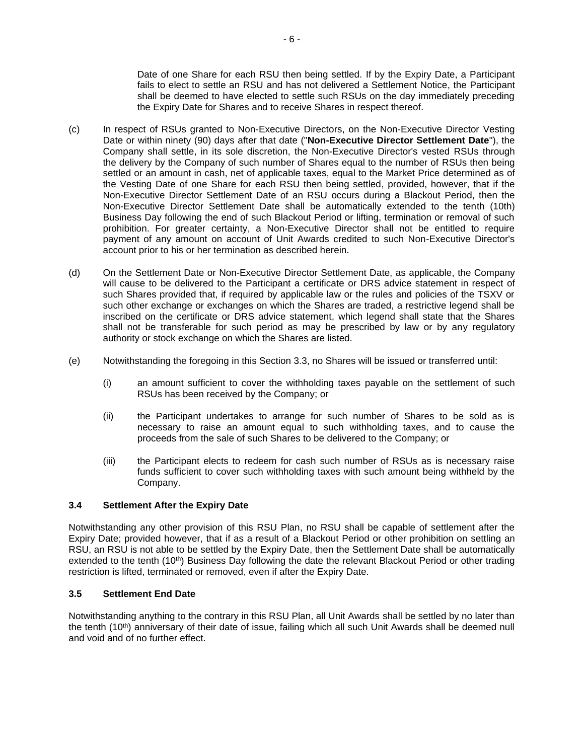Date of one Share for each RSU then being settled. If by the Expiry Date, a Participant fails to elect to settle an RSU and has not delivered a Settlement Notice, the Participant shall be deemed to have elected to settle such RSUs on the day immediately preceding the Expiry Date for Shares and to receive Shares in respect thereof.

- <span id="page-62-0"></span>(c) In respect of RSUs granted to Non-Executive Directors, on the Non-Executive Director Vesting Date or within ninety (90) days after that date ("**Non-Executive Director Settlement Date**"), the Company shall settle, in its sole discretion, the Non-Executive Director's vested RSUs through the delivery by the Company of such number of Shares equal to the number of RSUs then being settled or an amount in cash, net of applicable taxes, equal to the Market Price determined as of the Vesting Date of one Share for each RSU then being settled, provided, however, that if the Non-Executive Director Settlement Date of an RSU occurs during a Blackout Period, then the Non-Executive Director Settlement Date shall be automatically extended to the tenth (10th) Business Day following the end of such Blackout Period or lifting, termination or removal of such prohibition. For greater certainty, a Non-Executive Director shall not be entitled to require payment of any amount on account of Unit Awards credited to such Non-Executive Director's account prior to his or her termination as described herein.
- (d) On the Settlement Date or Non-Executive Director Settlement Date, as applicable, the Company will cause to be delivered to the Participant a certificate or DRS advice statement in respect of such Shares provided that, if required by applicable law or the rules and policies of the TSXV or such other exchange or exchanges on which the Shares are traded, a restrictive legend shall be inscribed on the certificate or DRS advice statement, which legend shall state that the Shares shall not be transferable for such period as may be prescribed by law or by any regulatory authority or stock exchange on which the Shares are listed.
- <span id="page-62-1"></span>(e) Notwithstanding the foregoing in this Section [3.3,](#page-61-3) no Shares will be issued or transferred until:
	- (i) an amount sufficient to cover the withholding taxes payable on the settlement of such RSUs has been received by the Company; or
	- (ii) the Participant undertakes to arrange for such number of Shares to be sold as is necessary to raise an amount equal to such withholding taxes, and to cause the proceeds from the sale of such Shares to be delivered to the Company; or
	- (iii) the Participant elects to redeem for cash such number of RSUs as is necessary raise funds sufficient to cover such withholding taxes with such amount being withheld by the Company.

## **3.4 Settlement After the Expiry Date**

Notwithstanding any other provision of this RSU Plan, no RSU shall be capable of settlement after the Expiry Date; provided however, that if as a result of a Blackout Period or other prohibition on settling an RSU, an RSU is not able to be settled by the Expiry Date, then the Settlement Date shall be automatically extended to the tenth (10<sup>th</sup>) Business Day following the date the relevant Blackout Period or other trading restriction is lifted, terminated or removed, even if after the Expiry Date.

## **3.5 Settlement End Date**

Notwithstanding anything to the contrary in this RSU Plan, all Unit Awards shall be settled by no later than the tenth  $(10<sup>th</sup>)$  anniversary of their date of issue, failing which all such Unit Awards shall be deemed null and void and of no further effect.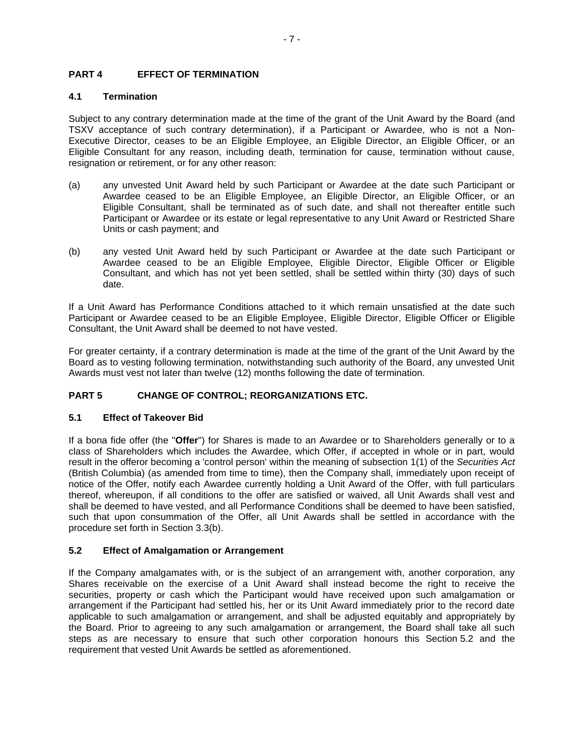## **PART 4 EFFECT OF TERMINATION**

## **4.1 Termination**

Subject to any contrary determination made at the time of the grant of the Unit Award by the Board (and TSXV acceptance of such contrary determination), if a Participant or Awardee, who is not a Non-Executive Director, ceases to be an Eligible Employee, an Eligible Director, an Eligible Officer, or an Eligible Consultant for any reason, including death, termination for cause, termination without cause, resignation or retirement, or for any other reason:

- (a) any unvested Unit Award held by such Participant or Awardee at the date such Participant or Awardee ceased to be an Eligible Employee, an Eligible Director, an Eligible Officer, or an Eligible Consultant, shall be terminated as of such date, and shall not thereafter entitle such Participant or Awardee or its estate or legal representative to any Unit Award or Restricted Share Units or cash payment; and
- (b) any vested Unit Award held by such Participant or Awardee at the date such Participant or Awardee ceased to be an Eligible Employee, Eligible Director, Eligible Officer or Eligible Consultant, and which has not yet been settled, shall be settled within thirty (30) days of such date.

If a Unit Award has Performance Conditions attached to it which remain unsatisfied at the date such Participant or Awardee ceased to be an Eligible Employee, Eligible Director, Eligible Officer or Eligible Consultant, the Unit Award shall be deemed to not have vested.

For greater certainty, if a contrary determination is made at the time of the grant of the Unit Award by the Board as to vesting following termination, notwithstanding such authority of the Board, any unvested Unit Awards must vest not later than twelve (12) months following the date of termination.

## **PART 5 CHANGE OF CONTROL; REORGANIZATIONS ETC.**

## **5.1 Effect of Takeover Bid**

If a bona fide offer (the "**Offer**") for Shares is made to an Awardee or to Shareholders generally or to a class of Shareholders which includes the Awardee, which Offer, if accepted in whole or in part, would result in the offeror becoming a 'control person' within the meaning of subsection 1(1) of the *Securities Act* (British Columbia) (as amended from time to time), then the Company shall, immediately upon receipt of notice of the Offer, notify each Awardee currently holding a Unit Award of the Offer, with full particulars thereof, whereupon, if all conditions to the offer are satisfied or waived, all Unit Awards shall vest and shall be deemed to have vested, and all Performance Conditions shall be deemed to have been satisfied, such that upon consummation of the Offer, all Unit Awards shall be settled in accordance with the procedure set forth in Section [3.3\(b\).](#page-61-0)

## <span id="page-63-0"></span>**5.2 Effect of Amalgamation or Arrangement**

If the Company amalgamates with, or is the subject of an arrangement with, another corporation, any Shares receivable on the exercise of a Unit Award shall instead become the right to receive the securities, property or cash which the Participant would have received upon such amalgamation or arrangement if the Participant had settled his, her or its Unit Award immediately prior to the record date applicable to such amalgamation or arrangement, and shall be adjusted equitably and appropriately by the Board. Prior to agreeing to any such amalgamation or arrangement, the Board shall take all such steps as are necessary to ensure that such other corporation honours this Section [5.2](#page-63-0) and the requirement that vested Unit Awards be settled as aforementioned.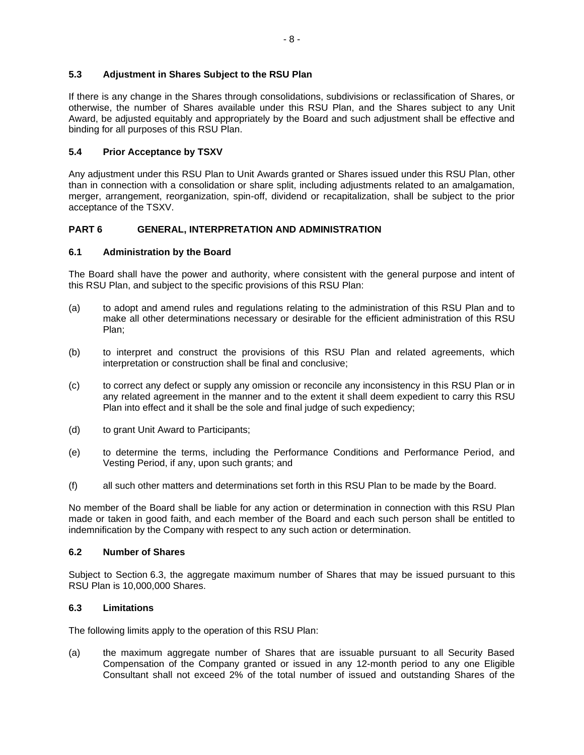## **5.3 Adjustment in Shares Subject to the RSU Plan**

If there is any change in the Shares through consolidations, subdivisions or reclassification of Shares, or otherwise, the number of Shares available under this RSU Plan, and the Shares subject to any Unit Award, be adjusted equitably and appropriately by the Board and such adjustment shall be effective and binding for all purposes of this RSU Plan.

## **5.4 Prior Acceptance by TSXV**

Any adjustment under this RSU Plan to Unit Awards granted or Shares issued under this RSU Plan, other than in connection with a consolidation or share split, including adjustments related to an amalgamation, merger, arrangement, reorganization, spin-off, dividend or recapitalization, shall be subject to the prior acceptance of the TSXV.

## **PART 6 GENERAL, INTERPRETATION AND ADMINISTRATION**

#### **6.1 Administration by the Board**

The Board shall have the power and authority, where consistent with the general purpose and intent of this RSU Plan, and subject to the specific provisions of this RSU Plan:

- (a) to adopt and amend rules and regulations relating to the administration of this RSU Plan and to make all other determinations necessary or desirable for the efficient administration of this RSU Plan;
- (b) to interpret and construct the provisions of this RSU Plan and related agreements, which interpretation or construction shall be final and conclusive;
- (c) to correct any defect or supply any omission or reconcile any inconsistency in this RSU Plan or in any related agreement in the manner and to the extent it shall deem expedient to carry this RSU Plan into effect and it shall be the sole and final judge of such expediency;
- (d) to grant Unit Award to Participants;
- (e) to determine the terms, including the Performance Conditions and Performance Period, and Vesting Period, if any, upon such grants; and
- (f) all such other matters and determinations set forth in this RSU Plan to be made by the Board.

No member of the Board shall be liable for any action or determination in connection with this RSU Plan made or taken in good faith, and each member of the Board and each such person shall be entitled to indemnification by the Company with respect to any such action or determination.

#### **6.2 Number of Shares**

Subject to Section [6.3,](#page-64-0) the aggregate maximum number of Shares that may be issued pursuant to this RSU Plan is 10,000,000 Shares.

## <span id="page-64-0"></span>**6.3 Limitations**

The following limits apply to the operation of this RSU Plan:

(a) the maximum aggregate number of Shares that are issuable pursuant to all Security Based Compensation of the Company granted or issued in any 12-month period to any one Eligible Consultant shall not exceed 2% of the total number of issued and outstanding Shares of the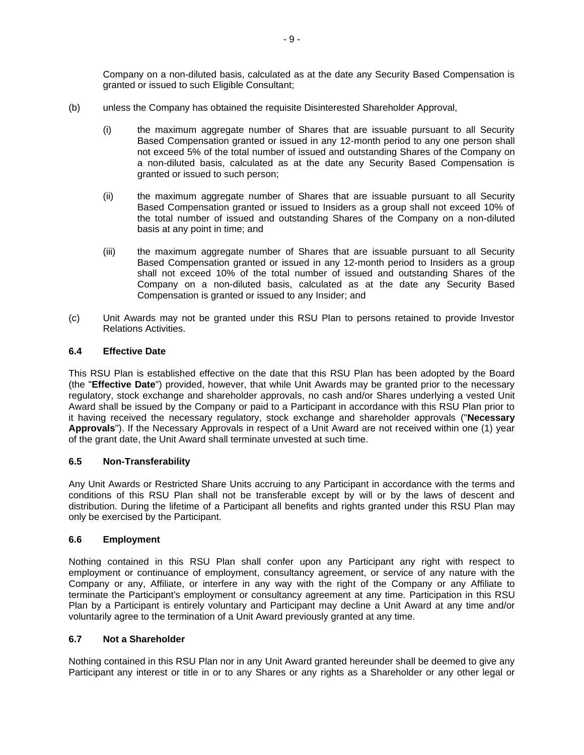Company on a non-diluted basis, calculated as at the date any Security Based Compensation is granted or issued to such Eligible Consultant;

- <span id="page-65-0"></span>(b) unless the Company has obtained the requisite Disinterested Shareholder Approval,
	- (i) the maximum aggregate number of Shares that are issuable pursuant to all Security Based Compensation granted or issued in any 12-month period to any one person shall not exceed 5% of the total number of issued and outstanding Shares of the Company on a non-diluted basis, calculated as at the date any Security Based Compensation is granted or issued to such person;
	- (ii) the maximum aggregate number of Shares that are issuable pursuant to all Security Based Compensation granted or issued to Insiders as a group shall not exceed 10% of the total number of issued and outstanding Shares of the Company on a non-diluted basis at any point in time; and
	- (iii) the maximum aggregate number of Shares that are issuable pursuant to all Security Based Compensation granted or issued in any 12-month period to Insiders as a group shall not exceed 10% of the total number of issued and outstanding Shares of the Company on a non-diluted basis, calculated as at the date any Security Based Compensation is granted or issued to any Insider; and
- (c) Unit Awards may not be granted under this RSU Plan to persons retained to provide Investor Relations Activities.

## **6.4 Effective Date**

This RSU Plan is established effective on the date that this RSU Plan has been adopted by the Board (the "**Effective Date**") provided, however, that while Unit Awards may be granted prior to the necessary regulatory, stock exchange and shareholder approvals, no cash and/or Shares underlying a vested Unit Award shall be issued by the Company or paid to a Participant in accordance with this RSU Plan prior to it having received the necessary regulatory, stock exchange and shareholder approvals ("**Necessary Approvals**"). If the Necessary Approvals in respect of a Unit Award are not received within one (1) year of the grant date, the Unit Award shall terminate unvested at such time.

## **6.5 Non-Transferability**

Any Unit Awards or Restricted Share Units accruing to any Participant in accordance with the terms and conditions of this RSU Plan shall not be transferable except by will or by the laws of descent and distribution. During the lifetime of a Participant all benefits and rights granted under this RSU Plan may only be exercised by the Participant.

#### **6.6 Employment**

Nothing contained in this RSU Plan shall confer upon any Participant any right with respect to employment or continuance of employment, consultancy agreement, or service of any nature with the Company or any, Affiliate, or interfere in any way with the right of the Company or any Affiliate to terminate the Participant's employment or consultancy agreement at any time. Participation in this RSU Plan by a Participant is entirely voluntary and Participant may decline a Unit Award at any time and/or voluntarily agree to the termination of a Unit Award previously granted at any time.

#### **6.7 Not a Shareholder**

Nothing contained in this RSU Plan nor in any Unit Award granted hereunder shall be deemed to give any Participant any interest or title in or to any Shares or any rights as a Shareholder or any other legal or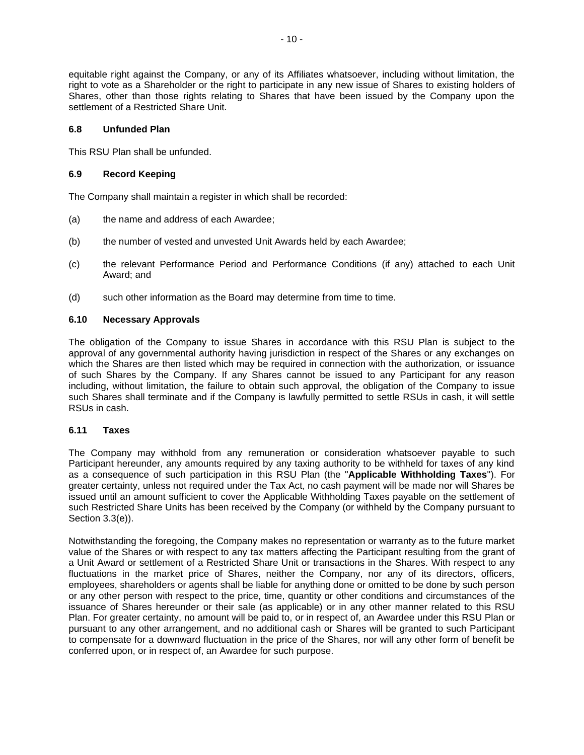equitable right against the Company, or any of its Affiliates whatsoever, including without limitation, the right to vote as a Shareholder or the right to participate in any new issue of Shares to existing holders of Shares, other than those rights relating to Shares that have been issued by the Company upon the settlement of a Restricted Share Unit.

## **6.8 Unfunded Plan**

This RSU Plan shall be unfunded.

## **6.9 Record Keeping**

The Company shall maintain a register in which shall be recorded:

- (a) the name and address of each Awardee;
- (b) the number of vested and unvested Unit Awards held by each Awardee;
- (c) the relevant Performance Period and Performance Conditions (if any) attached to each Unit Award; and
- (d) such other information as the Board may determine from time to time.

## **6.10 Necessary Approvals**

The obligation of the Company to issue Shares in accordance with this RSU Plan is subject to the approval of any governmental authority having jurisdiction in respect of the Shares or any exchanges on which the Shares are then listed which may be required in connection with the authorization, or issuance of such Shares by the Company. If any Shares cannot be issued to any Participant for any reason including, without limitation, the failure to obtain such approval, the obligation of the Company to issue such Shares shall terminate and if the Company is lawfully permitted to settle RSUs in cash, it will settle RSUs in cash.

#### <span id="page-66-0"></span>**6.11 Taxes**

The Company may withhold from any remuneration or consideration whatsoever payable to such Participant hereunder, any amounts required by any taxing authority to be withheld for taxes of any kind as a consequence of such participation in this RSU Plan (the "**Applicable Withholding Taxes**"). For greater certainty, unless not required under the Tax Act, no cash payment will be made nor will Shares be issued until an amount sufficient to cover the Applicable Withholding Taxes payable on the settlement of such Restricted Share Units has been received by the Company (or withheld by the Company pursuant to Section [3.3\(e\)\)](#page-62-1).

Notwithstanding the foregoing, the Company makes no representation or warranty as to the future market value of the Shares or with respect to any tax matters affecting the Participant resulting from the grant of a Unit Award or settlement of a Restricted Share Unit or transactions in the Shares. With respect to any fluctuations in the market price of Shares, neither the Company, nor any of its directors, officers, employees, shareholders or agents shall be liable for anything done or omitted to be done by such person or any other person with respect to the price, time, quantity or other conditions and circumstances of the issuance of Shares hereunder or their sale (as applicable) or in any other manner related to this RSU Plan. For greater certainty, no amount will be paid to, or in respect of, an Awardee under this RSU Plan or pursuant to any other arrangement, and no additional cash or Shares will be granted to such Participant to compensate for a downward fluctuation in the price of the Shares, nor will any other form of benefit be conferred upon, or in respect of, an Awardee for such purpose.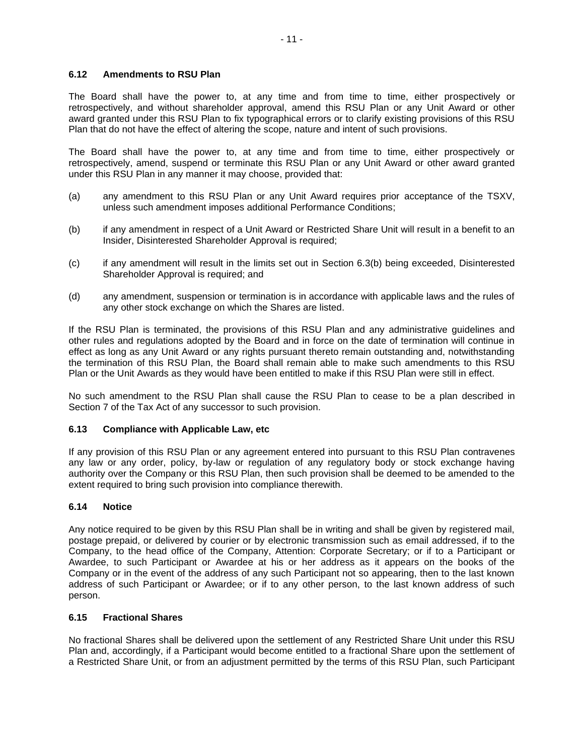#### **6.12 Amendments to RSU Plan**

The Board shall have the power to, at any time and from time to time, either prospectively or retrospectively, and without shareholder approval, amend this RSU Plan or any Unit Award or other award granted under this RSU Plan to fix typographical errors or to clarify existing provisions of this RSU Plan that do not have the effect of altering the scope, nature and intent of such provisions.

The Board shall have the power to, at any time and from time to time, either prospectively or retrospectively, amend, suspend or terminate this RSU Plan or any Unit Award or other award granted under this RSU Plan in any manner it may choose, provided that:

- (a) any amendment to this RSU Plan or any Unit Award requires prior acceptance of the TSXV, unless such amendment imposes additional Performance Conditions;
- (b) if any amendment in respect of a Unit Award or Restricted Share Unit will result in a benefit to an Insider, Disinterested Shareholder Approval is required;
- (c) if any amendment will result in the limits set out in Section [6.3\(b\)](#page-65-0) being exceeded, Disinterested Shareholder Approval is required; and
- (d) any amendment, suspension or termination is in accordance with applicable laws and the rules of any other stock exchange on which the Shares are listed.

If the RSU Plan is terminated, the provisions of this RSU Plan and any administrative guidelines and other rules and regulations adopted by the Board and in force on the date of termination will continue in effect as long as any Unit Award or any rights pursuant thereto remain outstanding and, notwithstanding the termination of this RSU Plan, the Board shall remain able to make such amendments to this RSU Plan or the Unit Awards as they would have been entitled to make if this RSU Plan were still in effect.

No such amendment to the RSU Plan shall cause the RSU Plan to cease to be a plan described in Section 7 of the Tax Act of any successor to such provision.

#### **6.13 Compliance with Applicable Law, etc**

If any provision of this RSU Plan or any agreement entered into pursuant to this RSU Plan contravenes any law or any order, policy, by-law or regulation of any regulatory body or stock exchange having authority over the Company or this RSU Plan, then such provision shall be deemed to be amended to the extent required to bring such provision into compliance therewith.

#### **6.14 Notice**

Any notice required to be given by this RSU Plan shall be in writing and shall be given by registered mail, postage prepaid, or delivered by courier or by electronic transmission such as email addressed, if to the Company, to the head office of the Company, Attention: Corporate Secretary; or if to a Participant or Awardee, to such Participant or Awardee at his or her address as it appears on the books of the Company or in the event of the address of any such Participant not so appearing, then to the last known address of such Participant or Awardee; or if to any other person, to the last known address of such person.

#### **6.15 Fractional Shares**

No fractional Shares shall be delivered upon the settlement of any Restricted Share Unit under this RSU Plan and, accordingly, if a Participant would become entitled to a fractional Share upon the settlement of a Restricted Share Unit, or from an adjustment permitted by the terms of this RSU Plan, such Participant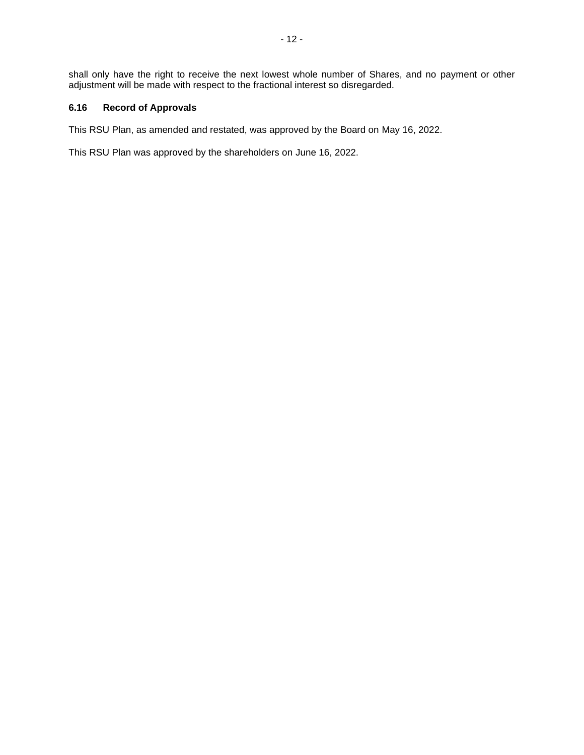shall only have the right to receive the next lowest whole number of Shares, and no payment or other adjustment will be made with respect to the fractional interest so disregarded.

## **6.16 Record of Approvals**

This RSU Plan, as amended and restated, was approved by the Board on May 16, 2022.

This RSU Plan was approved by the shareholders on June 16, 2022.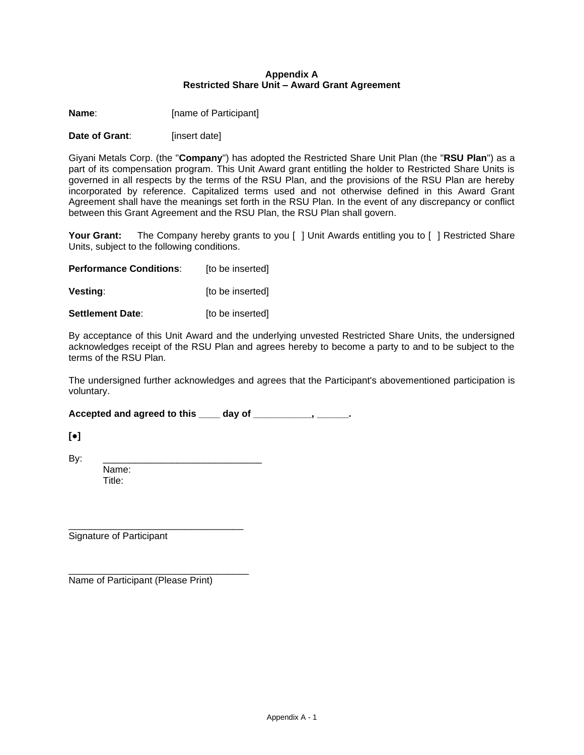#### <span id="page-69-0"></span>**Appendix A Restricted Share Unit – Award Grant Agreement**

**Name:** [name of Participant]

**Date of Grant:** [insert date]

Giyani Metals Corp. (the "**Company**") has adopted the Restricted Share Unit Plan (the "**RSU Plan**") as a part of its compensation program. This Unit Award grant entitling the holder to Restricted Share Units is governed in all respects by the terms of the RSU Plan, and the provisions of the RSU Plan are hereby incorporated by reference. Capitalized terms used and not otherwise defined in this Award Grant Agreement shall have the meanings set forth in the RSU Plan. In the event of any discrepancy or conflict between this Grant Agreement and the RSU Plan, the RSU Plan shall govern.

Your Grant: The Company hereby grants to you [ ] Unit Awards entitling you to [ ] Restricted Share Units, subject to the following conditions.

**Performance Conditions:** [to be inserted]

**Vesting**:  $[to be inserted]$ 

**Settlement Date:** [to be inserted]

By acceptance of this Unit Award and the underlying unvested Restricted Share Units, the undersigned acknowledges receipt of the RSU Plan and agrees hereby to become a party to and to be subject to the terms of the RSU Plan.

The undersigned further acknowledges and agrees that the Participant's abovementioned participation is voluntary.

Accepted and agreed to this \_\_\_\_ day of \_\_\_\_\_\_\_\_\_\_\_\_, \_\_\_\_\_\_\_.

**[●]**

By: \_\_\_\_\_\_\_\_\_\_\_\_\_\_\_\_\_\_\_\_\_\_\_\_\_\_\_\_\_\_

Name: Title:

\_\_\_\_\_\_\_\_\_\_\_\_\_\_\_\_\_\_\_\_\_\_\_\_\_\_\_\_\_\_\_\_\_ Signature of Participant

Name of Participant (Please Print)

\_\_\_\_\_\_\_\_\_\_\_\_\_\_\_\_\_\_\_\_\_\_\_\_\_\_\_\_\_\_\_\_\_\_